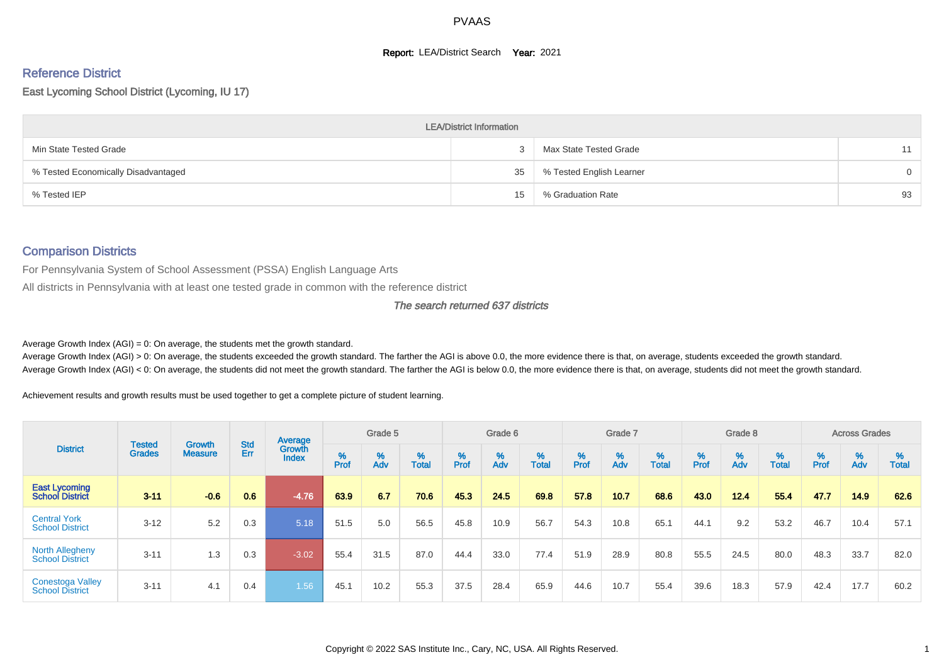#### **Report: LEA/District Search Year: 2021**

#### Reference District

East Lycoming School District (Lycoming, IU 17)

|                                     | <b>LEA/District Information</b> |                          |    |
|-------------------------------------|---------------------------------|--------------------------|----|
| Min State Tested Grade              |                                 | Max State Tested Grade   | 11 |
| % Tested Economically Disadvantaged | 35                              | % Tested English Learner | 0  |
| % Tested IEP                        | 15                              | % Graduation Rate        | 93 |

#### Comparison Districts

For Pennsylvania System of School Assessment (PSSA) English Language Arts

All districts in Pennsylvania with at least one tested grade in common with the reference district

#### The search returned 637 districts

Average Growth Index  $(AGI) = 0$ : On average, the students met the growth standard.

Average Growth Index (AGI) > 0: On average, the students exceeded the growth standard. The farther the AGI is above 0.0, the more evidence there is that, on average, students exceeded the growth standard. Average Growth Index (AGI) < 0: On average, the students did not meet the growth standard. The farther the AGI is below 0.0, the more evidence there is that, on average, students did not meet the growth standard.

Achievement results and growth results must be used together to get a complete picture of student learning.

|                                                   |                                |                                 |            | Average                       |           | Grade 5  |                   |           | Grade 6  |                   |           | Grade 7  |                   |          | Grade 8  |                   |          | <b>Across Grades</b>          |                   |
|---------------------------------------------------|--------------------------------|---------------------------------|------------|-------------------------------|-----------|----------|-------------------|-----------|----------|-------------------|-----------|----------|-------------------|----------|----------|-------------------|----------|-------------------------------|-------------------|
| <b>District</b>                                   | <b>Tested</b><br><b>Grades</b> | <b>Growth</b><br><b>Measure</b> | Std<br>Err | <b>Growth</b><br><b>Index</b> | %<br>Prof | %<br>Adv | %<br><b>Total</b> | %<br>Prof | %<br>Adv | %<br><b>Total</b> | %<br>Prof | %<br>Adv | %<br><b>Total</b> | $%$ Prof | %<br>Adv | %<br><b>Total</b> | $%$ Prof | $\stackrel{\%}{\mathsf{Adv}}$ | %<br><b>Total</b> |
| <b>East Lycoming</b><br><b>School District</b>    | $3 - 11$                       | $-0.6$                          | 0.6        | $-4.76$                       | 63.9      | 6.7      | 70.6              | 45.3      | 24.5     | 69.8              | 57.8      | 10.7     | 68.6              | 43.0     | 12.4     | 55.4              | 47.7     | 14.9                          | 62.6              |
| <b>Central York</b><br><b>School District</b>     | $3 - 12$                       | 5.2                             | 0.3        | 5.18                          | 51.5      | 5.0      | 56.5              | 45.8      | 10.9     | 56.7              | 54.3      | 10.8     | 65.1              | 44.1     | 9.2      | 53.2              | 46.7     | 10.4                          | 57.1              |
| <b>North Allegheny</b><br><b>School District</b>  | $3 - 11$                       | 1.3                             | 0.3        | $-3.02$                       | 55.4      | 31.5     | 87.0              | 44.4      | 33.0     | 77.4              | 51.9      | 28.9     | 80.8              | 55.5     | 24.5     | 80.0              | 48.3     | 33.7                          | 82.0              |
| <b>Conestoga Valley</b><br><b>School District</b> | $3 - 11$                       | 4.1                             | 0.4        | 1.56                          | 45.1      | 10.2     | 55.3              | 37.5      | 28.4     | 65.9              | 44.6      | 10.7     | 55.4              | 39.6     | 18.3     | 57.9              | 42.4     | 17.7                          | 60.2              |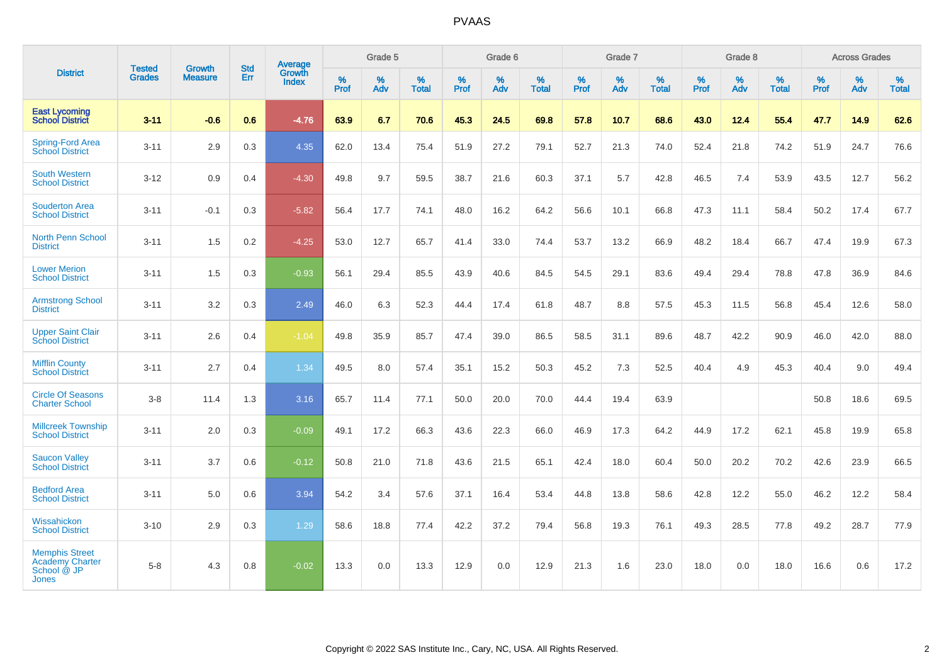|                                                                         | <b>Tested</b> | <b>Growth</b>  | <b>Std</b> | <b>Average</b>  |                  | Grade 5  |                   |                  | Grade 6  |                   |           | Grade 7  |                   |           | Grade 8  |                   |                  | <b>Across Grades</b> |                   |
|-------------------------------------------------------------------------|---------------|----------------|------------|-----------------|------------------|----------|-------------------|------------------|----------|-------------------|-----------|----------|-------------------|-----------|----------|-------------------|------------------|----------------------|-------------------|
| <b>District</b>                                                         | <b>Grades</b> | <b>Measure</b> | Err        | Growth<br>Index | %<br><b>Prof</b> | %<br>Adv | %<br><b>Total</b> | %<br><b>Prof</b> | %<br>Adv | %<br><b>Total</b> | %<br>Prof | %<br>Adv | %<br><b>Total</b> | %<br>Prof | %<br>Adv | %<br><b>Total</b> | %<br><b>Prof</b> | %<br>Adv             | %<br><b>Total</b> |
| <b>East Lycoming</b><br><b>School District</b>                          | $3 - 11$      | $-0.6$         | 0.6        | $-4.76$         | 63.9             | 6.7      | 70.6              | 45.3             | 24.5     | 69.8              | 57.8      | 10.7     | 68.6              | 43.0      | 12.4     | 55.4              | 47.7             | 14.9                 | 62.6              |
| <b>Spring-Ford Area</b><br>School District                              | $3 - 11$      | 2.9            | 0.3        | 4.35            | 62.0             | 13.4     | 75.4              | 51.9             | 27.2     | 79.1              | 52.7      | 21.3     | 74.0              | 52.4      | 21.8     | 74.2              | 51.9             | 24.7                 | 76.6              |
| <b>South Western</b><br><b>School District</b>                          | $3 - 12$      | 0.9            | 0.4        | $-4.30$         | 49.8             | 9.7      | 59.5              | 38.7             | 21.6     | 60.3              | 37.1      | 5.7      | 42.8              | 46.5      | 7.4      | 53.9              | 43.5             | 12.7                 | 56.2              |
| <b>Souderton Area</b><br><b>School District</b>                         | $3 - 11$      | $-0.1$         | 0.3        | $-5.82$         | 56.4             | 17.7     | 74.1              | 48.0             | 16.2     | 64.2              | 56.6      | 10.1     | 66.8              | 47.3      | 11.1     | 58.4              | 50.2             | 17.4                 | 67.7              |
| <b>North Penn School</b><br><b>District</b>                             | $3 - 11$      | 1.5            | 0.2        | $-4.25$         | 53.0             | 12.7     | 65.7              | 41.4             | 33.0     | 74.4              | 53.7      | 13.2     | 66.9              | 48.2      | 18.4     | 66.7              | 47.4             | 19.9                 | 67.3              |
| <b>Lower Merion</b><br><b>School District</b>                           | $3 - 11$      | 1.5            | 0.3        | $-0.93$         | 56.1             | 29.4     | 85.5              | 43.9             | 40.6     | 84.5              | 54.5      | 29.1     | 83.6              | 49.4      | 29.4     | 78.8              | 47.8             | 36.9                 | 84.6              |
| <b>Armstrong School</b><br><b>District</b>                              | $3 - 11$      | 3.2            | 0.3        | 2.49            | 46.0             | 6.3      | 52.3              | 44.4             | 17.4     | 61.8              | 48.7      | 8.8      | 57.5              | 45.3      | 11.5     | 56.8              | 45.4             | 12.6                 | 58.0              |
| <b>Upper Saint Clair</b><br><b>School District</b>                      | $3 - 11$      | 2.6            | 0.4        | $-1.04$         | 49.8             | 35.9     | 85.7              | 47.4             | 39.0     | 86.5              | 58.5      | 31.1     | 89.6              | 48.7      | 42.2     | 90.9              | 46.0             | 42.0                 | 88.0              |
| <b>Mifflin County</b><br><b>School District</b>                         | $3 - 11$      | 2.7            | 0.4        | 1.34            | 49.5             | 8.0      | 57.4              | 35.1             | 15.2     | 50.3              | 45.2      | 7.3      | 52.5              | 40.4      | 4.9      | 45.3              | 40.4             | 9.0                  | 49.4              |
| <b>Circle Of Seasons</b><br><b>Charter School</b>                       | $3 - 8$       | 11.4           | 1.3        | 3.16            | 65.7             | 11.4     | 77.1              | 50.0             | 20.0     | 70.0              | 44.4      | 19.4     | 63.9              |           |          |                   | 50.8             | 18.6                 | 69.5              |
| <b>Millcreek Township</b><br><b>School District</b>                     | $3 - 11$      | 2.0            | 0.3        | $-0.09$         | 49.1             | 17.2     | 66.3              | 43.6             | 22.3     | 66.0              | 46.9      | 17.3     | 64.2              | 44.9      | 17.2     | 62.1              | 45.8             | 19.9                 | 65.8              |
| <b>Saucon Valley</b><br><b>School District</b>                          | $3 - 11$      | 3.7            | 0.6        | $-0.12$         | 50.8             | 21.0     | 71.8              | 43.6             | 21.5     | 65.1              | 42.4      | 18.0     | 60.4              | 50.0      | 20.2     | 70.2              | 42.6             | 23.9                 | 66.5              |
| <b>Bedford Area</b><br><b>School District</b>                           | $3 - 11$      | 5.0            | 0.6        | 3.94            | 54.2             | 3.4      | 57.6              | 37.1             | 16.4     | 53.4              | 44.8      | 13.8     | 58.6              | 42.8      | 12.2     | 55.0              | 46.2             | 12.2                 | 58.4              |
| Wissahickon<br><b>School District</b>                                   | $3 - 10$      | 2.9            | 0.3        | 1.29            | 58.6             | 18.8     | 77.4              | 42.2             | 37.2     | 79.4              | 56.8      | 19.3     | 76.1              | 49.3      | 28.5     | 77.8              | 49.2             | 28.7                 | 77.9              |
| <b>Memphis Street</b><br>Academy Charter<br>School @ JP<br><b>Jones</b> | $5 - 8$       | 4.3            | 0.8        | $-0.02$         | 13.3             | 0.0      | 13.3              | 12.9             | 0.0      | 12.9              | 21.3      | 1.6      | 23.0              | 18.0      | 0.0      | 18.0              | 16.6             | 0.6                  | 17.2              |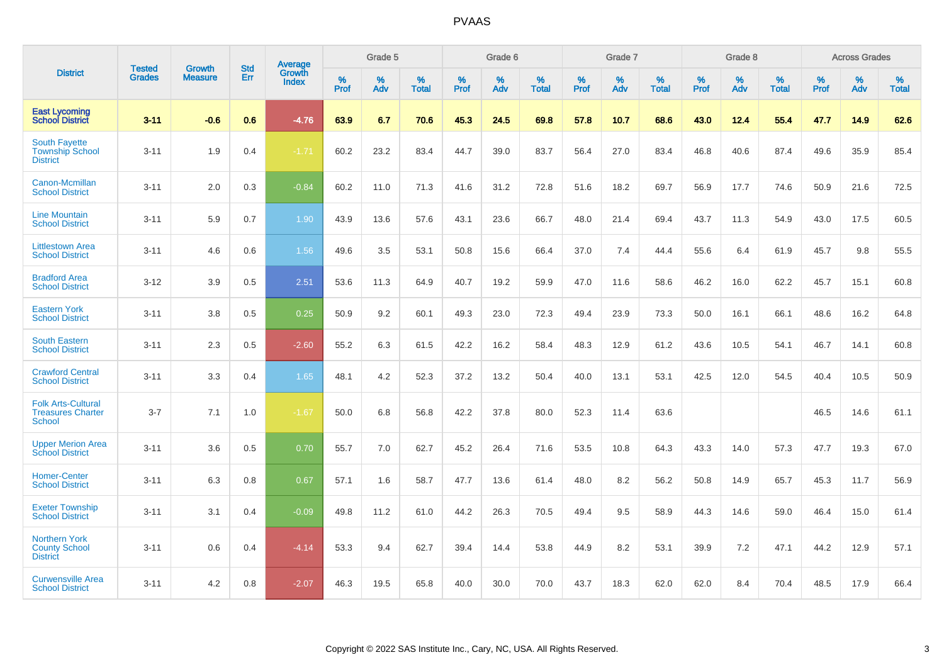|                                                                        | <b>Tested</b> | <b>Growth</b>  | <b>Std</b> | Average                       |           | Grade 5  |                   |           | Grade 6  |                   |           | Grade 7  |                   |           | Grade 8  |                   |           | <b>Across Grades</b> |                   |
|------------------------------------------------------------------------|---------------|----------------|------------|-------------------------------|-----------|----------|-------------------|-----------|----------|-------------------|-----------|----------|-------------------|-----------|----------|-------------------|-----------|----------------------|-------------------|
| <b>District</b>                                                        | <b>Grades</b> | <b>Measure</b> | Err        | <b>Growth</b><br><b>Index</b> | %<br>Prof | %<br>Adv | %<br><b>Total</b> | %<br>Prof | %<br>Adv | %<br><b>Total</b> | %<br>Prof | %<br>Adv | %<br><b>Total</b> | %<br>Prof | %<br>Adv | %<br><b>Total</b> | %<br>Prof | %<br>Adv             | %<br><b>Total</b> |
| <b>East Lycoming</b><br><b>School District</b>                         | $3 - 11$      | $-0.6$         | 0.6        | $-4.76$                       | 63.9      | 6.7      | 70.6              | 45.3      | 24.5     | 69.8              | 57.8      | 10.7     | 68.6              | 43.0      | 12.4     | 55.4              | 47.7      | 14.9                 | 62.6              |
| <b>South Fayette</b><br><b>Township School</b><br><b>District</b>      | $3 - 11$      | 1.9            | 0.4        | $-1.71$                       | 60.2      | 23.2     | 83.4              | 44.7      | 39.0     | 83.7              | 56.4      | 27.0     | 83.4              | 46.8      | 40.6     | 87.4              | 49.6      | 35.9                 | 85.4              |
| Canon-Mcmillan<br><b>School District</b>                               | $3 - 11$      | 2.0            | 0.3        | $-0.84$                       | 60.2      | 11.0     | 71.3              | 41.6      | 31.2     | 72.8              | 51.6      | 18.2     | 69.7              | 56.9      | 17.7     | 74.6              | 50.9      | 21.6                 | 72.5              |
| <b>Line Mountain</b><br><b>School District</b>                         | $3 - 11$      | 5.9            | 0.7        | 1.90                          | 43.9      | 13.6     | 57.6              | 43.1      | 23.6     | 66.7              | 48.0      | 21.4     | 69.4              | 43.7      | 11.3     | 54.9              | 43.0      | 17.5                 | 60.5              |
| <b>Littlestown Area</b><br><b>School District</b>                      | $3 - 11$      | 4.6            | 0.6        | 1.56                          | 49.6      | 3.5      | 53.1              | 50.8      | 15.6     | 66.4              | 37.0      | 7.4      | 44.4              | 55.6      | 6.4      | 61.9              | 45.7      | 9.8                  | 55.5              |
| <b>Bradford Area</b><br><b>School District</b>                         | $3 - 12$      | 3.9            | 0.5        | 2.51                          | 53.6      | 11.3     | 64.9              | 40.7      | 19.2     | 59.9              | 47.0      | 11.6     | 58.6              | 46.2      | 16.0     | 62.2              | 45.7      | 15.1                 | 60.8              |
| <b>Eastern York</b><br><b>School District</b>                          | $3 - 11$      | 3.8            | 0.5        | 0.25                          | 50.9      | 9.2      | 60.1              | 49.3      | 23.0     | 72.3              | 49.4      | 23.9     | 73.3              | 50.0      | 16.1     | 66.1              | 48.6      | 16.2                 | 64.8              |
| <b>South Eastern</b><br><b>School District</b>                         | $3 - 11$      | 2.3            | 0.5        | $-2.60$                       | 55.2      | 6.3      | 61.5              | 42.2      | 16.2     | 58.4              | 48.3      | 12.9     | 61.2              | 43.6      | 10.5     | 54.1              | 46.7      | 14.1                 | 60.8              |
| <b>Crawford Central</b><br><b>School District</b>                      | $3 - 11$      | 3.3            | 0.4        | 1.65                          | 48.1      | 4.2      | 52.3              | 37.2      | 13.2     | 50.4              | 40.0      | 13.1     | 53.1              | 42.5      | 12.0     | 54.5              | 40.4      | 10.5                 | 50.9              |
| <b>Folk Arts-Cultural</b><br><b>Treasures Charter</b><br><b>School</b> | $3 - 7$       | 7.1            | 1.0        | $-1.67$                       | 50.0      | 6.8      | 56.8              | 42.2      | 37.8     | 80.0              | 52.3      | 11.4     | 63.6              |           |          |                   | 46.5      | 14.6                 | 61.1              |
| <b>Upper Merion Area</b><br><b>School District</b>                     | $3 - 11$      | 3.6            | 0.5        | 0.70                          | 55.7      | 7.0      | 62.7              | 45.2      | 26.4     | 71.6              | 53.5      | 10.8     | 64.3              | 43.3      | 14.0     | 57.3              | 47.7      | 19.3                 | 67.0              |
| <b>Homer-Center</b><br><b>School District</b>                          | $3 - 11$      | 6.3            | 0.8        | 0.67                          | 57.1      | 1.6      | 58.7              | 47.7      | 13.6     | 61.4              | 48.0      | 8.2      | 56.2              | 50.8      | 14.9     | 65.7              | 45.3      | 11.7                 | 56.9              |
| <b>Exeter Township</b><br><b>School District</b>                       | $3 - 11$      | 3.1            | 0.4        | $-0.09$                       | 49.8      | 11.2     | 61.0              | 44.2      | 26.3     | 70.5              | 49.4      | 9.5      | 58.9              | 44.3      | 14.6     | 59.0              | 46.4      | 15.0                 | 61.4              |
| <b>Northern York</b><br><b>County School</b><br><b>District</b>        | $3 - 11$      | 0.6            | 0.4        | $-4.14$                       | 53.3      | 9.4      | 62.7              | 39.4      | 14.4     | 53.8              | 44.9      | 8.2      | 53.1              | 39.9      | 7.2      | 47.1              | 44.2      | 12.9                 | 57.1              |
| <b>Curwensville Area</b><br><b>School District</b>                     | $3 - 11$      | 4.2            | 0.8        | $-2.07$                       | 46.3      | 19.5     | 65.8              | 40.0      | 30.0     | 70.0              | 43.7      | 18.3     | 62.0              | 62.0      | 8.4      | 70.4              | 48.5      | 17.9                 | 66.4              |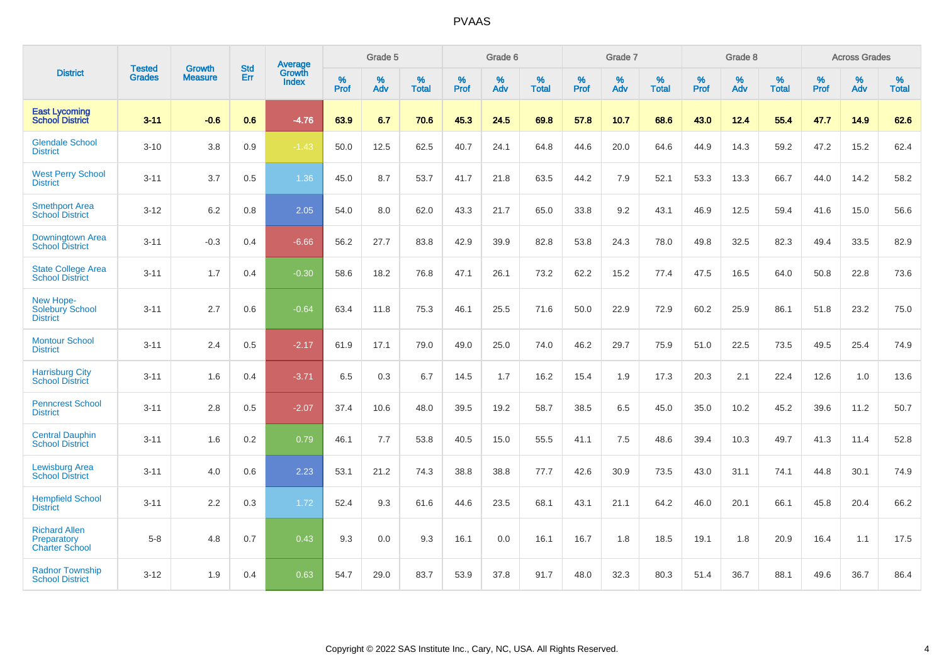|                                                              | <b>Tested</b> | <b>Growth</b>  | <b>Std</b> | <b>Average</b>         |           | Grade 5  |                   |           | Grade 6  |                   |           | Grade 7  |                   |           | Grade 8  |                   |           | <b>Across Grades</b> |                   |
|--------------------------------------------------------------|---------------|----------------|------------|------------------------|-----------|----------|-------------------|-----------|----------|-------------------|-----------|----------|-------------------|-----------|----------|-------------------|-----------|----------------------|-------------------|
| <b>District</b>                                              | <b>Grades</b> | <b>Measure</b> | Err        | Growth<br><b>Index</b> | %<br>Prof | %<br>Adv | %<br><b>Total</b> | %<br>Prof | %<br>Adv | %<br><b>Total</b> | %<br>Prof | %<br>Adv | %<br><b>Total</b> | %<br>Prof | %<br>Adv | %<br><b>Total</b> | %<br>Prof | %<br>Adv             | %<br><b>Total</b> |
| <b>East Lycoming</b><br><b>School District</b>               | $3 - 11$      | $-0.6$         | 0.6        | $-4.76$                | 63.9      | 6.7      | 70.6              | 45.3      | 24.5     | 69.8              | 57.8      | 10.7     | 68.6              | 43.0      | 12.4     | 55.4              | 47.7      | 14.9                 | 62.6              |
| <b>Glendale School</b><br><b>District</b>                    | $3 - 10$      | 3.8            | 0.9        | $-1.43$                | 50.0      | 12.5     | 62.5              | 40.7      | 24.1     | 64.8              | 44.6      | 20.0     | 64.6              | 44.9      | 14.3     | 59.2              | 47.2      | 15.2                 | 62.4              |
| <b>West Perry School</b><br><b>District</b>                  | $3 - 11$      | 3.7            | 0.5        | 1.36                   | 45.0      | 8.7      | 53.7              | 41.7      | 21.8     | 63.5              | 44.2      | 7.9      | 52.1              | 53.3      | 13.3     | 66.7              | 44.0      | 14.2                 | 58.2              |
| <b>Smethport Area</b><br><b>School District</b>              | $3 - 12$      | 6.2            | 0.8        | 2.05                   | 54.0      | 8.0      | 62.0              | 43.3      | 21.7     | 65.0              | 33.8      | 9.2      | 43.1              | 46.9      | 12.5     | 59.4              | 41.6      | 15.0                 | 56.6              |
| Downingtown Area<br><b>School District</b>                   | $3 - 11$      | $-0.3$         | 0.4        | $-6.66$                | 56.2      | 27.7     | 83.8              | 42.9      | 39.9     | 82.8              | 53.8      | 24.3     | 78.0              | 49.8      | 32.5     | 82.3              | 49.4      | 33.5                 | 82.9              |
| <b>State College Area</b><br><b>School District</b>          | $3 - 11$      | 1.7            | 0.4        | $-0.30$                | 58.6      | 18.2     | 76.8              | 47.1      | 26.1     | 73.2              | 62.2      | 15.2     | 77.4              | 47.5      | 16.5     | 64.0              | 50.8      | 22.8                 | 73.6              |
| New Hope-<br>Solebury School<br><b>District</b>              | $3 - 11$      | 2.7            | 0.6        | $-0.64$                | 63.4      | 11.8     | 75.3              | 46.1      | 25.5     | 71.6              | 50.0      | 22.9     | 72.9              | 60.2      | 25.9     | 86.1              | 51.8      | 23.2                 | 75.0              |
| <b>Montour School</b><br><b>District</b>                     | $3 - 11$      | 2.4            | 0.5        | $-2.17$                | 61.9      | 17.1     | 79.0              | 49.0      | 25.0     | 74.0              | 46.2      | 29.7     | 75.9              | 51.0      | 22.5     | 73.5              | 49.5      | 25.4                 | 74.9              |
| <b>Harrisburg City</b><br><b>School District</b>             | $3 - 11$      | 1.6            | 0.4        | $-3.71$                | 6.5       | 0.3      | 6.7               | 14.5      | 1.7      | 16.2              | 15.4      | 1.9      | 17.3              | 20.3      | 2.1      | 22.4              | 12.6      | 1.0                  | 13.6              |
| <b>Penncrest School</b><br><b>District</b>                   | $3 - 11$      | 2.8            | 0.5        | $-2.07$                | 37.4      | 10.6     | 48.0              | 39.5      | 19.2     | 58.7              | 38.5      | 6.5      | 45.0              | 35.0      | 10.2     | 45.2              | 39.6      | 11.2                 | 50.7              |
| <b>Central Dauphin</b><br><b>School District</b>             | $3 - 11$      | 1.6            | 0.2        | 0.79                   | 46.1      | 7.7      | 53.8              | 40.5      | 15.0     | 55.5              | 41.1      | 7.5      | 48.6              | 39.4      | 10.3     | 49.7              | 41.3      | 11.4                 | 52.8              |
| <b>Lewisburg Area</b><br><b>School District</b>              | $3 - 11$      | 4.0            | 0.6        | 2.23                   | 53.1      | 21.2     | 74.3              | 38.8      | 38.8     | 77.7              | 42.6      | 30.9     | 73.5              | 43.0      | 31.1     | 74.1              | 44.8      | 30.1                 | 74.9              |
| <b>Hempfield School</b><br><b>District</b>                   | $3 - 11$      | 2.2            | 0.3        | 1.72                   | 52.4      | 9.3      | 61.6              | 44.6      | 23.5     | 68.1              | 43.1      | 21.1     | 64.2              | 46.0      | 20.1     | 66.1              | 45.8      | 20.4                 | 66.2              |
| <b>Richard Allen</b><br>Preparatory<br><b>Charter School</b> | $5 - 8$       | 4.8            | 0.7        | 0.43                   | 9.3       | 0.0      | 9.3               | 16.1      | 0.0      | 16.1              | 16.7      | 1.8      | 18.5              | 19.1      | 1.8      | 20.9              | 16.4      | 1.1                  | 17.5              |
| <b>Radnor Township</b><br><b>School District</b>             | $3 - 12$      | 1.9            | 0.4        | 0.63                   | 54.7      | 29.0     | 83.7              | 53.9      | 37.8     | 91.7              | 48.0      | 32.3     | 80.3              | 51.4      | 36.7     | 88.1              | 49.6      | 36.7                 | 86.4              |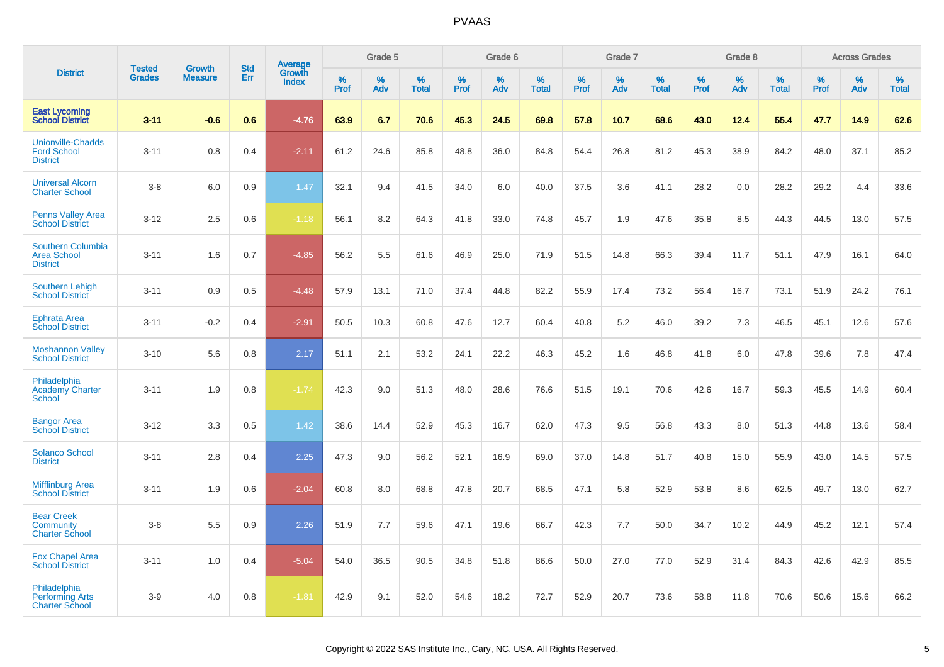|                                                                   |                                |                                 |                   | <b>Average</b>         |                  | Grade 5  |                   |           | Grade 6  |                   |           | Grade 7  |                   |           | Grade 8  |                   |           | <b>Across Grades</b> |                   |
|-------------------------------------------------------------------|--------------------------------|---------------------------------|-------------------|------------------------|------------------|----------|-------------------|-----------|----------|-------------------|-----------|----------|-------------------|-----------|----------|-------------------|-----------|----------------------|-------------------|
| <b>District</b>                                                   | <b>Tested</b><br><b>Grades</b> | <b>Growth</b><br><b>Measure</b> | <b>Std</b><br>Err | Growth<br><b>Index</b> | %<br><b>Prof</b> | %<br>Adv | %<br><b>Total</b> | %<br>Prof | %<br>Adv | %<br><b>Total</b> | %<br>Prof | %<br>Adv | %<br><b>Total</b> | %<br>Prof | %<br>Adv | %<br><b>Total</b> | %<br>Prof | %<br>Adv             | %<br><b>Total</b> |
| <b>East Lycoming</b><br><b>School District</b>                    | $3 - 11$                       | $-0.6$                          | 0.6               | $-4.76$                | 63.9             | 6.7      | 70.6              | 45.3      | 24.5     | 69.8              | 57.8      | 10.7     | 68.6              | 43.0      | 12.4     | 55.4              | 47.7      | 14.9                 | 62.6              |
| <b>Unionville-Chadds</b><br><b>Ford School</b><br><b>District</b> | $3 - 11$                       | 0.8                             | 0.4               | $-2.11$                | 61.2             | 24.6     | 85.8              | 48.8      | 36.0     | 84.8              | 54.4      | 26.8     | 81.2              | 45.3      | 38.9     | 84.2              | 48.0      | 37.1                 | 85.2              |
| <b>Universal Alcorn</b><br><b>Charter School</b>                  | $3-8$                          | 6.0                             | 0.9               | 1.47                   | 32.1             | 9.4      | 41.5              | 34.0      | 6.0      | 40.0              | 37.5      | 3.6      | 41.1              | 28.2      | 0.0      | 28.2              | 29.2      | 4.4                  | 33.6              |
| <b>Penns Valley Area</b><br><b>School District</b>                | $3 - 12$                       | 2.5                             | 0.6               | $-1.18$                | 56.1             | 8.2      | 64.3              | 41.8      | 33.0     | 74.8              | 45.7      | 1.9      | 47.6              | 35.8      | 8.5      | 44.3              | 44.5      | 13.0                 | 57.5              |
| <b>Southern Columbia</b><br><b>Area School</b><br><b>District</b> | $3 - 11$                       | 1.6                             | 0.7               | $-4.85$                | 56.2             | 5.5      | 61.6              | 46.9      | 25.0     | 71.9              | 51.5      | 14.8     | 66.3              | 39.4      | 11.7     | 51.1              | 47.9      | 16.1                 | 64.0              |
| Southern Lehigh<br><b>School District</b>                         | $3 - 11$                       | 0.9                             | 0.5               | $-4.48$                | 57.9             | 13.1     | 71.0              | 37.4      | 44.8     | 82.2              | 55.9      | 17.4     | 73.2              | 56.4      | 16.7     | 73.1              | 51.9      | 24.2                 | 76.1              |
| <b>Ephrata Area</b><br><b>School District</b>                     | $3 - 11$                       | $-0.2$                          | 0.4               | $-2.91$                | 50.5             | 10.3     | 60.8              | 47.6      | 12.7     | 60.4              | 40.8      | 5.2      | 46.0              | 39.2      | 7.3      | 46.5              | 45.1      | 12.6                 | 57.6              |
| <b>Moshannon Valley</b><br><b>School District</b>                 | $3 - 10$                       | 5.6                             | 0.8               | 2.17                   | 51.1             | 2.1      | 53.2              | 24.1      | 22.2     | 46.3              | 45.2      | 1.6      | 46.8              | 41.8      | 6.0      | 47.8              | 39.6      | 7.8                  | 47.4              |
| Philadelphia<br><b>Academy Charter</b><br><b>School</b>           | $3 - 11$                       | 1.9                             | 0.8               | $-1.74$                | 42.3             | 9.0      | 51.3              | 48.0      | 28.6     | 76.6              | 51.5      | 19.1     | 70.6              | 42.6      | 16.7     | 59.3              | 45.5      | 14.9                 | 60.4              |
| <b>Bangor Area</b><br><b>School District</b>                      | $3 - 12$                       | 3.3                             | 0.5               | 1.42                   | 38.6             | 14.4     | 52.9              | 45.3      | 16.7     | 62.0              | 47.3      | 9.5      | 56.8              | 43.3      | 8.0      | 51.3              | 44.8      | 13.6                 | 58.4              |
| <b>Solanco School</b><br><b>District</b>                          | $3 - 11$                       | 2.8                             | 0.4               | 2.25                   | 47.3             | 9.0      | 56.2              | 52.1      | 16.9     | 69.0              | 37.0      | 14.8     | 51.7              | 40.8      | 15.0     | 55.9              | 43.0      | 14.5                 | 57.5              |
| <b>Mifflinburg Area</b><br><b>School District</b>                 | $3 - 11$                       | 1.9                             | 0.6               | $-2.04$                | 60.8             | 8.0      | 68.8              | 47.8      | 20.7     | 68.5              | 47.1      | 5.8      | 52.9              | 53.8      | 8.6      | 62.5              | 49.7      | 13.0                 | 62.7              |
| <b>Bear Creek</b><br>Community<br><b>Charter School</b>           | $3 - 8$                        | 5.5                             | 0.9               | 2.26                   | 51.9             | 7.7      | 59.6              | 47.1      | 19.6     | 66.7              | 42.3      | 7.7      | 50.0              | 34.7      | 10.2     | 44.9              | 45.2      | 12.1                 | 57.4              |
| <b>Fox Chapel Area</b><br><b>School District</b>                  | $3 - 11$                       | 1.0                             | 0.4               | $-5.04$                | 54.0             | 36.5     | 90.5              | 34.8      | 51.8     | 86.6              | 50.0      | 27.0     | 77.0              | 52.9      | 31.4     | 84.3              | 42.6      | 42.9                 | 85.5              |
| Philadelphia<br><b>Performing Arts</b><br><b>Charter School</b>   | $3-9$                          | 4.0                             | 0.8               | $-1.81$                | 42.9             | 9.1      | 52.0              | 54.6      | 18.2     | 72.7              | 52.9      | 20.7     | 73.6              | 58.8      | 11.8     | 70.6              | 50.6      | 15.6                 | 66.2              |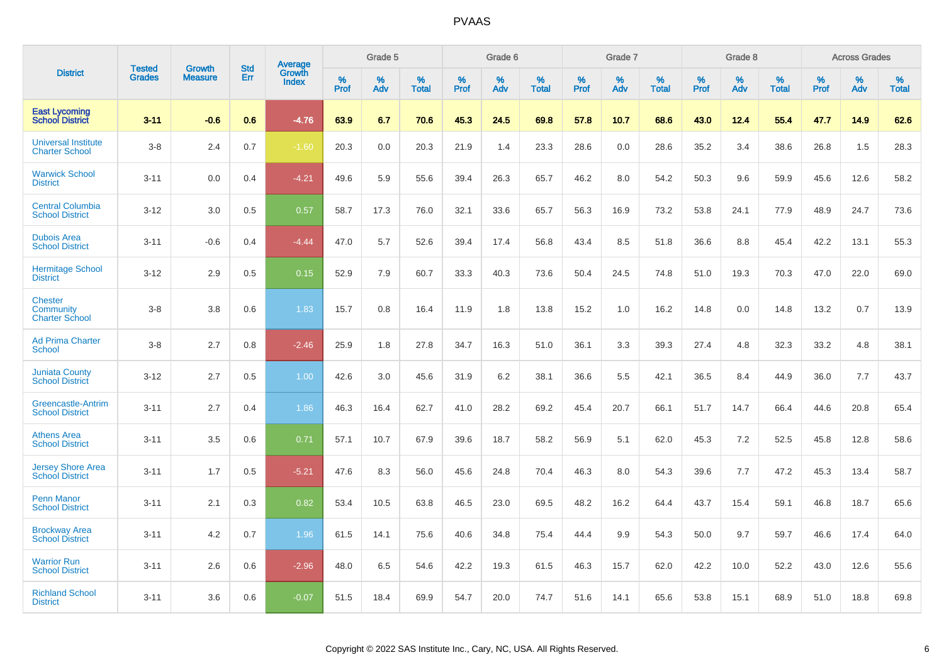|                                                      | <b>Tested</b> | <b>Growth</b>  | <b>Std</b> | Average                |              | Grade 5  |                      |                  | Grade 6  |                      |              | Grade 7  |                      |              | Grade 8  |                   |                     | <b>Across Grades</b> |                      |
|------------------------------------------------------|---------------|----------------|------------|------------------------|--------------|----------|----------------------|------------------|----------|----------------------|--------------|----------|----------------------|--------------|----------|-------------------|---------------------|----------------------|----------------------|
| <b>District</b>                                      | <b>Grades</b> | <b>Measure</b> | Err        | Growth<br><b>Index</b> | $\%$<br>Prof | %<br>Adv | $\%$<br><b>Total</b> | %<br><b>Prof</b> | %<br>Adv | $\%$<br><b>Total</b> | $\%$<br>Prof | %<br>Adv | $\%$<br><b>Total</b> | $\%$<br>Prof | %<br>Adv | %<br><b>Total</b> | $\%$<br><b>Prof</b> | %<br>Adv             | $\%$<br><b>Total</b> |
| <b>East Lycoming</b><br><b>School District</b>       | $3 - 11$      | $-0.6$         | 0.6        | $-4.76$                | 63.9         | 6.7      | 70.6                 | 45.3             | 24.5     | 69.8                 | 57.8         | 10.7     | 68.6                 | 43.0         | 12.4     | 55.4              | 47.7                | 14.9                 | 62.6                 |
| <b>Universal Institute</b><br><b>Charter School</b>  | $3-8$         | 2.4            | 0.7        | $-1.60$                | 20.3         | 0.0      | 20.3                 | 21.9             | 1.4      | 23.3                 | 28.6         | 0.0      | 28.6                 | 35.2         | 3.4      | 38.6              | 26.8                | 1.5                  | 28.3                 |
| <b>Warwick School</b><br><b>District</b>             | $3 - 11$      | 0.0            | 0.4        | $-4.21$                | 49.6         | 5.9      | 55.6                 | 39.4             | 26.3     | 65.7                 | 46.2         | 8.0      | 54.2                 | 50.3         | 9.6      | 59.9              | 45.6                | 12.6                 | 58.2                 |
| <b>Central Columbia</b><br><b>School District</b>    | $3 - 12$      | 3.0            | 0.5        | 0.57                   | 58.7         | 17.3     | 76.0                 | 32.1             | 33.6     | 65.7                 | 56.3         | 16.9     | 73.2                 | 53.8         | 24.1     | 77.9              | 48.9                | 24.7                 | 73.6                 |
| <b>Dubois Area</b><br><b>School District</b>         | $3 - 11$      | $-0.6$         | 0.4        | $-4.44$                | 47.0         | 5.7      | 52.6                 | 39.4             | 17.4     | 56.8                 | 43.4         | 8.5      | 51.8                 | 36.6         | 8.8      | 45.4              | 42.2                | 13.1                 | 55.3                 |
| <b>Hermitage School</b><br><b>District</b>           | $3 - 12$      | 2.9            | 0.5        | 0.15                   | 52.9         | 7.9      | 60.7                 | 33.3             | 40.3     | 73.6                 | 50.4         | 24.5     | 74.8                 | 51.0         | 19.3     | 70.3              | 47.0                | 22.0                 | 69.0                 |
| <b>Chester</b><br>Community<br><b>Charter School</b> | $3-8$         | 3.8            | 0.6        | 1.83                   | 15.7         | 0.8      | 16.4                 | 11.9             | 1.8      | 13.8                 | 15.2         | 1.0      | 16.2                 | 14.8         | 0.0      | 14.8              | 13.2                | 0.7                  | 13.9                 |
| <b>Ad Prima Charter</b><br><b>School</b>             | $3-8$         | 2.7            | 0.8        | $-2.46$                | 25.9         | 1.8      | 27.8                 | 34.7             | 16.3     | 51.0                 | 36.1         | 3.3      | 39.3                 | 27.4         | 4.8      | 32.3              | 33.2                | 4.8                  | 38.1                 |
| <b>Juniata County</b><br><b>School District</b>      | $3 - 12$      | 2.7            | 0.5        | 1.00                   | 42.6         | 3.0      | 45.6                 | 31.9             | 6.2      | 38.1                 | 36.6         | 5.5      | 42.1                 | 36.5         | 8.4      | 44.9              | 36.0                | 7.7                  | 43.7                 |
| <b>Greencastle-Antrim</b><br><b>School District</b>  | $3 - 11$      | 2.7            | 0.4        | 1.86                   | 46.3         | 16.4     | 62.7                 | 41.0             | 28.2     | 69.2                 | 45.4         | 20.7     | 66.1                 | 51.7         | 14.7     | 66.4              | 44.6                | 20.8                 | 65.4                 |
| <b>Athens Area</b><br><b>School District</b>         | $3 - 11$      | 3.5            | 0.6        | 0.71                   | 57.1         | 10.7     | 67.9                 | 39.6             | 18.7     | 58.2                 | 56.9         | 5.1      | 62.0                 | 45.3         | 7.2      | 52.5              | 45.8                | 12.8                 | 58.6                 |
| <b>Jersey Shore Area</b><br><b>School District</b>   | $3 - 11$      | 1.7            | 0.5        | $-5.21$                | 47.6         | 8.3      | 56.0                 | 45.6             | 24.8     | 70.4                 | 46.3         | 8.0      | 54.3                 | 39.6         | 7.7      | 47.2              | 45.3                | 13.4                 | 58.7                 |
| <b>Penn Manor</b><br><b>School District</b>          | $3 - 11$      | 2.1            | 0.3        | 0.82                   | 53.4         | 10.5     | 63.8                 | 46.5             | 23.0     | 69.5                 | 48.2         | 16.2     | 64.4                 | 43.7         | 15.4     | 59.1              | 46.8                | 18.7                 | 65.6                 |
| <b>Brockway Area</b><br><b>School District</b>       | $3 - 11$      | 4.2            | 0.7        | 1.96                   | 61.5         | 14.1     | 75.6                 | 40.6             | 34.8     | 75.4                 | 44.4         | 9.9      | 54.3                 | 50.0         | 9.7      | 59.7              | 46.6                | 17.4                 | 64.0                 |
| <b>Warrior Run</b><br><b>School District</b>         | $3 - 11$      | 2.6            | 0.6        | $-2.96$                | 48.0         | 6.5      | 54.6                 | 42.2             | 19.3     | 61.5                 | 46.3         | 15.7     | 62.0                 | 42.2         | 10.0     | 52.2              | 43.0                | 12.6                 | 55.6                 |
| <b>Richland School</b><br><b>District</b>            | $3 - 11$      | 3.6            | 0.6        | $-0.07$                | 51.5         | 18.4     | 69.9                 | 54.7             | 20.0     | 74.7                 | 51.6         | 14.1     | 65.6                 | 53.8         | 15.1     | 68.9              | 51.0                | 18.8                 | 69.8                 |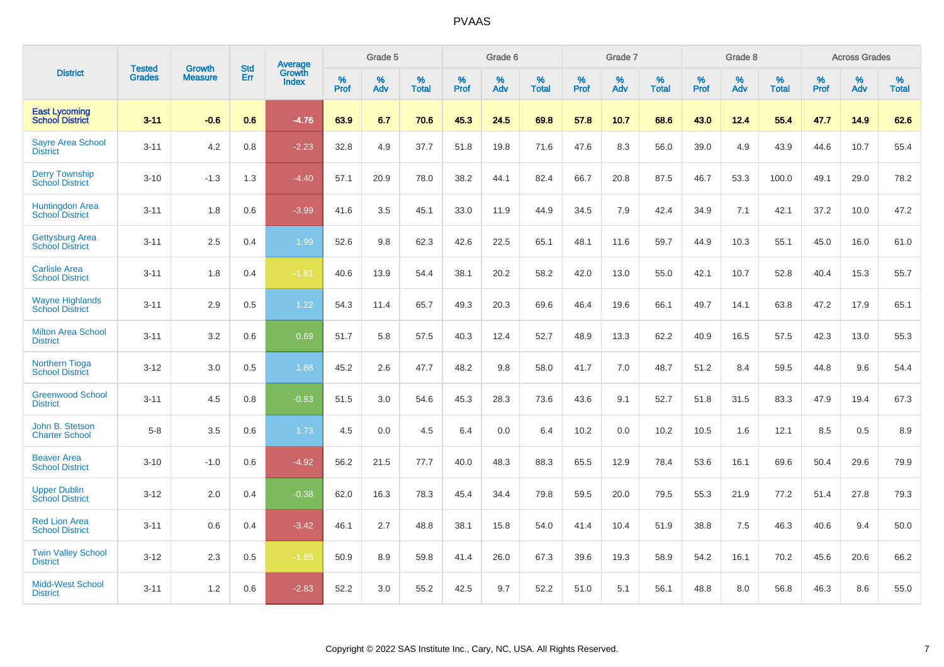|                                                  |                                | <b>Growth</b>  | <b>Std</b> | <b>Average</b>         |           | Grade 5  |                   |           | Grade 6  |                   |           | Grade 7  |                   |           | Grade 8  |                   |           | <b>Across Grades</b> |                   |
|--------------------------------------------------|--------------------------------|----------------|------------|------------------------|-----------|----------|-------------------|-----------|----------|-------------------|-----------|----------|-------------------|-----------|----------|-------------------|-----------|----------------------|-------------------|
| <b>District</b>                                  | <b>Tested</b><br><b>Grades</b> | <b>Measure</b> | Err        | Growth<br><b>Index</b> | %<br>Prof | %<br>Adv | %<br><b>Total</b> | %<br>Prof | %<br>Adv | %<br><b>Total</b> | %<br>Prof | %<br>Adv | %<br><b>Total</b> | %<br>Prof | %<br>Adv | %<br><b>Total</b> | %<br>Prof | %<br>Adv             | %<br><b>Total</b> |
| <b>East Lycoming</b><br><b>School District</b>   | $3 - 11$                       | $-0.6$         | 0.6        | $-4.76$                | 63.9      | 6.7      | 70.6              | 45.3      | 24.5     | 69.8              | 57.8      | 10.7     | 68.6              | 43.0      | 12.4     | 55.4              | 47.7      | 14.9                 | 62.6              |
| <b>Sayre Area School</b><br><b>District</b>      | $3 - 11$                       | 4.2            | 0.8        | $-2.23$                | 32.8      | 4.9      | 37.7              | 51.8      | 19.8     | 71.6              | 47.6      | 8.3      | 56.0              | 39.0      | 4.9      | 43.9              | 44.6      | 10.7                 | 55.4              |
| <b>Derry Township</b><br><b>School District</b>  | $3 - 10$                       | $-1.3$         | 1.3        | $-4.40$                | 57.1      | 20.9     | 78.0              | 38.2      | 44.1     | 82.4              | 66.7      | 20.8     | 87.5              | 46.7      | 53.3     | 100.0             | 49.1      | 29.0                 | 78.2              |
| Huntingdon Area<br>School District               | $3 - 11$                       | 1.8            | 0.6        | $-3.99$                | 41.6      | 3.5      | 45.1              | 33.0      | 11.9     | 44.9              | 34.5      | 7.9      | 42.4              | 34.9      | 7.1      | 42.1              | 37.2      | 10.0                 | 47.2              |
| <b>Gettysburg Area</b><br><b>School District</b> | $3 - 11$                       | 2.5            | 0.4        | 1.99                   | 52.6      | 9.8      | 62.3              | 42.6      | 22.5     | 65.1              | 48.1      | 11.6     | 59.7              | 44.9      | 10.3     | 55.1              | 45.0      | 16.0                 | 61.0              |
| <b>Carlisle Area</b><br><b>School District</b>   | $3 - 11$                       | 1.8            | 0.4        | $-1.81$                | 40.6      | 13.9     | 54.4              | 38.1      | 20.2     | 58.2              | 42.0      | 13.0     | 55.0              | 42.1      | 10.7     | 52.8              | 40.4      | 15.3                 | 55.7              |
| <b>Wayne Highlands</b><br><b>School District</b> | $3 - 11$                       | 2.9            | 0.5        | 1.22                   | 54.3      | 11.4     | 65.7              | 49.3      | 20.3     | 69.6              | 46.4      | 19.6     | 66.1              | 49.7      | 14.1     | 63.8              | 47.2      | 17.9                 | 65.1              |
| <b>Milton Area School</b><br><b>District</b>     | $3 - 11$                       | 3.2            | 0.6        | 0.69                   | 51.7      | 5.8      | 57.5              | 40.3      | 12.4     | 52.7              | 48.9      | 13.3     | 62.2              | 40.9      | 16.5     | 57.5              | 42.3      | 13.0                 | 55.3              |
| <b>Northern Tioga</b><br><b>School District</b>  | $3 - 12$                       | 3.0            | 0.5        | 1.88                   | 45.2      | 2.6      | 47.7              | 48.2      | 9.8      | 58.0              | 41.7      | 7.0      | 48.7              | 51.2      | 8.4      | 59.5              | 44.8      | 9.6                  | 54.4              |
| <b>Greenwood School</b><br><b>District</b>       | $3 - 11$                       | 4.5            | 0.8        | $-0.83$                | 51.5      | 3.0      | 54.6              | 45.3      | 28.3     | 73.6              | 43.6      | 9.1      | 52.7              | 51.8      | 31.5     | 83.3              | 47.9      | 19.4                 | 67.3              |
| John B. Stetson<br><b>Charter School</b>         | $5 - 8$                        | 3.5            | 0.6        | 1.73                   | 4.5       | 0.0      | 4.5               | 6.4       | 0.0      | 6.4               | 10.2      | 0.0      | 10.2              | 10.5      | 1.6      | 12.1              | 8.5       | 0.5                  | 8.9               |
| <b>Beaver Area</b><br><b>School District</b>     | $3 - 10$                       | $-1.0$         | 0.6        | $-4.92$                | 56.2      | 21.5     | 77.7              | 40.0      | 48.3     | 88.3              | 65.5      | 12.9     | 78.4              | 53.6      | 16.1     | 69.6              | 50.4      | 29.6                 | 79.9              |
| <b>Upper Dublin</b><br><b>School District</b>    | $3 - 12$                       | 2.0            | 0.4        | $-0.38$                | 62.0      | 16.3     | 78.3              | 45.4      | 34.4     | 79.8              | 59.5      | 20.0     | 79.5              | 55.3      | 21.9     | 77.2              | 51.4      | 27.8                 | 79.3              |
| <b>Red Lion Area</b><br><b>School District</b>   | $3 - 11$                       | 0.6            | 0.4        | $-3.42$                | 46.1      | 2.7      | 48.8              | 38.1      | 15.8     | 54.0              | 41.4      | 10.4     | 51.9              | 38.8      | 7.5      | 46.3              | 40.6      | 9.4                  | 50.0              |
| <b>Twin Valley School</b><br><b>District</b>     | $3 - 12$                       | 2.3            | 0.5        | $-1.85$                | 50.9      | 8.9      | 59.8              | 41.4      | 26.0     | 67.3              | 39.6      | 19.3     | 58.9              | 54.2      | 16.1     | 70.2              | 45.6      | 20.6                 | 66.2              |
| <b>Midd-West School</b><br><b>District</b>       | $3 - 11$                       | 1.2            | 0.6        | $-2.83$                | 52.2      | 3.0      | 55.2              | 42.5      | 9.7      | 52.2              | 51.0      | 5.1      | 56.1              | 48.8      | 8.0      | 56.8              | 46.3      | 8.6                  | 55.0              |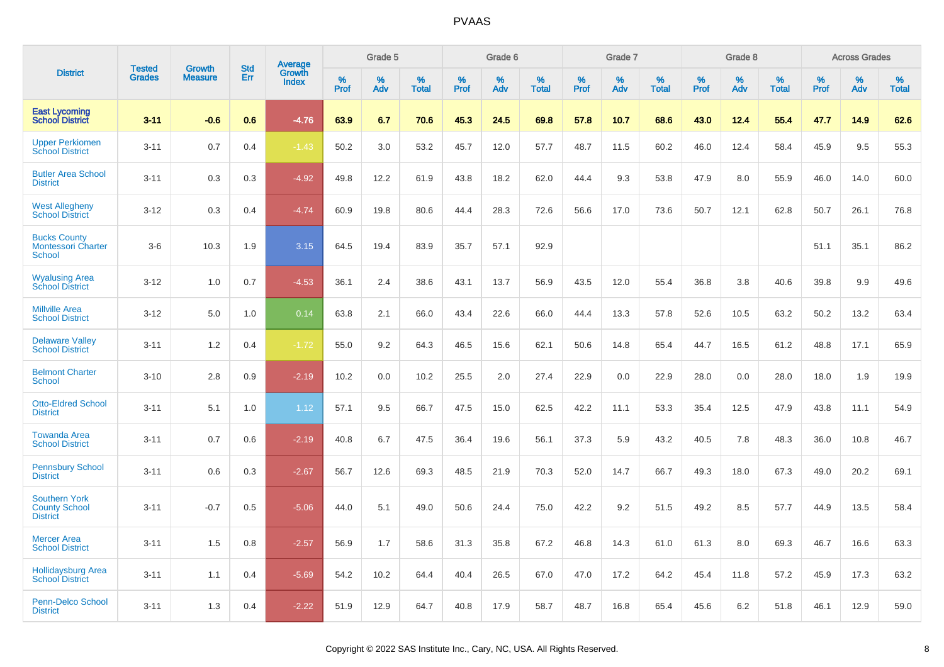|                                                                   | <b>Tested</b> | <b>Growth</b>  | <b>Std</b> | Average                |              | Grade 5  |                   |              | Grade 6  |                   |              | Grade 7  |                   |              | Grade 8  |                   |           | <b>Across Grades</b> |                   |
|-------------------------------------------------------------------|---------------|----------------|------------|------------------------|--------------|----------|-------------------|--------------|----------|-------------------|--------------|----------|-------------------|--------------|----------|-------------------|-----------|----------------------|-------------------|
| <b>District</b>                                                   | <b>Grades</b> | <b>Measure</b> | Err        | Growth<br><b>Index</b> | $\%$<br>Prof | %<br>Adv | %<br><b>Total</b> | $\%$<br>Prof | %<br>Adv | %<br><b>Total</b> | $\%$<br>Prof | %<br>Adv | %<br><b>Total</b> | $\%$<br>Prof | %<br>Adv | %<br><b>Total</b> | %<br>Prof | %<br>Adv             | %<br><b>Total</b> |
| <b>East Lycoming</b><br><b>School District</b>                    | $3 - 11$      | $-0.6$         | 0.6        | $-4.76$                | 63.9         | 6.7      | 70.6              | 45.3         | 24.5     | 69.8              | 57.8         | 10.7     | 68.6              | 43.0         | 12.4     | 55.4              | 47.7      | 14.9                 | 62.6              |
| <b>Upper Perkiomen</b><br><b>School District</b>                  | $3 - 11$      | 0.7            | 0.4        | $-1.43$                | 50.2         | 3.0      | 53.2              | 45.7         | 12.0     | 57.7              | 48.7         | 11.5     | 60.2              | 46.0         | 12.4     | 58.4              | 45.9      | 9.5                  | 55.3              |
| <b>Butler Area School</b><br><b>District</b>                      | $3 - 11$      | 0.3            | 0.3        | $-4.92$                | 49.8         | 12.2     | 61.9              | 43.8         | 18.2     | 62.0              | 44.4         | 9.3      | 53.8              | 47.9         | 8.0      | 55.9              | 46.0      | 14.0                 | 60.0              |
| <b>West Allegheny</b><br><b>School District</b>                   | $3 - 12$      | 0.3            | 0.4        | $-4.74$                | 60.9         | 19.8     | 80.6              | 44.4         | 28.3     | 72.6              | 56.6         | 17.0     | 73.6              | 50.7         | 12.1     | 62.8              | 50.7      | 26.1                 | 76.8              |
| <b>Bucks County</b><br><b>Montessori Charter</b><br><b>School</b> | $3-6$         | 10.3           | 1.9        | 3.15                   | 64.5         | 19.4     | 83.9              | 35.7         | 57.1     | 92.9              |              |          |                   |              |          |                   | 51.1      | 35.1                 | 86.2              |
| <b>Wyalusing Area</b><br><b>School District</b>                   | $3 - 12$      | 1.0            | 0.7        | $-4.53$                | 36.1         | 2.4      | 38.6              | 43.1         | 13.7     | 56.9              | 43.5         | 12.0     | 55.4              | 36.8         | 3.8      | 40.6              | 39.8      | 9.9                  | 49.6              |
| <b>Millville Area</b><br><b>School District</b>                   | $3 - 12$      | 5.0            | 1.0        | 0.14                   | 63.8         | 2.1      | 66.0              | 43.4         | 22.6     | 66.0              | 44.4         | 13.3     | 57.8              | 52.6         | 10.5     | 63.2              | 50.2      | 13.2                 | 63.4              |
| <b>Delaware Valley</b><br><b>School District</b>                  | $3 - 11$      | 1.2            | 0.4        | $-1.72$                | 55.0         | 9.2      | 64.3              | 46.5         | 15.6     | 62.1              | 50.6         | 14.8     | 65.4              | 44.7         | 16.5     | 61.2              | 48.8      | 17.1                 | 65.9              |
| <b>Belmont Charter</b><br><b>School</b>                           | $3 - 10$      | 2.8            | 0.9        | $-2.19$                | 10.2         | 0.0      | 10.2              | 25.5         | 2.0      | 27.4              | 22.9         | 0.0      | 22.9              | 28.0         | 0.0      | 28.0              | 18.0      | 1.9                  | 19.9              |
| <b>Otto-Eldred School</b><br><b>District</b>                      | $3 - 11$      | 5.1            | $1.0\,$    | 1.12                   | 57.1         | 9.5      | 66.7              | 47.5         | 15.0     | 62.5              | 42.2         | 11.1     | 53.3              | 35.4         | 12.5     | 47.9              | 43.8      | 11.1                 | 54.9              |
| <b>Towanda Area</b><br><b>School District</b>                     | $3 - 11$      | 0.7            | 0.6        | $-2.19$                | 40.8         | 6.7      | 47.5              | 36.4         | 19.6     | 56.1              | 37.3         | 5.9      | 43.2              | 40.5         | 7.8      | 48.3              | 36.0      | 10.8                 | 46.7              |
| <b>Pennsbury School</b><br><b>District</b>                        | $3 - 11$      | 0.6            | 0.3        | $-2.67$                | 56.7         | 12.6     | 69.3              | 48.5         | 21.9     | 70.3              | 52.0         | 14.7     | 66.7              | 49.3         | 18.0     | 67.3              | 49.0      | 20.2                 | 69.1              |
| <b>Southern York</b><br><b>County School</b><br><b>District</b>   | $3 - 11$      | $-0.7$         | 0.5        | $-5.06$                | 44.0         | 5.1      | 49.0              | 50.6         | 24.4     | 75.0              | 42.2         | 9.2      | 51.5              | 49.2         | 8.5      | 57.7              | 44.9      | 13.5                 | 58.4              |
| <b>Mercer Area</b><br><b>School District</b>                      | $3 - 11$      | 1.5            | 0.8        | $-2.57$                | 56.9         | 1.7      | 58.6              | 31.3         | 35.8     | 67.2              | 46.8         | 14.3     | 61.0              | 61.3         | 8.0      | 69.3              | 46.7      | 16.6                 | 63.3              |
| <b>Hollidaysburg Area</b><br><b>School District</b>               | $3 - 11$      | 1.1            | 0.4        | $-5.69$                | 54.2         | 10.2     | 64.4              | 40.4         | 26.5     | 67.0              | 47.0         | 17.2     | 64.2              | 45.4         | 11.8     | 57.2              | 45.9      | 17.3                 | 63.2              |
| Penn-Delco School<br><b>District</b>                              | $3 - 11$      | 1.3            | 0.4        | $-2.22$                | 51.9         | 12.9     | 64.7              | 40.8         | 17.9     | 58.7              | 48.7         | 16.8     | 65.4              | 45.6         | 6.2      | 51.8              | 46.1      | 12.9                 | 59.0              |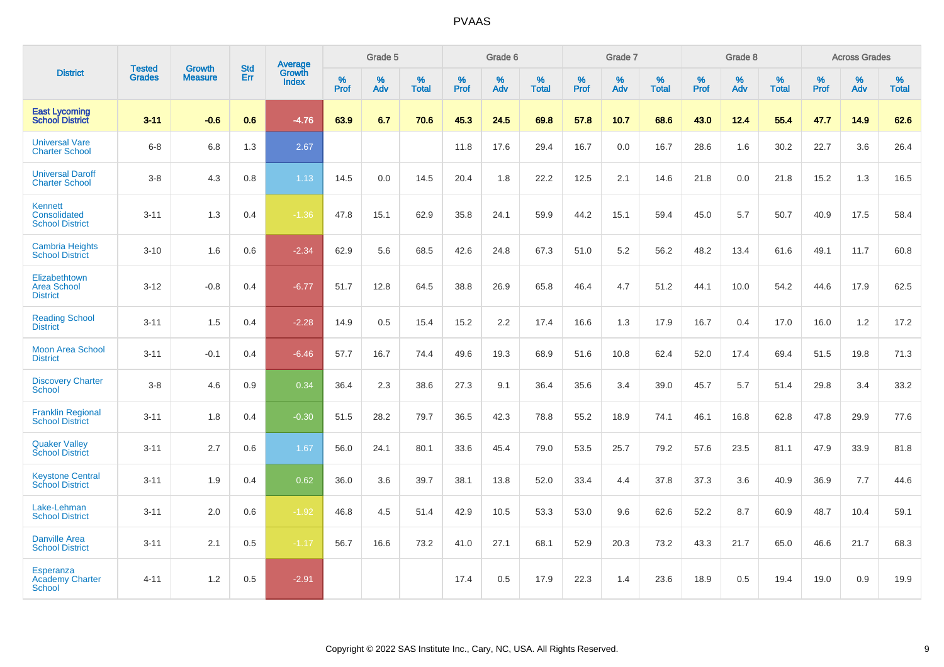|                                                             | <b>Tested</b> | <b>Growth</b>  | <b>Std</b> | Average                |           | Grade 5  |                   |           | Grade 6  |                   |           | Grade 7  |                   |           | Grade 8  |                   |           | <b>Across Grades</b> |                   |
|-------------------------------------------------------------|---------------|----------------|------------|------------------------|-----------|----------|-------------------|-----------|----------|-------------------|-----------|----------|-------------------|-----------|----------|-------------------|-----------|----------------------|-------------------|
| <b>District</b>                                             | <b>Grades</b> | <b>Measure</b> | Err        | Growth<br><b>Index</b> | %<br>Prof | %<br>Adv | %<br><b>Total</b> | %<br>Prof | %<br>Adv | %<br><b>Total</b> | %<br>Prof | %<br>Adv | %<br><b>Total</b> | %<br>Prof | %<br>Adv | %<br><b>Total</b> | %<br>Prof | %<br>Adv             | %<br><b>Total</b> |
| <b>East Lycoming</b><br><b>School District</b>              | $3 - 11$      | $-0.6$         | 0.6        | $-4.76$                | 63.9      | 6.7      | 70.6              | 45.3      | 24.5     | 69.8              | 57.8      | 10.7     | 68.6              | 43.0      | 12.4     | 55.4              | 47.7      | 14.9                 | 62.6              |
| <b>Universal Vare</b><br><b>Charter School</b>              | $6 - 8$       | 6.8            | 1.3        | 2.67                   |           |          |                   | 11.8      | 17.6     | 29.4              | 16.7      | 0.0      | 16.7              | 28.6      | 1.6      | 30.2              | 22.7      | 3.6                  | 26.4              |
| <b>Universal Daroff</b><br><b>Charter School</b>            | $3 - 8$       | 4.3            | 0.8        | 1.13                   | 14.5      | 0.0      | 14.5              | 20.4      | 1.8      | 22.2              | 12.5      | 2.1      | 14.6              | 21.8      | 0.0      | 21.8              | 15.2      | 1.3                  | 16.5              |
| Kennett<br>Consolidated<br><b>School District</b>           | $3 - 11$      | 1.3            | 0.4        | $-1.36$                | 47.8      | 15.1     | 62.9              | 35.8      | 24.1     | 59.9              | 44.2      | 15.1     | 59.4              | 45.0      | 5.7      | 50.7              | 40.9      | 17.5                 | 58.4              |
| <b>Cambria Heights</b><br><b>School District</b>            | $3 - 10$      | 1.6            | 0.6        | $-2.34$                | 62.9      | 5.6      | 68.5              | 42.6      | 24.8     | 67.3              | 51.0      | 5.2      | 56.2              | 48.2      | 13.4     | 61.6              | 49.1      | 11.7                 | 60.8              |
| Elizabethtown<br><b>Area School</b><br><b>District</b>      | $3 - 12$      | $-0.8$         | 0.4        | $-6.77$                | 51.7      | 12.8     | 64.5              | 38.8      | 26.9     | 65.8              | 46.4      | 4.7      | 51.2              | 44.1      | 10.0     | 54.2              | 44.6      | 17.9                 | 62.5              |
| <b>Reading School</b><br><b>District</b>                    | $3 - 11$      | 1.5            | 0.4        | $-2.28$                | 14.9      | 0.5      | 15.4              | 15.2      | 2.2      | 17.4              | 16.6      | 1.3      | 17.9              | 16.7      | 0.4      | 17.0              | 16.0      | 1.2                  | 17.2              |
| <b>Moon Area School</b><br><b>District</b>                  | $3 - 11$      | $-0.1$         | 0.4        | $-6.46$                | 57.7      | 16.7     | 74.4              | 49.6      | 19.3     | 68.9              | 51.6      | 10.8     | 62.4              | 52.0      | 17.4     | 69.4              | 51.5      | 19.8                 | 71.3              |
| <b>Discovery Charter</b><br><b>School</b>                   | $3 - 8$       | 4.6            | 0.9        | 0.34                   | 36.4      | 2.3      | 38.6              | 27.3      | 9.1      | 36.4              | 35.6      | 3.4      | 39.0              | 45.7      | 5.7      | 51.4              | 29.8      | 3.4                  | 33.2              |
| <b>Franklin Regional</b><br><b>School District</b>          | $3 - 11$      | 1.8            | 0.4        | $-0.30$                | 51.5      | 28.2     | 79.7              | 36.5      | 42.3     | 78.8              | 55.2      | 18.9     | 74.1              | 46.1      | 16.8     | 62.8              | 47.8      | 29.9                 | 77.6              |
| <b>Quaker Valley</b><br><b>School District</b>              | $3 - 11$      | 2.7            | 0.6        | 1.67                   | 56.0      | 24.1     | 80.1              | 33.6      | 45.4     | 79.0              | 53.5      | 25.7     | 79.2              | 57.6      | 23.5     | 81.1              | 47.9      | 33.9                 | 81.8              |
| <b>Keystone Central</b><br><b>School District</b>           | $3 - 11$      | 1.9            | 0.4        | 0.62                   | 36.0      | 3.6      | 39.7              | 38.1      | 13.8     | 52.0              | 33.4      | 4.4      | 37.8              | 37.3      | 3.6      | 40.9              | 36.9      | 7.7                  | 44.6              |
| Lake-Lehman<br><b>School District</b>                       | $3 - 11$      | 2.0            | 0.6        | $-1.92$                | 46.8      | 4.5      | 51.4              | 42.9      | 10.5     | 53.3              | 53.0      | 9.6      | 62.6              | 52.2      | 8.7      | 60.9              | 48.7      | 10.4                 | 59.1              |
| <b>Danville Area</b><br><b>School District</b>              | $3 - 11$      | 2.1            | 0.5        | $-1.17$                | 56.7      | 16.6     | 73.2              | 41.0      | 27.1     | 68.1              | 52.9      | 20.3     | 73.2              | 43.3      | 21.7     | 65.0              | 46.6      | 21.7                 | 68.3              |
| <b>Esperanza</b><br><b>Academy Charter</b><br><b>School</b> | $4 - 11$      | 1.2            | 0.5        | $-2.91$                |           |          |                   | 17.4      | 0.5      | 17.9              | 22.3      | 1.4      | 23.6              | 18.9      | 0.5      | 19.4              | 19.0      | 0.9                  | 19.9              |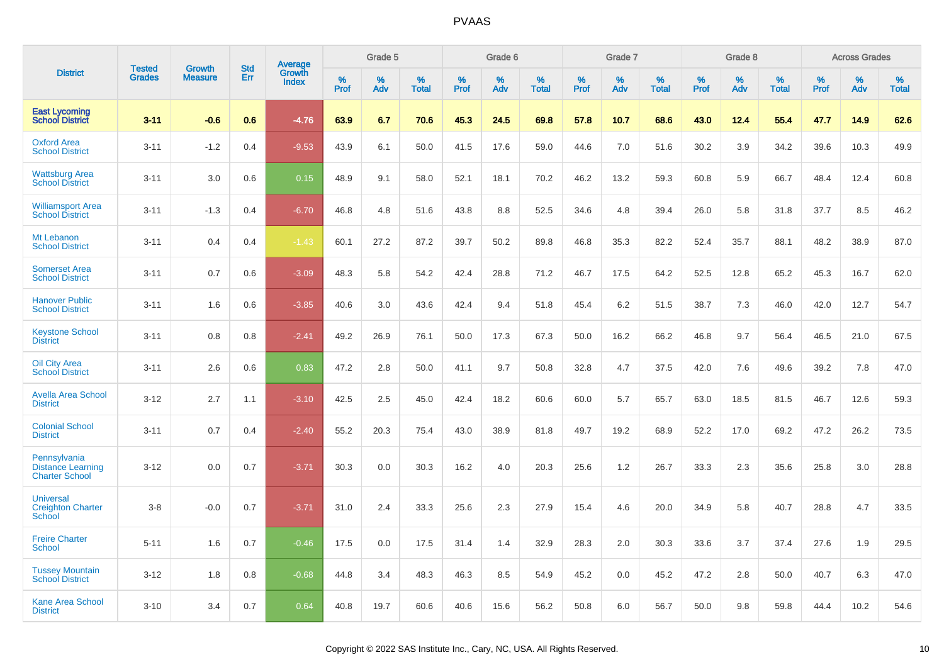|                                                                   |                                |                                 | <b>Std</b> |                                          |                     | Grade 5  |                   |              | Grade 6  |                   |              | Grade 7  |                   |              | Grade 8  |                   |           | <b>Across Grades</b> |                   |
|-------------------------------------------------------------------|--------------------------------|---------------------------------|------------|------------------------------------------|---------------------|----------|-------------------|--------------|----------|-------------------|--------------|----------|-------------------|--------------|----------|-------------------|-----------|----------------------|-------------------|
| <b>District</b>                                                   | <b>Tested</b><br><b>Grades</b> | <b>Growth</b><br><b>Measure</b> | Err        | <b>Average</b><br>Growth<br><b>Index</b> | $\%$<br><b>Prof</b> | %<br>Adv | %<br><b>Total</b> | $\%$<br>Prof | %<br>Adv | %<br><b>Total</b> | $\%$<br>Prof | %<br>Adv | %<br><b>Total</b> | $\%$<br>Prof | %<br>Adv | %<br><b>Total</b> | %<br>Prof | %<br>Adv             | %<br><b>Total</b> |
| <b>East Lycoming</b><br><b>School District</b>                    | $3 - 11$                       | $-0.6$                          | 0.6        | $-4.76$                                  | 63.9                | 6.7      | 70.6              | 45.3         | 24.5     | 69.8              | 57.8         | 10.7     | 68.6              | 43.0         | 12.4     | 55.4              | 47.7      | 14.9                 | 62.6              |
| <b>Oxford Area</b><br><b>School District</b>                      | $3 - 11$                       | $-1.2$                          | 0.4        | $-9.53$                                  | 43.9                | 6.1      | 50.0              | 41.5         | 17.6     | 59.0              | 44.6         | 7.0      | 51.6              | 30.2         | 3.9      | 34.2              | 39.6      | 10.3                 | 49.9              |
| <b>Wattsburg Area</b><br><b>School District</b>                   | $3 - 11$                       | 3.0                             | 0.6        | 0.15                                     | 48.9                | 9.1      | 58.0              | 52.1         | 18.1     | 70.2              | 46.2         | 13.2     | 59.3              | 60.8         | 5.9      | 66.7              | 48.4      | 12.4                 | 60.8              |
| <b>Williamsport Area</b><br><b>School District</b>                | $3 - 11$                       | $-1.3$                          | 0.4        | $-6.70$                                  | 46.8                | 4.8      | 51.6              | 43.8         | 8.8      | 52.5              | 34.6         | 4.8      | 39.4              | 26.0         | 5.8      | 31.8              | 37.7      | 8.5                  | 46.2              |
| Mt Lebanon<br><b>School District</b>                              | $3 - 11$                       | 0.4                             | 0.4        | $-1.43$                                  | 60.1                | 27.2     | 87.2              | 39.7         | 50.2     | 89.8              | 46.8         | 35.3     | 82.2              | 52.4         | 35.7     | 88.1              | 48.2      | 38.9                 | 87.0              |
| <b>Somerset Area</b><br><b>School District</b>                    | $3 - 11$                       | 0.7                             | 0.6        | $-3.09$                                  | 48.3                | 5.8      | 54.2              | 42.4         | 28.8     | 71.2              | 46.7         | 17.5     | 64.2              | 52.5         | 12.8     | 65.2              | 45.3      | 16.7                 | 62.0              |
| <b>Hanover Public</b><br><b>School District</b>                   | $3 - 11$                       | 1.6                             | 0.6        | $-3.85$                                  | 40.6                | 3.0      | 43.6              | 42.4         | 9.4      | 51.8              | 45.4         | 6.2      | 51.5              | 38.7         | 7.3      | 46.0              | 42.0      | 12.7                 | 54.7              |
| <b>Keystone School</b><br><b>District</b>                         | $3 - 11$                       | 0.8                             | 0.8        | $-2.41$                                  | 49.2                | 26.9     | 76.1              | 50.0         | 17.3     | 67.3              | 50.0         | 16.2     | 66.2              | 46.8         | 9.7      | 56.4              | 46.5      | 21.0                 | 67.5              |
| <b>Oil City Area</b><br><b>School District</b>                    | $3 - 11$                       | 2.6                             | 0.6        | 0.83                                     | 47.2                | 2.8      | 50.0              | 41.1         | 9.7      | 50.8              | 32.8         | 4.7      | 37.5              | 42.0         | 7.6      | 49.6              | 39.2      | 7.8                  | 47.0              |
| <b>Avella Area School</b><br><b>District</b>                      | $3 - 12$                       | 2.7                             | 1.1        | $-3.10$                                  | 42.5                | 2.5      | 45.0              | 42.4         | 18.2     | 60.6              | 60.0         | 5.7      | 65.7              | 63.0         | 18.5     | 81.5              | 46.7      | 12.6                 | 59.3              |
| <b>Colonial School</b><br><b>District</b>                         | $3 - 11$                       | 0.7                             | 0.4        | $-2.40$                                  | 55.2                | 20.3     | 75.4              | 43.0         | 38.9     | 81.8              | 49.7         | 19.2     | 68.9              | 52.2         | 17.0     | 69.2              | 47.2      | 26.2                 | 73.5              |
| Pennsylvania<br><b>Distance Learning</b><br><b>Charter School</b> | $3 - 12$                       | 0.0                             | 0.7        | $-3.71$                                  | 30.3                | 0.0      | 30.3              | 16.2         | 4.0      | 20.3              | 25.6         | 1.2      | 26.7              | 33.3         | 2.3      | 35.6              | 25.8      | 3.0                  | 28.8              |
| <b>Universal</b><br><b>Creighton Charter</b><br>School            | $3-8$                          | $-0.0$                          | 0.7        | $-3.71$                                  | 31.0                | 2.4      | 33.3              | 25.6         | 2.3      | 27.9              | 15.4         | 4.6      | 20.0              | 34.9         | 5.8      | 40.7              | 28.8      | 4.7                  | 33.5              |
| <b>Freire Charter</b><br><b>School</b>                            | $5 - 11$                       | 1.6                             | 0.7        | $-0.46$                                  | 17.5                | 0.0      | 17.5              | 31.4         | 1.4      | 32.9              | 28.3         | 2.0      | 30.3              | 33.6         | 3.7      | 37.4              | 27.6      | 1.9                  | 29.5              |
| <b>Tussey Mountain</b><br><b>School District</b>                  | $3 - 12$                       | 1.8                             | 0.8        | $-0.68$                                  | 44.8                | 3.4      | 48.3              | 46.3         | 8.5      | 54.9              | 45.2         | 0.0      | 45.2              | 47.2         | 2.8      | 50.0              | 40.7      | 6.3                  | 47.0              |
| <b>Kane Area School</b><br><b>District</b>                        | $3 - 10$                       | 3.4                             | 0.7        | 0.64                                     | 40.8                | 19.7     | 60.6              | 40.6         | 15.6     | 56.2              | 50.8         | 6.0      | 56.7              | 50.0         | 9.8      | 59.8              | 44.4      | 10.2                 | 54.6              |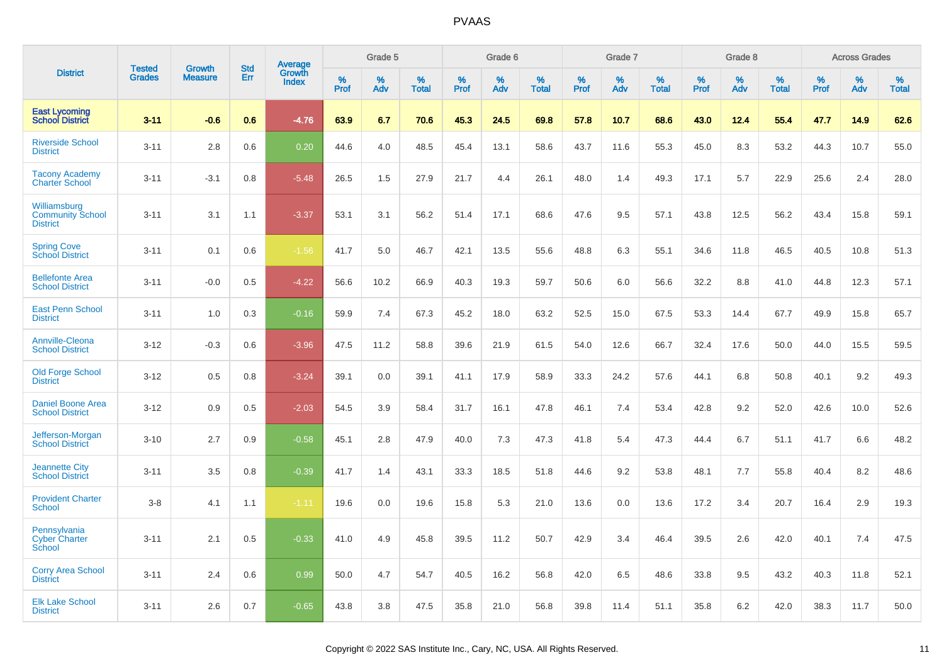|                                                            | <b>Tested</b> | <b>Growth</b>  | <b>Std</b> | <b>Average</b>         |              | Grade 5  |                   |              | Grade 6  |                   |              | Grade 7  |                   |              | Grade 8  |                   |              | <b>Across Grades</b> |                   |
|------------------------------------------------------------|---------------|----------------|------------|------------------------|--------------|----------|-------------------|--------------|----------|-------------------|--------------|----------|-------------------|--------------|----------|-------------------|--------------|----------------------|-------------------|
| <b>District</b>                                            | <b>Grades</b> | <b>Measure</b> | Err        | Growth<br><b>Index</b> | $\%$<br>Prof | %<br>Adv | %<br><b>Total</b> | $\%$<br>Prof | %<br>Adv | %<br><b>Total</b> | $\%$<br>Prof | %<br>Adv | %<br><b>Total</b> | $\%$<br>Prof | %<br>Adv | %<br><b>Total</b> | $\%$<br>Prof | %<br>Adv             | %<br><b>Total</b> |
| <b>East Lycoming</b><br><b>School District</b>             | $3 - 11$      | $-0.6$         | 0.6        | $-4.76$                | 63.9         | 6.7      | 70.6              | 45.3         | 24.5     | 69.8              | 57.8         | 10.7     | 68.6              | 43.0         | 12.4     | 55.4              | 47.7         | 14.9                 | 62.6              |
| <b>Riverside School</b><br><b>District</b>                 | $3 - 11$      | 2.8            | 0.6        | 0.20                   | 44.6         | $4.0\,$  | 48.5              | 45.4         | 13.1     | 58.6              | 43.7         | 11.6     | 55.3              | 45.0         | 8.3      | 53.2              | 44.3         | 10.7                 | 55.0              |
| <b>Tacony Academy</b><br><b>Charter School</b>             | $3 - 11$      | $-3.1$         | 0.8        | $-5.48$                | 26.5         | 1.5      | 27.9              | 21.7         | 4.4      | 26.1              | 48.0         | 1.4      | 49.3              | 17.1         | 5.7      | 22.9              | 25.6         | 2.4                  | 28.0              |
| Williamsburg<br><b>Community School</b><br><b>District</b> | $3 - 11$      | 3.1            | 1.1        | $-3.37$                | 53.1         | 3.1      | 56.2              | 51.4         | 17.1     | 68.6              | 47.6         | 9.5      | 57.1              | 43.8         | 12.5     | 56.2              | 43.4         | 15.8                 | 59.1              |
| <b>Spring Cove</b><br>School District                      | $3 - 11$      | 0.1            | 0.6        | $-1.56$                | 41.7         | 5.0      | 46.7              | 42.1         | 13.5     | 55.6              | 48.8         | 6.3      | 55.1              | 34.6         | 11.8     | 46.5              | 40.5         | 10.8                 | 51.3              |
| <b>Bellefonte Area</b><br><b>School District</b>           | $3 - 11$      | $-0.0$         | 0.5        | $-4.22$                | 56.6         | 10.2     | 66.9              | 40.3         | 19.3     | 59.7              | 50.6         | 6.0      | 56.6              | 32.2         | 8.8      | 41.0              | 44.8         | 12.3                 | 57.1              |
| <b>East Penn School</b><br><b>District</b>                 | $3 - 11$      | 1.0            | 0.3        | $-0.16$                | 59.9         | 7.4      | 67.3              | 45.2         | 18.0     | 63.2              | 52.5         | 15.0     | 67.5              | 53.3         | 14.4     | 67.7              | 49.9         | 15.8                 | 65.7              |
| <b>Annville-Cleona</b><br><b>School District</b>           | $3 - 12$      | $-0.3$         | 0.6        | $-3.96$                | 47.5         | 11.2     | 58.8              | 39.6         | 21.9     | 61.5              | 54.0         | 12.6     | 66.7              | 32.4         | 17.6     | 50.0              | 44.0         | 15.5                 | 59.5              |
| <b>Old Forge School</b><br><b>District</b>                 | $3 - 12$      | 0.5            | 0.8        | $-3.24$                | 39.1         | 0.0      | 39.1              | 41.1         | 17.9     | 58.9              | 33.3         | 24.2     | 57.6              | 44.1         | 6.8      | 50.8              | 40.1         | 9.2                  | 49.3              |
| <b>Daniel Boone Area</b><br><b>School District</b>         | $3 - 12$      | 0.9            | 0.5        | $-2.03$                | 54.5         | 3.9      | 58.4              | 31.7         | 16.1     | 47.8              | 46.1         | 7.4      | 53.4              | 42.8         | 9.2      | 52.0              | 42.6         | 10.0                 | 52.6              |
| Jefferson-Morgan<br><b>School District</b>                 | $3 - 10$      | 2.7            | 0.9        | $-0.58$                | 45.1         | 2.8      | 47.9              | 40.0         | 7.3      | 47.3              | 41.8         | 5.4      | 47.3              | 44.4         | 6.7      | 51.1              | 41.7         | 6.6                  | 48.2              |
| <b>Jeannette City</b><br><b>School District</b>            | $3 - 11$      | 3.5            | 0.8        | $-0.39$                | 41.7         | 1.4      | 43.1              | 33.3         | 18.5     | 51.8              | 44.6         | 9.2      | 53.8              | 48.1         | 7.7      | 55.8              | 40.4         | 8.2                  | 48.6              |
| <b>Provident Charter</b><br><b>School</b>                  | $3-8$         | 4.1            | 1.1        | $-1.11$                | 19.6         | 0.0      | 19.6              | 15.8         | 5.3      | 21.0              | 13.6         | 0.0      | 13.6              | 17.2         | 3.4      | 20.7              | 16.4         | 2.9                  | 19.3              |
| Pennsylvania<br><b>Cyber Charter</b><br>School             | $3 - 11$      | 2.1            | 0.5        | $-0.33$                | 41.0         | 4.9      | 45.8              | 39.5         | 11.2     | 50.7              | 42.9         | 3.4      | 46.4              | 39.5         | 2.6      | 42.0              | 40.1         | 7.4                  | 47.5              |
| <b>Corry Area School</b><br><b>District</b>                | $3 - 11$      | 2.4            | 0.6        | 0.99                   | 50.0         | 4.7      | 54.7              | 40.5         | 16.2     | 56.8              | 42.0         | 6.5      | 48.6              | 33.8         | 9.5      | 43.2              | 40.3         | 11.8                 | 52.1              |
| <b>Elk Lake School</b><br><b>District</b>                  | $3 - 11$      | 2.6            | 0.7        | $-0.65$                | 43.8         | 3.8      | 47.5              | 35.8         | 21.0     | 56.8              | 39.8         | 11.4     | 51.1              | 35.8         | 6.2      | 42.0              | 38.3         | 11.7                 | 50.0              |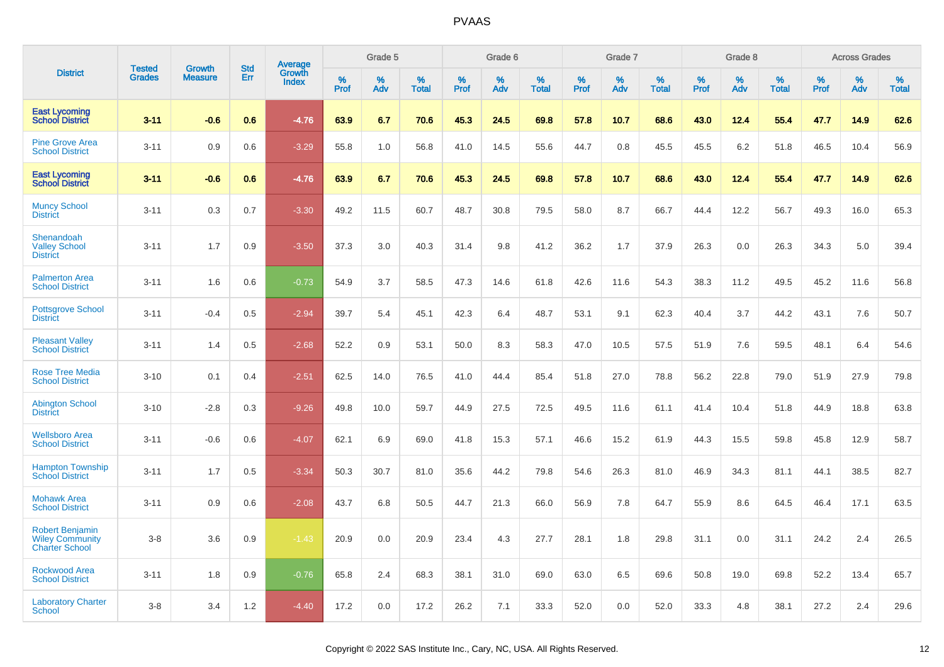|                                                                           | <b>Tested</b> | <b>Growth</b>  | <b>Std</b> | Average                |              | Grade 5  |                   |              | Grade 6  |                   |              | Grade 7  |                   |              | Grade 8  |                   |              | <b>Across Grades</b> |                   |
|---------------------------------------------------------------------------|---------------|----------------|------------|------------------------|--------------|----------|-------------------|--------------|----------|-------------------|--------------|----------|-------------------|--------------|----------|-------------------|--------------|----------------------|-------------------|
| <b>District</b>                                                           | <b>Grades</b> | <b>Measure</b> | Err        | Growth<br><b>Index</b> | $\%$<br>Prof | %<br>Adv | %<br><b>Total</b> | $\%$<br>Prof | %<br>Adv | %<br><b>Total</b> | $\%$<br>Prof | %<br>Adv | %<br><b>Total</b> | $\%$<br>Prof | %<br>Adv | %<br><b>Total</b> | $\%$<br>Prof | $\%$<br>Adv          | %<br><b>Total</b> |
| <b>East Lycoming</b><br><b>School District</b>                            | $3 - 11$      | $-0.6$         | 0.6        | $-4.76$                | 63.9         | 6.7      | 70.6              | 45.3         | 24.5     | 69.8              | 57.8         | 10.7     | 68.6              | 43.0         | 12.4     | 55.4              | 47.7         | 14.9                 | 62.6              |
| <b>Pine Grove Area</b><br><b>School District</b>                          | $3 - 11$      | 0.9            | 0.6        | $-3.29$                | 55.8         | 1.0      | 56.8              | 41.0         | 14.5     | 55.6              | 44.7         | 0.8      | 45.5              | 45.5         | 6.2      | 51.8              | 46.5         | 10.4                 | 56.9              |
| <b>East Lycoming</b><br><b>School District</b>                            | $3 - 11$      | $-0.6$         | 0.6        | $-4.76$                | 63.9         | 6.7      | 70.6              | 45.3         | 24.5     | 69.8              | 57.8         | 10.7     | 68.6              | 43.0         | 12.4     | 55.4              | 47.7         | 14.9                 | 62.6              |
| <b>Muncy School</b><br><b>District</b>                                    | $3 - 11$      | 0.3            | 0.7        | $-3.30$                | 49.2         | 11.5     | 60.7              | 48.7         | 30.8     | 79.5              | 58.0         | 8.7      | 66.7              | 44.4         | 12.2     | 56.7              | 49.3         | 16.0                 | 65.3              |
| Shenandoah<br><b>Valley School</b><br><b>District</b>                     | $3 - 11$      | 1.7            | 0.9        | $-3.50$                | 37.3         | 3.0      | 40.3              | 31.4         | 9.8      | 41.2              | 36.2         | 1.7      | 37.9              | 26.3         | 0.0      | 26.3              | 34.3         | 5.0                  | 39.4              |
| <b>Palmerton Area</b><br><b>School District</b>                           | $3 - 11$      | 1.6            | 0.6        | $-0.73$                | 54.9         | 3.7      | 58.5              | 47.3         | 14.6     | 61.8              | 42.6         | 11.6     | 54.3              | 38.3         | 11.2     | 49.5              | 45.2         | 11.6                 | 56.8              |
| <b>Pottsgrove School</b><br><b>District</b>                               | $3 - 11$      | $-0.4$         | 0.5        | $-2.94$                | 39.7         | 5.4      | 45.1              | 42.3         | 6.4      | 48.7              | 53.1         | 9.1      | 62.3              | 40.4         | 3.7      | 44.2              | 43.1         | 7.6                  | 50.7              |
| <b>Pleasant Valley</b><br><b>School District</b>                          | $3 - 11$      | 1.4            | 0.5        | $-2.68$                | 52.2         | 0.9      | 53.1              | 50.0         | 8.3      | 58.3              | 47.0         | 10.5     | 57.5              | 51.9         | 7.6      | 59.5              | 48.1         | 6.4                  | 54.6              |
| <b>Rose Tree Media</b><br><b>School District</b>                          | $3 - 10$      | 0.1            | 0.4        | $-2.51$                | 62.5         | 14.0     | 76.5              | 41.0         | 44.4     | 85.4              | 51.8         | 27.0     | 78.8              | 56.2         | 22.8     | 79.0              | 51.9         | 27.9                 | 79.8              |
| <b>Abington School</b><br><b>District</b>                                 | $3 - 10$      | $-2.8$         | 0.3        | $-9.26$                | 49.8         | 10.0     | 59.7              | 44.9         | 27.5     | 72.5              | 49.5         | 11.6     | 61.1              | 41.4         | 10.4     | 51.8              | 44.9         | 18.8                 | 63.8              |
| <b>Wellsboro Area</b><br><b>School District</b>                           | $3 - 11$      | $-0.6$         | 0.6        | $-4.07$                | 62.1         | 6.9      | 69.0              | 41.8         | 15.3     | 57.1              | 46.6         | 15.2     | 61.9              | 44.3         | 15.5     | 59.8              | 45.8         | 12.9                 | 58.7              |
| <b>Hampton Township</b><br><b>School District</b>                         | $3 - 11$      | 1.7            | 0.5        | $-3.34$                | 50.3         | 30.7     | 81.0              | 35.6         | 44.2     | 79.8              | 54.6         | 26.3     | 81.0              | 46.9         | 34.3     | 81.1              | 44.1         | 38.5                 | 82.7              |
| <b>Mohawk Area</b><br><b>School District</b>                              | $3 - 11$      | 0.9            | 0.6        | $-2.08$                | 43.7         | 6.8      | 50.5              | 44.7         | 21.3     | 66.0              | 56.9         | 7.8      | 64.7              | 55.9         | 8.6      | 64.5              | 46.4         | 17.1                 | 63.5              |
| <b>Robert Benjamin</b><br><b>Wiley Community</b><br><b>Charter School</b> | $3-8$         | 3.6            | 0.9        | $-1.43$                | 20.9         | 0.0      | 20.9              | 23.4         | 4.3      | 27.7              | 28.1         | 1.8      | 29.8              | 31.1         | 0.0      | 31.1              | 24.2         | 2.4                  | 26.5              |
| <b>Rockwood Area</b><br><b>School District</b>                            | $3 - 11$      | 1.8            | 0.9        | $-0.76$                | 65.8         | 2.4      | 68.3              | 38.1         | 31.0     | 69.0              | 63.0         | 6.5      | 69.6              | 50.8         | 19.0     | 69.8              | 52.2         | 13.4                 | 65.7              |
| <b>Laboratory Charter</b><br><b>School</b>                                | $3-8$         | 3.4            | 1.2        | $-4.40$                | 17.2         | 0.0      | 17.2              | 26.2         | 7.1      | 33.3              | 52.0         | 0.0      | 52.0              | 33.3         | 4.8      | 38.1              | 27.2         | 2.4                  | 29.6              |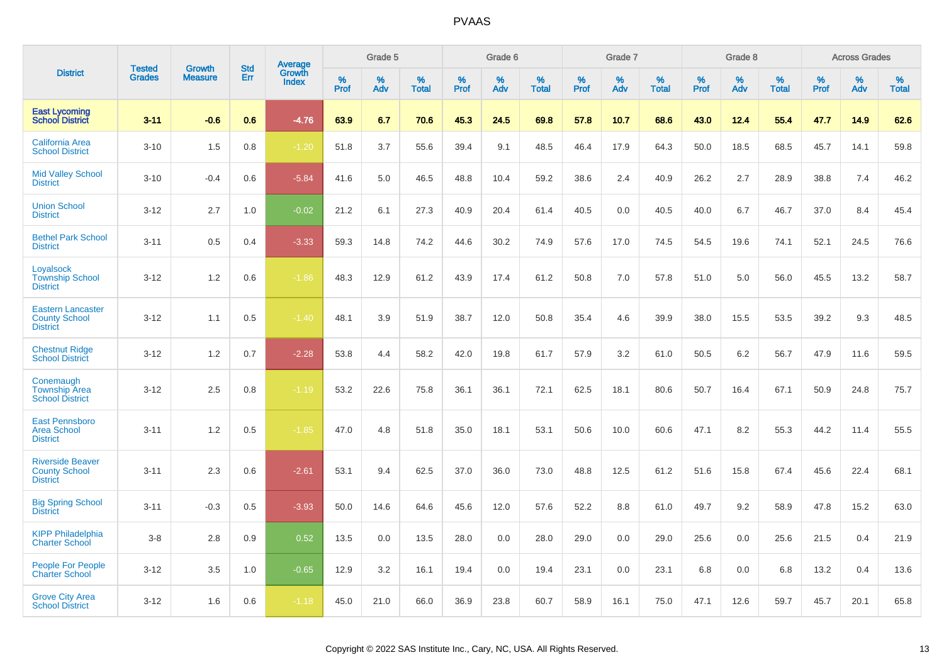|                                                                     |                                | <b>Growth</b>  | <b>Std</b> | <b>Average</b><br>Growth |                     | Grade 5  |                   |           | Grade 6  |                   |           | Grade 7  |                   |           | Grade 8  |                   |           | <b>Across Grades</b> |                   |
|---------------------------------------------------------------------|--------------------------------|----------------|------------|--------------------------|---------------------|----------|-------------------|-----------|----------|-------------------|-----------|----------|-------------------|-----------|----------|-------------------|-----------|----------------------|-------------------|
| <b>District</b>                                                     | <b>Tested</b><br><b>Grades</b> | <b>Measure</b> | Err        | <b>Index</b>             | $\%$<br><b>Prof</b> | %<br>Adv | %<br><b>Total</b> | %<br>Prof | %<br>Adv | %<br><b>Total</b> | %<br>Prof | %<br>Adv | %<br><b>Total</b> | %<br>Prof | %<br>Adv | %<br><b>Total</b> | %<br>Prof | %<br>Adv             | %<br><b>Total</b> |
| <b>East Lycoming</b><br><b>School District</b>                      | $3 - 11$                       | $-0.6$         | 0.6        | $-4.76$                  | 63.9                | 6.7      | 70.6              | 45.3      | 24.5     | 69.8              | 57.8      | 10.7     | 68.6              | 43.0      | 12.4     | 55.4              | 47.7      | 14.9                 | 62.6              |
| <b>California Area</b><br><b>School District</b>                    | $3 - 10$                       | 1.5            | 0.8        | $-1.20$                  | 51.8                | 3.7      | 55.6              | 39.4      | 9.1      | 48.5              | 46.4      | 17.9     | 64.3              | 50.0      | 18.5     | 68.5              | 45.7      | 14.1                 | 59.8              |
| <b>Mid Valley School</b><br><b>District</b>                         | $3 - 10$                       | $-0.4$         | 0.6        | $-5.84$                  | 41.6                | 5.0      | 46.5              | 48.8      | 10.4     | 59.2              | 38.6      | 2.4      | 40.9              | 26.2      | 2.7      | 28.9              | 38.8      | 7.4                  | 46.2              |
| <b>Union School</b><br><b>District</b>                              | $3 - 12$                       | 2.7            | 1.0        | $-0.02$                  | 21.2                | 6.1      | 27.3              | 40.9      | 20.4     | 61.4              | 40.5      | 0.0      | 40.5              | 40.0      | 6.7      | 46.7              | 37.0      | 8.4                  | 45.4              |
| <b>Bethel Park School</b><br><b>District</b>                        | $3 - 11$                       | 0.5            | 0.4        | $-3.33$                  | 59.3                | 14.8     | 74.2              | 44.6      | 30.2     | 74.9              | 57.6      | 17.0     | 74.5              | 54.5      | 19.6     | 74.1              | 52.1      | 24.5                 | 76.6              |
| Loyalsock<br><b>Township School</b><br><b>District</b>              | $3 - 12$                       | 1.2            | 0.6        | $-1.86$                  | 48.3                | 12.9     | 61.2              | 43.9      | 17.4     | 61.2              | 50.8      | 7.0      | 57.8              | 51.0      | 5.0      | 56.0              | 45.5      | 13.2                 | 58.7              |
| <b>Eastern Lancaster</b><br><b>County School</b><br><b>District</b> | $3 - 12$                       | 1.1            | 0.5        | $-1.40$                  | 48.1                | 3.9      | 51.9              | 38.7      | 12.0     | 50.8              | 35.4      | 4.6      | 39.9              | 38.0      | 15.5     | 53.5              | 39.2      | 9.3                  | 48.5              |
| <b>Chestnut Ridge</b><br><b>School District</b>                     | $3 - 12$                       | 1.2            | 0.7        | $-2.28$                  | 53.8                | 4.4      | 58.2              | 42.0      | 19.8     | 61.7              | 57.9      | 3.2      | 61.0              | 50.5      | 6.2      | 56.7              | 47.9      | 11.6                 | 59.5              |
| Conemaugh<br><b>Township Area</b><br><b>School District</b>         | $3 - 12$                       | 2.5            | 0.8        | $-1.19$                  | 53.2                | 22.6     | 75.8              | 36.1      | 36.1     | 72.1              | 62.5      | 18.1     | 80.6              | 50.7      | 16.4     | 67.1              | 50.9      | 24.8                 | 75.7              |
| <b>East Pennsboro</b><br><b>Area School</b><br><b>District</b>      | $3 - 11$                       | 1.2            | 0.5        | $-1.85$                  | 47.0                | 4.8      | 51.8              | 35.0      | 18.1     | 53.1              | 50.6      | 10.0     | 60.6              | 47.1      | 8.2      | 55.3              | 44.2      | 11.4                 | 55.5              |
| <b>Riverside Beaver</b><br><b>County School</b><br><b>District</b>  | $3 - 11$                       | 2.3            | 0.6        | $-2.61$                  | 53.1                | 9.4      | 62.5              | 37.0      | 36.0     | 73.0              | 48.8      | 12.5     | 61.2              | 51.6      | 15.8     | 67.4              | 45.6      | 22.4                 | 68.1              |
| <b>Big Spring School</b><br><b>District</b>                         | $3 - 11$                       | $-0.3$         | 0.5        | $-3.93$                  | 50.0                | 14.6     | 64.6              | 45.6      | 12.0     | 57.6              | 52.2      | 8.8      | 61.0              | 49.7      | 9.2      | 58.9              | 47.8      | 15.2                 | 63.0              |
| <b>KIPP Philadelphia</b><br><b>Charter School</b>                   | $3-8$                          | 2.8            | 0.9        | 0.52                     | 13.5                | 0.0      | 13.5              | 28.0      | 0.0      | 28.0              | 29.0      | 0.0      | 29.0              | 25.6      | 0.0      | 25.6              | 21.5      | 0.4                  | 21.9              |
| <b>People For People</b><br><b>Charter School</b>                   | $3 - 12$                       | 3.5            | 1.0        | $-0.65$                  | 12.9                | 3.2      | 16.1              | 19.4      | 0.0      | 19.4              | 23.1      | 0.0      | 23.1              | 6.8       | 0.0      | 6.8               | 13.2      | 0.4                  | 13.6              |
| <b>Grove City Area</b><br><b>School District</b>                    | $3 - 12$                       | 1.6            | 0.6        | $-1.18$                  | 45.0                | 21.0     | 66.0              | 36.9      | 23.8     | 60.7              | 58.9      | 16.1     | 75.0              | 47.1      | 12.6     | 59.7              | 45.7      | 20.1                 | 65.8              |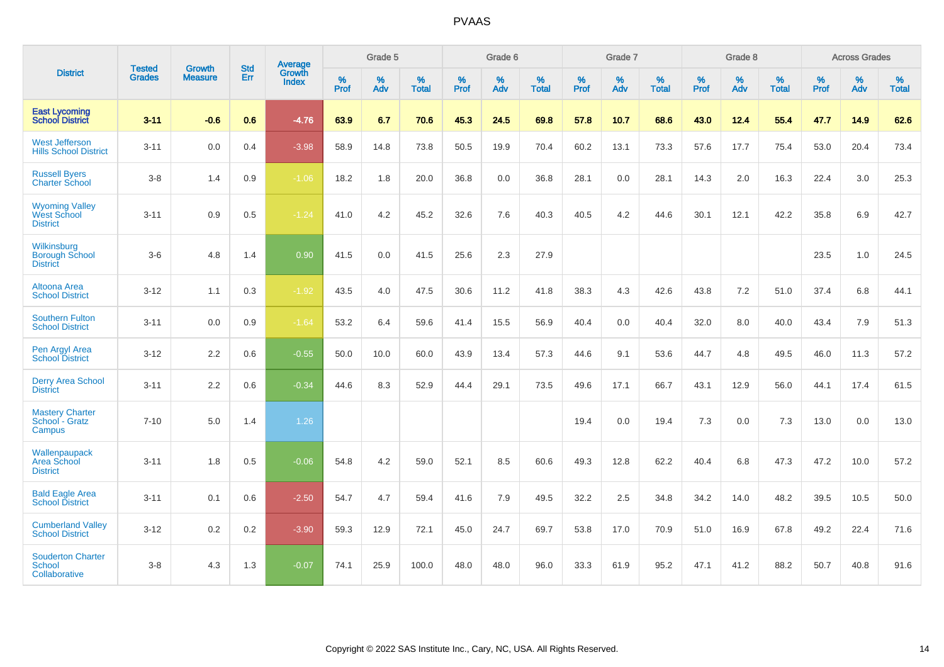|                                                                | <b>Tested</b> | <b>Growth</b>  | <b>Std</b> | Average                |                     | Grade 5     |                   |                     | Grade 6  |                   |                     | Grade 7  |                   |              | Grade 8  |                   |                     | <b>Across Grades</b> |                   |
|----------------------------------------------------------------|---------------|----------------|------------|------------------------|---------------------|-------------|-------------------|---------------------|----------|-------------------|---------------------|----------|-------------------|--------------|----------|-------------------|---------------------|----------------------|-------------------|
| <b>District</b>                                                | <b>Grades</b> | <b>Measure</b> | Err        | Growth<br><b>Index</b> | $\%$<br><b>Prof</b> | $\%$<br>Adv | %<br><b>Total</b> | $\%$<br><b>Prof</b> | %<br>Adv | %<br><b>Total</b> | $\%$<br><b>Prof</b> | %<br>Adv | %<br><b>Total</b> | $\%$<br>Prof | %<br>Adv | %<br><b>Total</b> | $\%$<br><b>Prof</b> | %<br>Adv             | %<br><b>Total</b> |
| <b>East Lycoming</b><br><b>School District</b>                 | $3 - 11$      | $-0.6$         | 0.6        | $-4.76$                | 63.9                | 6.7         | 70.6              | 45.3                | 24.5     | 69.8              | 57.8                | 10.7     | 68.6              | 43.0         | 12.4     | 55.4              | 47.7                | 14.9                 | 62.6              |
| <b>West Jefferson</b><br><b>Hills School District</b>          | $3 - 11$      | 0.0            | 0.4        | $-3.98$                | 58.9                | 14.8        | 73.8              | 50.5                | 19.9     | 70.4              | 60.2                | 13.1     | 73.3              | 57.6         | 17.7     | 75.4              | 53.0                | 20.4                 | 73.4              |
| <b>Russell Byers</b><br><b>Charter School</b>                  | $3-8$         | 1.4            | 0.9        | $-1.06$                | 18.2                | 1.8         | 20.0              | 36.8                | 0.0      | 36.8              | 28.1                | 0.0      | 28.1              | 14.3         | 2.0      | 16.3              | 22.4                | 3.0                  | 25.3              |
| <b>Wyoming Valley</b><br><b>West School</b><br><b>District</b> | $3 - 11$      | 0.9            | 0.5        | $-1.24$                | 41.0                | 4.2         | 45.2              | 32.6                | 7.6      | 40.3              | 40.5                | 4.2      | 44.6              | 30.1         | 12.1     | 42.2              | 35.8                | 6.9                  | 42.7              |
| Wilkinsburg<br><b>Borough School</b><br><b>District</b>        | $3-6$         | 4.8            | 1.4        | 0.90                   | 41.5                | 0.0         | 41.5              | 25.6                | 2.3      | 27.9              |                     |          |                   |              |          |                   | 23.5                | 1.0                  | 24.5              |
| Altoona Area<br><b>School District</b>                         | $3 - 12$      | 1.1            | 0.3        | $-1.92$                | 43.5                | 4.0         | 47.5              | 30.6                | 11.2     | 41.8              | 38.3                | 4.3      | 42.6              | 43.8         | 7.2      | 51.0              | 37.4                | 6.8                  | 44.1              |
| <b>Southern Fulton</b><br><b>School District</b>               | $3 - 11$      | 0.0            | 0.9        | $-1.64$                | 53.2                | 6.4         | 59.6              | 41.4                | 15.5     | 56.9              | 40.4                | 0.0      | 40.4              | 32.0         | $8.0\,$  | 40.0              | 43.4                | 7.9                  | 51.3              |
| Pen Argyl Area<br><b>School District</b>                       | $3 - 12$      | 2.2            | 0.6        | $-0.55$                | 50.0                | 10.0        | 60.0              | 43.9                | 13.4     | 57.3              | 44.6                | 9.1      | 53.6              | 44.7         | 4.8      | 49.5              | 46.0                | 11.3                 | 57.2              |
| <b>Derry Area School</b><br><b>District</b>                    | $3 - 11$      | 2.2            | 0.6        | $-0.34$                | 44.6                | 8.3         | 52.9              | 44.4                | 29.1     | 73.5              | 49.6                | 17.1     | 66.7              | 43.1         | 12.9     | 56.0              | 44.1                | 17.4                 | 61.5              |
| <b>Mastery Charter</b><br>School - Gratz<br>Campus             | $7 - 10$      | 5.0            | 1.4        | 1.26                   |                     |             |                   |                     |          |                   | 19.4                | 0.0      | 19.4              | 7.3          | 0.0      | 7.3               | 13.0                | 0.0                  | 13.0              |
| Wallenpaupack<br>Area School<br><b>District</b>                | $3 - 11$      | 1.8            | 0.5        | $-0.06$                | 54.8                | 4.2         | 59.0              | 52.1                | 8.5      | 60.6              | 49.3                | 12.8     | 62.2              | 40.4         | 6.8      | 47.3              | 47.2                | 10.0                 | 57.2              |
| <b>Bald Eagle Area</b><br><b>School District</b>               | $3 - 11$      | 0.1            | 0.6        | $-2.50$                | 54.7                | 4.7         | 59.4              | 41.6                | 7.9      | 49.5              | 32.2                | 2.5      | 34.8              | 34.2         | 14.0     | 48.2              | 39.5                | 10.5                 | 50.0              |
| <b>Cumberland Valley</b><br><b>School District</b>             | $3 - 12$      | $0.2\,$        | $0.2\,$    | $-3.90$                | 59.3                | 12.9        | 72.1              | 45.0                | 24.7     | 69.7              | 53.8                | 17.0     | 70.9              | 51.0         | 16.9     | 67.8              | 49.2                | 22.4                 | 71.6              |
| <b>Souderton Charter</b><br><b>School</b><br>Collaborative     | $3-8$         | 4.3            | 1.3        | $-0.07$                | 74.1                | 25.9        | 100.0             | 48.0                | 48.0     | 96.0              | 33.3                | 61.9     | 95.2              | 47.1         | 41.2     | 88.2              | 50.7                | 40.8                 | 91.6              |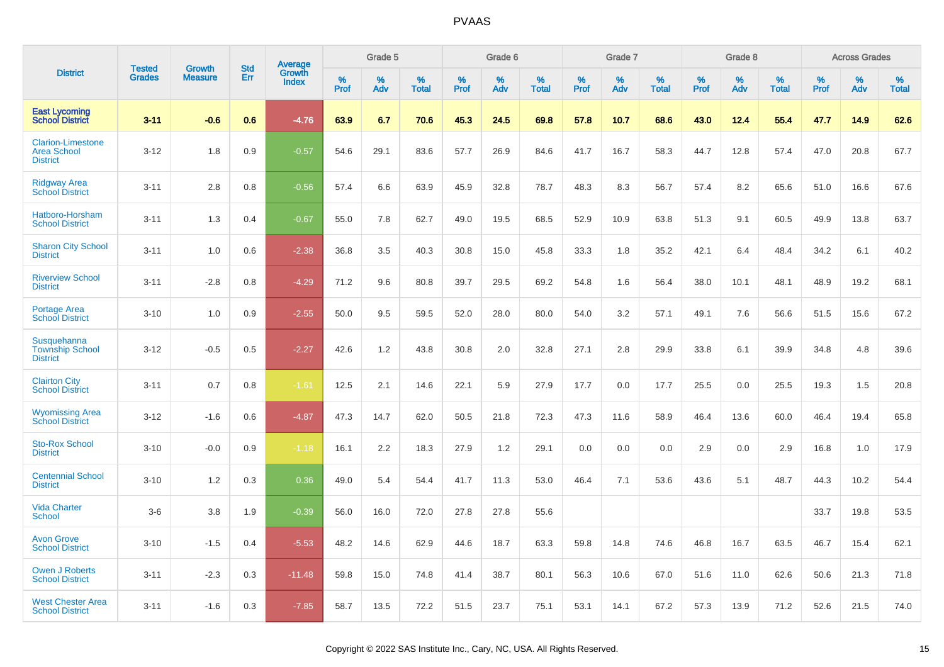|                                                                   | <b>Tested</b> | <b>Growth</b>  | <b>Std</b> |                                          |                  | Grade 5  |                   |                  | Grade 6  |                   |                  | Grade 7  |                   |              | Grade 8  |                   |              | <b>Across Grades</b> |                   |
|-------------------------------------------------------------------|---------------|----------------|------------|------------------------------------------|------------------|----------|-------------------|------------------|----------|-------------------|------------------|----------|-------------------|--------------|----------|-------------------|--------------|----------------------|-------------------|
| <b>District</b>                                                   | <b>Grades</b> | <b>Measure</b> | Err        | <b>Average</b><br>Growth<br><b>Index</b> | %<br><b>Prof</b> | %<br>Adv | %<br><b>Total</b> | %<br><b>Prof</b> | %<br>Adv | %<br><b>Total</b> | %<br><b>Prof</b> | %<br>Adv | %<br><b>Total</b> | $\%$<br>Prof | %<br>Adv | %<br><b>Total</b> | $\%$<br>Prof | %<br>Adv             | %<br><b>Total</b> |
| <b>East Lycoming</b><br><b>School District</b>                    | $3 - 11$      | $-0.6$         | 0.6        | $-4.76$                                  | 63.9             | 6.7      | 70.6              | 45.3             | 24.5     | 69.8              | 57.8             | 10.7     | 68.6              | 43.0         | 12.4     | 55.4              | 47.7         | 14.9                 | 62.6              |
| <b>Clarion-Limestone</b><br><b>Area School</b><br><b>District</b> | $3 - 12$      | 1.8            | 0.9        | $-0.57$                                  | 54.6             | 29.1     | 83.6              | 57.7             | 26.9     | 84.6              | 41.7             | 16.7     | 58.3              | 44.7         | 12.8     | 57.4              | 47.0         | 20.8                 | 67.7              |
| <b>Ridgway Area</b><br><b>School District</b>                     | $3 - 11$      | 2.8            | 0.8        | $-0.56$                                  | 57.4             | 6.6      | 63.9              | 45.9             | 32.8     | 78.7              | 48.3             | 8.3      | 56.7              | 57.4         | 8.2      | 65.6              | 51.0         | 16.6                 | 67.6              |
| Hatboro-Horsham<br><b>School District</b>                         | $3 - 11$      | 1.3            | 0.4        | $-0.67$                                  | 55.0             | 7.8      | 62.7              | 49.0             | 19.5     | 68.5              | 52.9             | 10.9     | 63.8              | 51.3         | 9.1      | 60.5              | 49.9         | 13.8                 | 63.7              |
| <b>Sharon City School</b><br><b>District</b>                      | $3 - 11$      | 1.0            | 0.6        | $-2.38$                                  | 36.8             | 3.5      | 40.3              | 30.8             | 15.0     | 45.8              | 33.3             | 1.8      | 35.2              | 42.1         | 6.4      | 48.4              | 34.2         | 6.1                  | 40.2              |
| <b>Riverview School</b><br><b>District</b>                        | $3 - 11$      | $-2.8$         | 0.8        | $-4.29$                                  | 71.2             | 9.6      | 80.8              | 39.7             | 29.5     | 69.2              | 54.8             | 1.6      | 56.4              | 38.0         | 10.1     | 48.1              | 48.9         | 19.2                 | 68.1              |
| Portage Area<br><b>School District</b>                            | $3 - 10$      | 1.0            | 0.9        | $-2.55$                                  | 50.0             | 9.5      | 59.5              | 52.0             | 28.0     | 80.0              | 54.0             | 3.2      | 57.1              | 49.1         | 7.6      | 56.6              | 51.5         | 15.6                 | 67.2              |
| <b>Susquehanna</b><br><b>Township School</b><br><b>District</b>   | $3 - 12$      | $-0.5$         | 0.5        | $-2.27$                                  | 42.6             | 1.2      | 43.8              | 30.8             | 2.0      | 32.8              | 27.1             | 2.8      | 29.9              | 33.8         | 6.1      | 39.9              | 34.8         | 4.8                  | 39.6              |
| <b>Clairton City</b><br><b>School District</b>                    | $3 - 11$      | 0.7            | 0.8        | $-1.61$                                  | 12.5             | 2.1      | 14.6              | 22.1             | 5.9      | 27.9              | 17.7             | 0.0      | 17.7              | 25.5         | 0.0      | 25.5              | 19.3         | 1.5                  | 20.8              |
| <b>Wyomissing Area</b><br><b>School District</b>                  | $3 - 12$      | $-1.6$         | 0.6        | $-4.87$                                  | 47.3             | 14.7     | 62.0              | 50.5             | 21.8     | 72.3              | 47.3             | 11.6     | 58.9              | 46.4         | 13.6     | 60.0              | 46.4         | 19.4                 | 65.8              |
| <b>Sto-Rox School</b><br><b>District</b>                          | $3 - 10$      | $-0.0$         | 0.9        | $-1.18$                                  | 16.1             | 2.2      | 18.3              | 27.9             | 1.2      | 29.1              | 0.0              | 0.0      | 0.0               | 2.9          | 0.0      | 2.9               | 16.8         | 1.0                  | 17.9              |
| <b>Centennial School</b><br><b>District</b>                       | $3 - 10$      | 1.2            | 0.3        | 0.36                                     | 49.0             | 5.4      | 54.4              | 41.7             | 11.3     | 53.0              | 46.4             | 7.1      | 53.6              | 43.6         | 5.1      | 48.7              | 44.3         | 10.2                 | 54.4              |
| <b>Vida Charter</b><br><b>School</b>                              | $3-6$         | 3.8            | 1.9        | $-0.39$                                  | 56.0             | 16.0     | 72.0              | 27.8             | 27.8     | 55.6              |                  |          |                   |              |          |                   | 33.7         | 19.8                 | 53.5              |
| <b>Avon Grove</b><br><b>School District</b>                       | $3 - 10$      | $-1.5$         | 0.4        | $-5.53$                                  | 48.2             | 14.6     | 62.9              | 44.6             | 18.7     | 63.3              | 59.8             | 14.8     | 74.6              | 46.8         | 16.7     | 63.5              | 46.7         | 15.4                 | 62.1              |
| <b>Owen J Roberts</b><br><b>School District</b>                   | $3 - 11$      | $-2.3$         | 0.3        | $-11.48$                                 | 59.8             | 15.0     | 74.8              | 41.4             | 38.7     | 80.1              | 56.3             | 10.6     | 67.0              | 51.6         | 11.0     | 62.6              | 50.6         | 21.3                 | 71.8              |
| <b>West Chester Area</b><br><b>School District</b>                | $3 - 11$      | $-1.6$         | 0.3        | $-7.85$                                  | 58.7             | 13.5     | 72.2              | 51.5             | 23.7     | 75.1              | 53.1             | 14.1     | 67.2              | 57.3         | 13.9     | 71.2              | 52.6         | 21.5                 | 74.0              |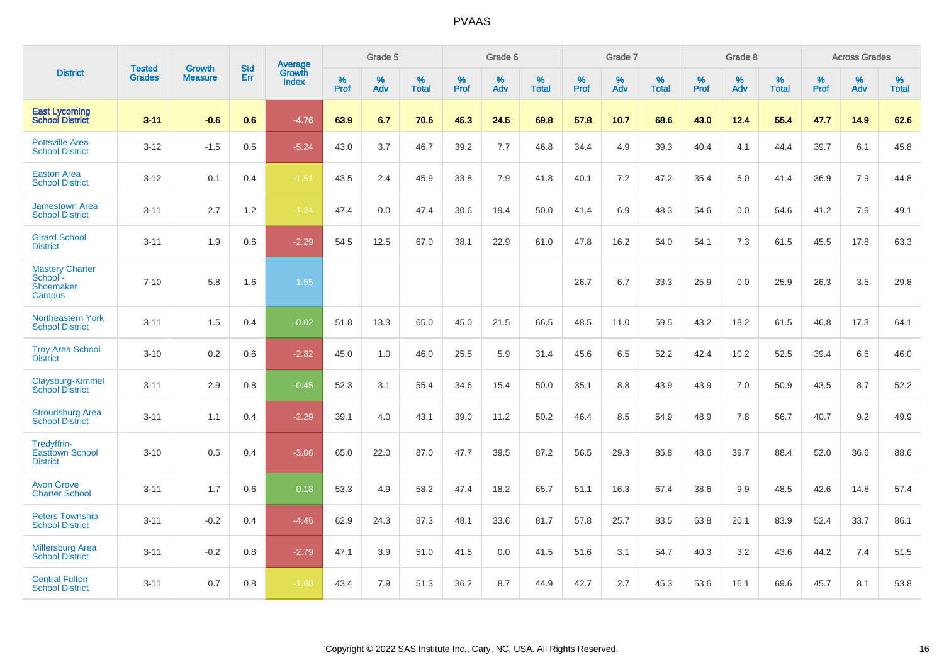|                                                           | <b>Tested</b> | <b>Growth</b>  | <b>Std</b> | <b>Average</b>         |           | Grade 5  |                   |           | Grade 6  |                   |           | Grade 7  |                   |           | Grade 8  |                   |              | <b>Across Grades</b> |                   |
|-----------------------------------------------------------|---------------|----------------|------------|------------------------|-----------|----------|-------------------|-----------|----------|-------------------|-----------|----------|-------------------|-----------|----------|-------------------|--------------|----------------------|-------------------|
| <b>District</b>                                           | <b>Grades</b> | <b>Measure</b> | Err        | Growth<br><b>Index</b> | %<br>Prof | %<br>Adv | %<br><b>Total</b> | %<br>Prof | %<br>Adv | %<br><b>Total</b> | %<br>Prof | %<br>Adv | %<br><b>Total</b> | %<br>Prof | %<br>Adv | %<br><b>Total</b> | $\%$<br>Prof | %<br>Adv             | %<br><b>Total</b> |
| <b>East Lycoming</b><br><b>School District</b>            | $3 - 11$      | $-0.6$         | 0.6        | $-4.76$                | 63.9      | 6.7      | 70.6              | 45.3      | 24.5     | 69.8              | 57.8      | 10.7     | 68.6              | 43.0      | 12.4     | 55.4              | 47.7         | 14.9                 | 62.6              |
| <b>Pottsville Area</b><br><b>School District</b>          | $3 - 12$      | $-1.5$         | 0.5        | $-5.24$                | 43.0      | 3.7      | 46.7              | 39.2      | 7.7      | 46.8              | 34.4      | 4.9      | 39.3              | 40.4      | 4.1      | 44.4              | 39.7         | 6.1                  | 45.8              |
| <b>Easton Area</b><br><b>School District</b>              | $3 - 12$      | 0.1            | 0.4        | $-1.51$                | 43.5      | 2.4      | 45.9              | 33.8      | 7.9      | 41.8              | 40.1      | 7.2      | 47.2              | 35.4      | 6.0      | 41.4              | 36.9         | 7.9                  | 44.8              |
| <b>Jamestown Area</b><br><b>School District</b>           | $3 - 11$      | 2.7            | 1.2        | $-1.24$                | 47.4      | 0.0      | 47.4              | 30.6      | 19.4     | 50.0              | 41.4      | 6.9      | 48.3              | 54.6      | 0.0      | 54.6              | 41.2         | 7.9                  | 49.1              |
| <b>Girard School</b><br><b>District</b>                   | $3 - 11$      | 1.9            | 0.6        | $-2.29$                | 54.5      | 12.5     | 67.0              | 38.1      | 22.9     | 61.0              | 47.8      | 16.2     | 64.0              | 54.1      | 7.3      | 61.5              | 45.5         | 17.8                 | 63.3              |
| <b>Mastery Charter</b><br>School -<br>Shoemaker<br>Campus | $7 - 10$      | 5.8            | 1.6        | 1.55                   |           |          |                   |           |          |                   | 26.7      | 6.7      | 33.3              | 25.9      | 0.0      | 25.9              | 26.3         | 3.5                  | 29.8              |
| Northeastern York<br><b>School District</b>               | $3 - 11$      | 1.5            | 0.4        | $-0.02$                | 51.8      | 13.3     | 65.0              | 45.0      | 21.5     | 66.5              | 48.5      | 11.0     | 59.5              | 43.2      | 18.2     | 61.5              | 46.8         | 17.3                 | 64.1              |
| <b>Troy Area School</b><br><b>District</b>                | $3 - 10$      | 0.2            | 0.6        | $-2.82$                | 45.0      | 1.0      | 46.0              | 25.5      | 5.9      | 31.4              | 45.6      | 6.5      | 52.2              | 42.4      | 10.2     | 52.5              | 39.4         | 6.6                  | 46.0              |
| Claysburg-Kimmel<br><b>School District</b>                | $3 - 11$      | 2.9            | 0.8        | $-0.45$                | 52.3      | 3.1      | 55.4              | 34.6      | 15.4     | 50.0              | 35.1      | 8.8      | 43.9              | 43.9      | 7.0      | 50.9              | 43.5         | 8.7                  | 52.2              |
| <b>Stroudsburg Area</b><br><b>School District</b>         | $3 - 11$      | 1.1            | 0.4        | $-2.29$                | 39.1      | 4.0      | 43.1              | 39.0      | 11.2     | 50.2              | 46.4      | 8.5      | 54.9              | 48.9      | 7.8      | 56.7              | 40.7         | 9.2                  | 49.9              |
| Tredyffrin-<br><b>Easttown School</b><br><b>District</b>  | $3 - 10$      | 0.5            | 0.4        | $-3.06$                | 65.0      | 22.0     | 87.0              | 47.7      | 39.5     | 87.2              | 56.5      | 29.3     | 85.8              | 48.6      | 39.7     | 88.4              | 52.0         | 36.6                 | 88.6              |
| <b>Avon Grove</b><br><b>Charter School</b>                | $3 - 11$      | 1.7            | 0.6        | 0.18                   | 53.3      | 4.9      | 58.2              | 47.4      | 18.2     | 65.7              | 51.1      | 16.3     | 67.4              | 38.6      | 9.9      | 48.5              | 42.6         | 14.8                 | 57.4              |
| <b>Peters Township</b><br><b>School District</b>          | $3 - 11$      | $-0.2$         | 0.4        | $-4.46$                | 62.9      | 24.3     | 87.3              | 48.1      | 33.6     | 81.7              | 57.8      | 25.7     | 83.5              | 63.8      | 20.1     | 83.9              | 52.4         | 33.7                 | 86.1              |
| <b>Millersburg Area</b><br><b>School District</b>         | $3 - 11$      | $-0.2$         | 0.8        | $-2.79$                | 47.1      | 3.9      | 51.0              | 41.5      | 0.0      | 41.5              | 51.6      | 3.1      | 54.7              | 40.3      | 3.2      | 43.6              | 44.2         | 7.4                  | 51.5              |
| <b>Central Fulton</b><br><b>School District</b>           | $3 - 11$      | 0.7            | 0.8        | $-1.60$                | 43.4      | 7.9      | 51.3              | 36.2      | 8.7      | 44.9              | 42.7      | 2.7      | 45.3              | 53.6      | 16.1     | 69.6              | 45.7         | 8.1                  | 53.8              |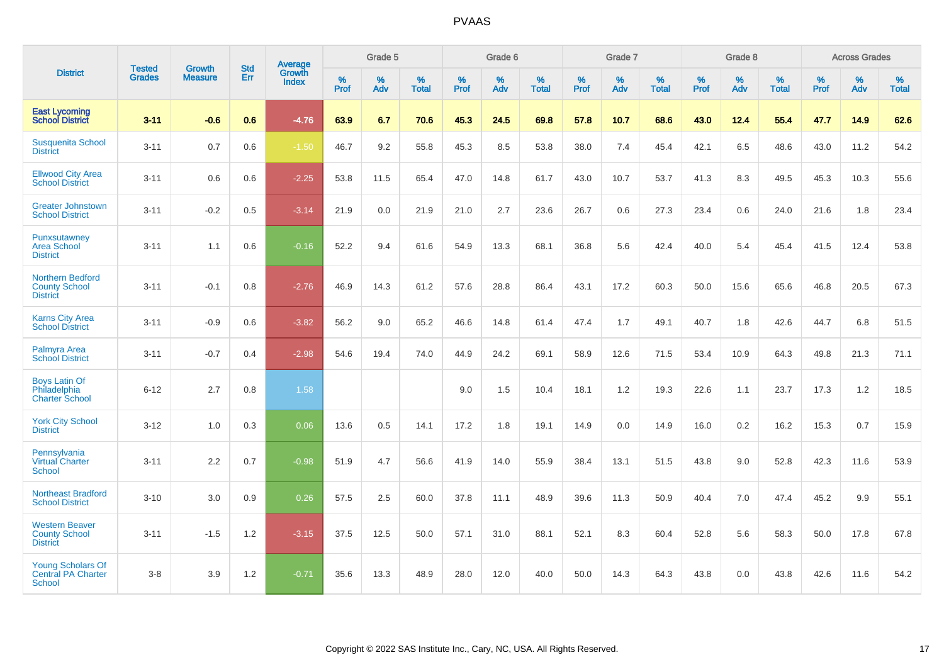|                                                                  | <b>Tested</b> | <b>Growth</b>  | <b>Std</b> | Average                |           | Grade 5  |                   |           | Grade 6  |                   |           | Grade 7  |                   |           | Grade 8  |                   |           | <b>Across Grades</b> |                   |
|------------------------------------------------------------------|---------------|----------------|------------|------------------------|-----------|----------|-------------------|-----------|----------|-------------------|-----------|----------|-------------------|-----------|----------|-------------------|-----------|----------------------|-------------------|
| <b>District</b>                                                  | <b>Grades</b> | <b>Measure</b> | Err        | Growth<br><b>Index</b> | %<br>Prof | %<br>Adv | %<br><b>Total</b> | %<br>Prof | %<br>Adv | %<br><b>Total</b> | %<br>Prof | %<br>Adv | %<br><b>Total</b> | %<br>Prof | %<br>Adv | %<br><b>Total</b> | %<br>Prof | %<br>Adv             | %<br><b>Total</b> |
| <b>East Lycoming</b><br><b>School District</b>                   | $3 - 11$      | $-0.6$         | 0.6        | $-4.76$                | 63.9      | 6.7      | 70.6              | 45.3      | 24.5     | 69.8              | 57.8      | 10.7     | 68.6              | 43.0      | 12.4     | 55.4              | 47.7      | 14.9                 | 62.6              |
| <b>Susquenita School</b><br><b>District</b>                      | $3 - 11$      | 0.7            | 0.6        | $-1.50$                | 46.7      | 9.2      | 55.8              | 45.3      | 8.5      | 53.8              | 38.0      | 7.4      | 45.4              | 42.1      | 6.5      | 48.6              | 43.0      | 11.2                 | 54.2              |
| <b>Ellwood City Area</b><br><b>School District</b>               | $3 - 11$      | 0.6            | 0.6        | $-2.25$                | 53.8      | 11.5     | 65.4              | 47.0      | 14.8     | 61.7              | 43.0      | 10.7     | 53.7              | 41.3      | 8.3      | 49.5              | 45.3      | 10.3                 | 55.6              |
| <b>Greater Johnstown</b><br><b>School District</b>               | $3 - 11$      | $-0.2$         | 0.5        | $-3.14$                | 21.9      | 0.0      | 21.9              | 21.0      | 2.7      | 23.6              | 26.7      | 0.6      | 27.3              | 23.4      | 0.6      | 24.0              | 21.6      | 1.8                  | 23.4              |
| Punxsutawney<br><b>Area School</b><br><b>District</b>            | $3 - 11$      | 1.1            | 0.6        | $-0.16$                | 52.2      | 9.4      | 61.6              | 54.9      | 13.3     | 68.1              | 36.8      | 5.6      | 42.4              | 40.0      | 5.4      | 45.4              | 41.5      | 12.4                 | 53.8              |
| Northern Bedford<br><b>County School</b><br><b>District</b>      | $3 - 11$      | $-0.1$         | 0.8        | $-2.76$                | 46.9      | 14.3     | 61.2              | 57.6      | 28.8     | 86.4              | 43.1      | 17.2     | 60.3              | 50.0      | 15.6     | 65.6              | 46.8      | 20.5                 | 67.3              |
| <b>Karns City Area</b><br><b>School District</b>                 | $3 - 11$      | $-0.9$         | 0.6        | $-3.82$                | 56.2      | 9.0      | 65.2              | 46.6      | 14.8     | 61.4              | 47.4      | 1.7      | 49.1              | 40.7      | 1.8      | 42.6              | 44.7      | 6.8                  | 51.5              |
| Palmyra Area<br><b>School District</b>                           | $3 - 11$      | $-0.7$         | 0.4        | $-2.98$                | 54.6      | 19.4     | 74.0              | 44.9      | 24.2     | 69.1              | 58.9      | 12.6     | 71.5              | 53.4      | 10.9     | 64.3              | 49.8      | 21.3                 | 71.1              |
| <b>Boys Latin Of</b><br>Philadelphia<br><b>Charter School</b>    | $6 - 12$      | 2.7            | 0.8        | 1.58                   |           |          |                   | 9.0       | 1.5      | 10.4              | 18.1      | 1.2      | 19.3              | 22.6      | 1.1      | 23.7              | 17.3      | 1.2                  | 18.5              |
| <b>York City School</b><br><b>District</b>                       | $3 - 12$      | 1.0            | 0.3        | 0.06                   | 13.6      | 0.5      | 14.1              | 17.2      | 1.8      | 19.1              | 14.9      | 0.0      | 14.9              | 16.0      | 0.2      | 16.2              | 15.3      | 0.7                  | 15.9              |
| Pennsylvania<br><b>Virtual Charter</b><br><b>School</b>          | $3 - 11$      | 2.2            | 0.7        | $-0.98$                | 51.9      | 4.7      | 56.6              | 41.9      | 14.0     | 55.9              | 38.4      | 13.1     | 51.5              | 43.8      | 9.0      | 52.8              | 42.3      | 11.6                 | 53.9              |
| <b>Northeast Bradford</b><br><b>School District</b>              | $3 - 10$      | 3.0            | 0.9        | 0.26                   | 57.5      | 2.5      | 60.0              | 37.8      | 11.1     | 48.9              | 39.6      | 11.3     | 50.9              | 40.4      | 7.0      | 47.4              | 45.2      | 9.9                  | 55.1              |
| <b>Western Beaver</b><br><b>County School</b><br><b>District</b> | $3 - 11$      | $-1.5$         | 1.2        | $-3.15$                | 37.5      | 12.5     | 50.0              | 57.1      | 31.0     | 88.1              | 52.1      | 8.3      | 60.4              | 52.8      | 5.6      | 58.3              | 50.0      | 17.8                 | 67.8              |
| <b>Young Scholars Of</b><br><b>Central PA Charter</b><br>School  | $3-8$         | 3.9            | 1.2        | $-0.71$                | 35.6      | 13.3     | 48.9              | 28.0      | 12.0     | 40.0              | 50.0      | 14.3     | 64.3              | 43.8      | 0.0      | 43.8              | 42.6      | 11.6                 | 54.2              |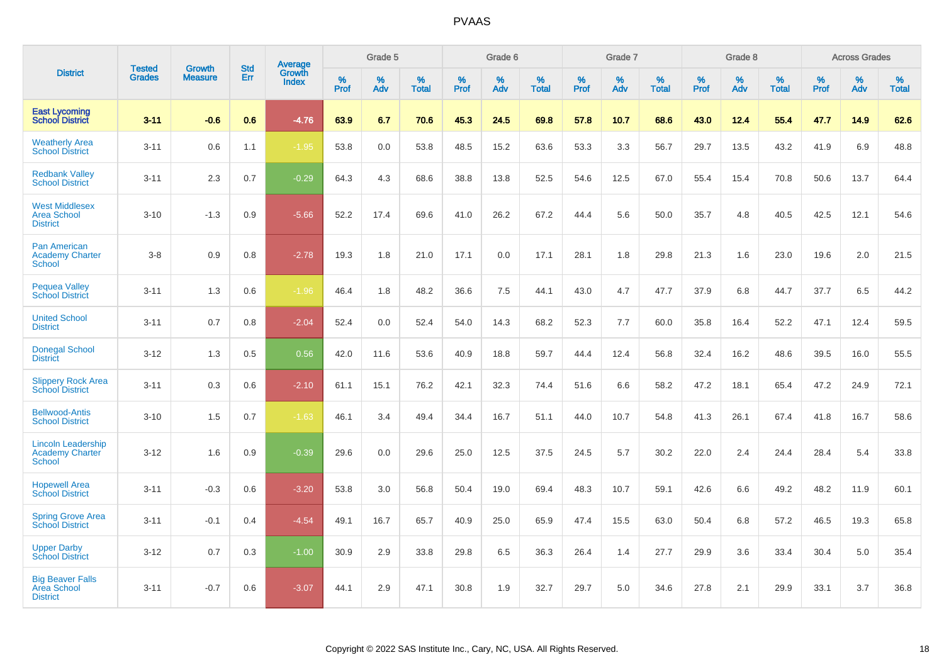|                                                                      |                                |                                 | <b>Std</b> | Average                |           | Grade 5  |                   |           | Grade 6  |                   |           | Grade 7  |                   |           | Grade 8  |                   |              | <b>Across Grades</b> |                   |
|----------------------------------------------------------------------|--------------------------------|---------------------------------|------------|------------------------|-----------|----------|-------------------|-----------|----------|-------------------|-----------|----------|-------------------|-----------|----------|-------------------|--------------|----------------------|-------------------|
| <b>District</b>                                                      | <b>Tested</b><br><b>Grades</b> | <b>Growth</b><br><b>Measure</b> | Err        | Growth<br><b>Index</b> | %<br>Prof | %<br>Adv | %<br><b>Total</b> | %<br>Prof | %<br>Adv | %<br><b>Total</b> | %<br>Prof | %<br>Adv | %<br><b>Total</b> | %<br>Prof | %<br>Adv | %<br><b>Total</b> | $\%$<br>Prof | %<br>Adv             | %<br><b>Total</b> |
| <b>East Lycoming</b><br><b>School District</b>                       | $3 - 11$                       | $-0.6$                          | 0.6        | $-4.76$                | 63.9      | 6.7      | 70.6              | 45.3      | 24.5     | 69.8              | 57.8      | 10.7     | 68.6              | 43.0      | 12.4     | 55.4              | 47.7         | 14.9                 | 62.6              |
| <b>Weatherly Area</b><br><b>School District</b>                      | $3 - 11$                       | 0.6                             | 1.1        | $-1.95$                | 53.8      | 0.0      | 53.8              | 48.5      | 15.2     | 63.6              | 53.3      | 3.3      | 56.7              | 29.7      | 13.5     | 43.2              | 41.9         | 6.9                  | 48.8              |
| <b>Redbank Valley</b><br><b>School District</b>                      | $3 - 11$                       | 2.3                             | 0.7        | $-0.29$                | 64.3      | 4.3      | 68.6              | 38.8      | 13.8     | 52.5              | 54.6      | 12.5     | 67.0              | 55.4      | 15.4     | 70.8              | 50.6         | 13.7                 | 64.4              |
| <b>West Middlesex</b><br><b>Area School</b><br><b>District</b>       | $3 - 10$                       | $-1.3$                          | 0.9        | $-5.66$                | 52.2      | 17.4     | 69.6              | 41.0      | 26.2     | 67.2              | 44.4      | 5.6      | 50.0              | 35.7      | 4.8      | 40.5              | 42.5         | 12.1                 | 54.6              |
| <b>Pan American</b><br><b>Academy Charter</b><br><b>School</b>       | $3-8$                          | 0.9                             | 0.8        | $-2.78$                | 19.3      | 1.8      | 21.0              | 17.1      | 0.0      | 17.1              | 28.1      | 1.8      | 29.8              | 21.3      | 1.6      | 23.0              | 19.6         | 2.0                  | 21.5              |
| <b>Pequea Valley</b><br><b>School District</b>                       | $3 - 11$                       | 1.3                             | 0.6        | $-1.96$                | 46.4      | 1.8      | 48.2              | 36.6      | 7.5      | 44.1              | 43.0      | 4.7      | 47.7              | 37.9      | 6.8      | 44.7              | 37.7         | 6.5                  | 44.2              |
| <b>United School</b><br><b>District</b>                              | $3 - 11$                       | 0.7                             | 0.8        | $-2.04$                | 52.4      | 0.0      | 52.4              | 54.0      | 14.3     | 68.2              | 52.3      | 7.7      | 60.0              | 35.8      | 16.4     | 52.2              | 47.1         | 12.4                 | 59.5              |
| <b>Donegal School</b><br><b>District</b>                             | $3 - 12$                       | 1.3                             | 0.5        | 0.56                   | 42.0      | 11.6     | 53.6              | 40.9      | 18.8     | 59.7              | 44.4      | 12.4     | 56.8              | 32.4      | 16.2     | 48.6              | 39.5         | 16.0                 | 55.5              |
| <b>Slippery Rock Area</b><br><b>School District</b>                  | $3 - 11$                       | 0.3                             | 0.6        | $-2.10$                | 61.1      | 15.1     | 76.2              | 42.1      | 32.3     | 74.4              | 51.6      | 6.6      | 58.2              | 47.2      | 18.1     | 65.4              | 47.2         | 24.9                 | 72.1              |
| <b>Bellwood-Antis</b><br><b>School District</b>                      | $3 - 10$                       | 1.5                             | 0.7        | $-1.63$                | 46.1      | 3.4      | 49.4              | 34.4      | 16.7     | 51.1              | 44.0      | 10.7     | 54.8              | 41.3      | 26.1     | 67.4              | 41.8         | 16.7                 | 58.6              |
| <b>Lincoln Leadership</b><br><b>Academy Charter</b><br><b>School</b> | $3 - 12$                       | 1.6                             | 0.9        | $-0.39$                | 29.6      | 0.0      | 29.6              | 25.0      | 12.5     | 37.5              | 24.5      | 5.7      | 30.2              | 22.0      | 2.4      | 24.4              | 28.4         | 5.4                  | 33.8              |
| <b>Hopewell Area</b><br><b>School District</b>                       | $3 - 11$                       | $-0.3$                          | 0.6        | $-3.20$                | 53.8      | 3.0      | 56.8              | 50.4      | 19.0     | 69.4              | 48.3      | 10.7     | 59.1              | 42.6      | 6.6      | 49.2              | 48.2         | 11.9                 | 60.1              |
| <b>Spring Grove Area</b><br><b>School District</b>                   | $3 - 11$                       | $-0.1$                          | 0.4        | $-4.54$                | 49.1      | 16.7     | 65.7              | 40.9      | 25.0     | 65.9              | 47.4      | 15.5     | 63.0              | 50.4      | 6.8      | 57.2              | 46.5         | 19.3                 | 65.8              |
| <b>Upper Darby</b><br><b>School District</b>                         | $3 - 12$                       | 0.7                             | 0.3        | $-1.00$                | 30.9      | 2.9      | 33.8              | 29.8      | 6.5      | 36.3              | 26.4      | 1.4      | 27.7              | 29.9      | 3.6      | 33.4              | 30.4         | 5.0                  | 35.4              |
| <b>Big Beaver Falls</b><br>Area School<br><b>District</b>            | $3 - 11$                       | $-0.7$                          | 0.6        | $-3.07$                | 44.1      | 2.9      | 47.1              | 30.8      | 1.9      | 32.7              | 29.7      | 5.0      | 34.6              | 27.8      | 2.1      | 29.9              | 33.1         | 3.7                  | 36.8              |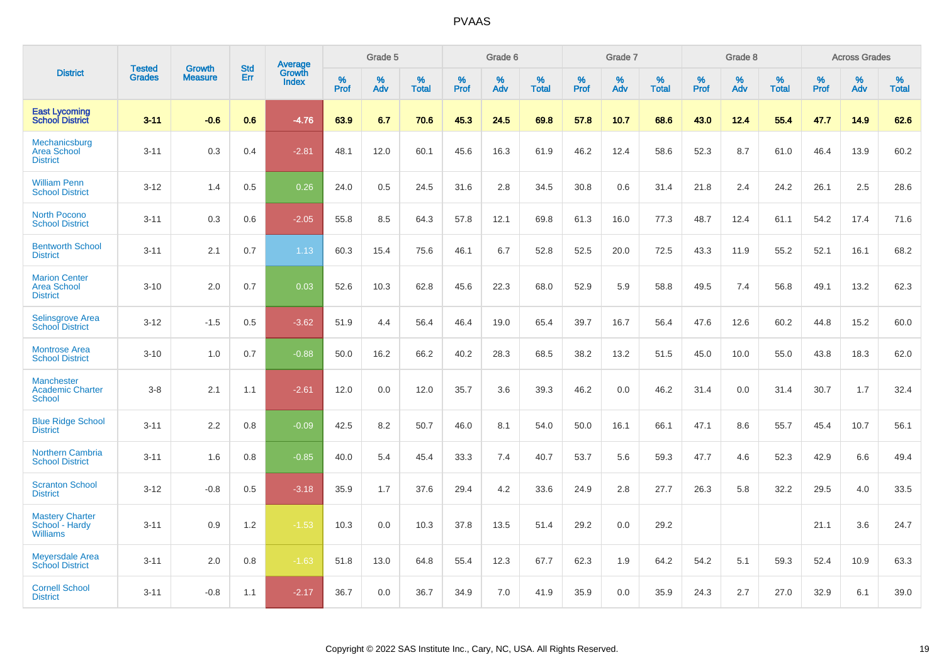|                                                               |                         |                                 | <b>Std</b> | Average                |                     | Grade 5     |                   |           | Grade 6  |                   |           | Grade 7  |                   |              | Grade 8  |                   |              | <b>Across Grades</b> |                   |
|---------------------------------------------------------------|-------------------------|---------------------------------|------------|------------------------|---------------------|-------------|-------------------|-----------|----------|-------------------|-----------|----------|-------------------|--------------|----------|-------------------|--------------|----------------------|-------------------|
| <b>District</b>                                               | <b>Tested</b><br>Grades | <b>Growth</b><br><b>Measure</b> | Err        | Growth<br><b>Index</b> | $\%$<br><b>Prof</b> | $\%$<br>Adv | %<br><b>Total</b> | %<br>Prof | %<br>Adv | %<br><b>Total</b> | %<br>Prof | %<br>Adv | %<br><b>Total</b> | $\%$<br>Prof | %<br>Adv | %<br><b>Total</b> | $\%$<br>Prof | %<br>Adv             | %<br><b>Total</b> |
| <b>East Lycoming</b><br><b>School District</b>                | $3 - 11$                | $-0.6$                          | 0.6        | $-4.76$                | 63.9                | 6.7         | 70.6              | 45.3      | 24.5     | 69.8              | 57.8      | 10.7     | 68.6              | 43.0         | 12.4     | 55.4              | 47.7         | 14.9                 | 62.6              |
| Mechanicsburg<br><b>Area School</b><br><b>District</b>        | $3 - 11$                | 0.3                             | 0.4        | $-2.81$                | 48.1                | 12.0        | 60.1              | 45.6      | 16.3     | 61.9              | 46.2      | 12.4     | 58.6              | 52.3         | 8.7      | 61.0              | 46.4         | 13.9                 | 60.2              |
| <b>William Penn</b><br><b>School District</b>                 | $3 - 12$                | 1.4                             | 0.5        | 0.26                   | 24.0                | 0.5         | 24.5              | 31.6      | 2.8      | 34.5              | 30.8      | 0.6      | 31.4              | 21.8         | 2.4      | 24.2              | 26.1         | 2.5                  | 28.6              |
| <b>North Pocono</b><br><b>School District</b>                 | $3 - 11$                | 0.3                             | 0.6        | $-2.05$                | 55.8                | 8.5         | 64.3              | 57.8      | 12.1     | 69.8              | 61.3      | 16.0     | 77.3              | 48.7         | 12.4     | 61.1              | 54.2         | 17.4                 | 71.6              |
| <b>Bentworth School</b><br><b>District</b>                    | $3 - 11$                | 2.1                             | 0.7        | 1.13                   | 60.3                | 15.4        | 75.6              | 46.1      | 6.7      | 52.8              | 52.5      | 20.0     | 72.5              | 43.3         | 11.9     | 55.2              | 52.1         | 16.1                 | 68.2              |
| <b>Marion Center</b><br><b>Area School</b><br><b>District</b> | $3 - 10$                | 2.0                             | 0.7        | 0.03                   | 52.6                | 10.3        | 62.8              | 45.6      | 22.3     | 68.0              | 52.9      | 5.9      | 58.8              | 49.5         | 7.4      | 56.8              | 49.1         | 13.2                 | 62.3              |
| <b>Selinsgrove Area</b><br><b>School District</b>             | $3 - 12$                | $-1.5$                          | 0.5        | $-3.62$                | 51.9                | 4.4         | 56.4              | 46.4      | 19.0     | 65.4              | 39.7      | 16.7     | 56.4              | 47.6         | 12.6     | 60.2              | 44.8         | 15.2                 | 60.0              |
| <b>Montrose Area</b><br><b>School District</b>                | $3 - 10$                | 1.0                             | 0.7        | $-0.88$                | 50.0                | 16.2        | 66.2              | 40.2      | 28.3     | 68.5              | 38.2      | 13.2     | 51.5              | 45.0         | 10.0     | 55.0              | 43.8         | 18.3                 | 62.0              |
| Manchester<br><b>Academic Charter</b><br><b>School</b>        | $3-8$                   | 2.1                             | 1.1        | $-2.61$                | 12.0                | 0.0         | 12.0              | 35.7      | 3.6      | 39.3              | 46.2      | 0.0      | 46.2              | 31.4         | 0.0      | 31.4              | 30.7         | 1.7                  | 32.4              |
| <b>Blue Ridge School</b><br><b>District</b>                   | $3 - 11$                | 2.2                             | 0.8        | $-0.09$                | 42.5                | 8.2         | 50.7              | 46.0      | 8.1      | 54.0              | 50.0      | 16.1     | 66.1              | 47.1         | 8.6      | 55.7              | 45.4         | 10.7                 | 56.1              |
| <b>Northern Cambria</b><br><b>School District</b>             | $3 - 11$                | 1.6                             | 0.8        | $-0.85$                | 40.0                | 5.4         | 45.4              | 33.3      | 7.4      | 40.7              | 53.7      | 5.6      | 59.3              | 47.7         | 4.6      | 52.3              | 42.9         | 6.6                  | 49.4              |
| <b>Scranton School</b><br><b>District</b>                     | $3 - 12$                | $-0.8$                          | 0.5        | $-3.18$                | 35.9                | 1.7         | 37.6              | 29.4      | 4.2      | 33.6              | 24.9      | 2.8      | 27.7              | 26.3         | 5.8      | 32.2              | 29.5         | 4.0                  | 33.5              |
| <b>Mastery Charter</b><br>School - Hardy<br><b>Williams</b>   | $3 - 11$                | 0.9                             | 1.2        | $-1.53$                | 10.3                | 0.0         | 10.3              | 37.8      | 13.5     | 51.4              | 29.2      | 0.0      | 29.2              |              |          |                   | 21.1         | 3.6                  | 24.7              |
| <b>Meyersdale Area</b><br><b>School District</b>              | $3 - 11$                | 2.0                             | 0.8        | $-1.63$                | 51.8                | 13.0        | 64.8              | 55.4      | 12.3     | 67.7              | 62.3      | 1.9      | 64.2              | 54.2         | 5.1      | 59.3              | 52.4         | 10.9                 | 63.3              |
| <b>Cornell School</b><br><b>District</b>                      | $3 - 11$                | $-0.8$                          | 1.1        | $-2.17$                | 36.7                | 0.0         | 36.7              | 34.9      | 7.0      | 41.9              | 35.9      | 0.0      | 35.9              | 24.3         | 2.7      | 27.0              | 32.9         | 6.1                  | 39.0              |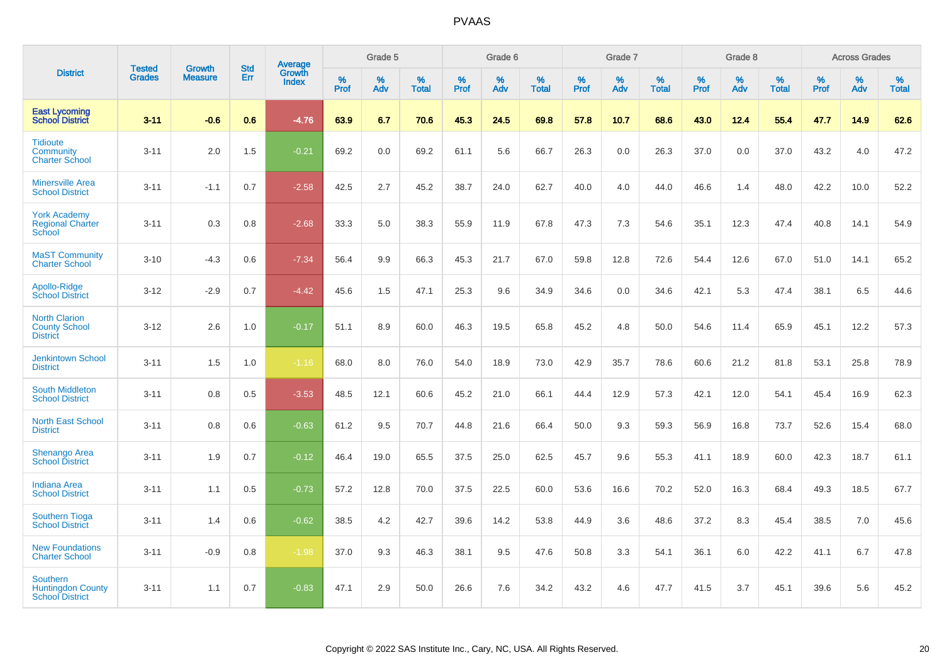|                                                                       |                                |                                 | <b>Std</b> | Average                |                     | Grade 5     |                   |           | Grade 6  |                   |           | Grade 7  |                   |           | Grade 8  |                   |              | <b>Across Grades</b> |                   |
|-----------------------------------------------------------------------|--------------------------------|---------------------------------|------------|------------------------|---------------------|-------------|-------------------|-----------|----------|-------------------|-----------|----------|-------------------|-----------|----------|-------------------|--------------|----------------------|-------------------|
| <b>District</b>                                                       | <b>Tested</b><br><b>Grades</b> | <b>Growth</b><br><b>Measure</b> | Err        | Growth<br><b>Index</b> | $\%$<br><b>Prof</b> | $\%$<br>Adv | %<br><b>Total</b> | %<br>Prof | %<br>Adv | %<br><b>Total</b> | %<br>Prof | %<br>Adv | %<br><b>Total</b> | %<br>Prof | %<br>Adv | %<br><b>Total</b> | $\%$<br>Prof | %<br>Adv             | %<br><b>Total</b> |
| <b>East Lycoming</b><br><b>School District</b>                        | $3 - 11$                       | $-0.6$                          | 0.6        | $-4.76$                | 63.9                | 6.7         | 70.6              | 45.3      | 24.5     | 69.8              | 57.8      | 10.7     | 68.6              | 43.0      | 12.4     | 55.4              | 47.7         | 14.9                 | 62.6              |
| <b>Tidioute</b><br>Community<br><b>Charter School</b>                 | $3 - 11$                       | 2.0                             | 1.5        | $-0.21$                | 69.2                | 0.0         | 69.2              | 61.1      | 5.6      | 66.7              | 26.3      | 0.0      | 26.3              | 37.0      | 0.0      | 37.0              | 43.2         | 4.0                  | 47.2              |
| <b>Minersville Area</b><br><b>School District</b>                     | $3 - 11$                       | $-1.1$                          | 0.7        | $-2.58$                | 42.5                | 2.7         | 45.2              | 38.7      | 24.0     | 62.7              | 40.0      | 4.0      | 44.0              | 46.6      | 1.4      | 48.0              | 42.2         | 10.0                 | 52.2              |
| <b>York Academy</b><br><b>Regional Charter</b><br>School              | $3 - 11$                       | 0.3                             | 0.8        | $-2.68$                | 33.3                | 5.0         | 38.3              | 55.9      | 11.9     | 67.8              | 47.3      | 7.3      | 54.6              | 35.1      | 12.3     | 47.4              | 40.8         | 14.1                 | 54.9              |
| <b>MaST Community</b><br><b>Charter School</b>                        | $3 - 10$                       | $-4.3$                          | 0.6        | $-7.34$                | 56.4                | 9.9         | 66.3              | 45.3      | 21.7     | 67.0              | 59.8      | 12.8     | 72.6              | 54.4      | 12.6     | 67.0              | 51.0         | 14.1                 | 65.2              |
| Apollo-Ridge<br><b>School District</b>                                | $3 - 12$                       | $-2.9$                          | 0.7        | $-4.42$                | 45.6                | 1.5         | 47.1              | 25.3      | 9.6      | 34.9              | 34.6      | 0.0      | 34.6              | 42.1      | 5.3      | 47.4              | 38.1         | 6.5                  | 44.6              |
| <b>North Clarion</b><br><b>County School</b><br><b>District</b>       | $3 - 12$                       | 2.6                             | 1.0        | $-0.17$                | 51.1                | 8.9         | 60.0              | 46.3      | 19.5     | 65.8              | 45.2      | 4.8      | 50.0              | 54.6      | 11.4     | 65.9              | 45.1         | 12.2                 | 57.3              |
| <b>Jenkintown School</b><br><b>District</b>                           | $3 - 11$                       | 1.5                             | 1.0        | $-1.16$                | 68.0                | 8.0         | 76.0              | 54.0      | 18.9     | 73.0              | 42.9      | 35.7     | 78.6              | 60.6      | 21.2     | 81.8              | 53.1         | 25.8                 | 78.9              |
| <b>South Middleton</b><br><b>School District</b>                      | $3 - 11$                       | 0.8                             | 0.5        | $-3.53$                | 48.5                | 12.1        | 60.6              | 45.2      | 21.0     | 66.1              | 44.4      | 12.9     | 57.3              | 42.1      | 12.0     | 54.1              | 45.4         | 16.9                 | 62.3              |
| <b>North East School</b><br><b>District</b>                           | $3 - 11$                       | 0.8                             | 0.6        | $-0.63$                | 61.2                | 9.5         | 70.7              | 44.8      | 21.6     | 66.4              | 50.0      | 9.3      | 59.3              | 56.9      | 16.8     | 73.7              | 52.6         | 15.4                 | 68.0              |
| Shenango Area<br><b>School District</b>                               | $3 - 11$                       | 1.9                             | 0.7        | $-0.12$                | 46.4                | 19.0        | 65.5              | 37.5      | 25.0     | 62.5              | 45.7      | 9.6      | 55.3              | 41.1      | 18.9     | 60.0              | 42.3         | 18.7                 | 61.1              |
| <b>Indiana Area</b><br><b>School District</b>                         | $3 - 11$                       | 1.1                             | 0.5        | $-0.73$                | 57.2                | 12.8        | 70.0              | 37.5      | 22.5     | 60.0              | 53.6      | 16.6     | 70.2              | 52.0      | 16.3     | 68.4              | 49.3         | 18.5                 | 67.7              |
| <b>Southern Tioga</b><br><b>School District</b>                       | $3 - 11$                       | 1.4                             | 0.6        | $-0.62$                | 38.5                | 4.2         | 42.7              | 39.6      | 14.2     | 53.8              | 44.9      | 3.6      | 48.6              | 37.2      | 8.3      | 45.4              | 38.5         | 7.0                  | 45.6              |
| <b>New Foundations</b><br><b>Charter School</b>                       | $3 - 11$                       | $-0.9$                          | 0.8        | $-1.98$                | 37.0                | 9.3         | 46.3              | 38.1      | 9.5      | 47.6              | 50.8      | 3.3      | 54.1              | 36.1      | 6.0      | 42.2              | 41.1         | 6.7                  | 47.8              |
| <b>Southern</b><br><b>Huntingdon County</b><br><b>School District</b> | $3 - 11$                       | 1.1                             | 0.7        | $-0.83$                | 47.1                | 2.9         | 50.0              | 26.6      | 7.6      | 34.2              | 43.2      | 4.6      | 47.7              | 41.5      | 3.7      | 45.1              | 39.6         | 5.6                  | 45.2              |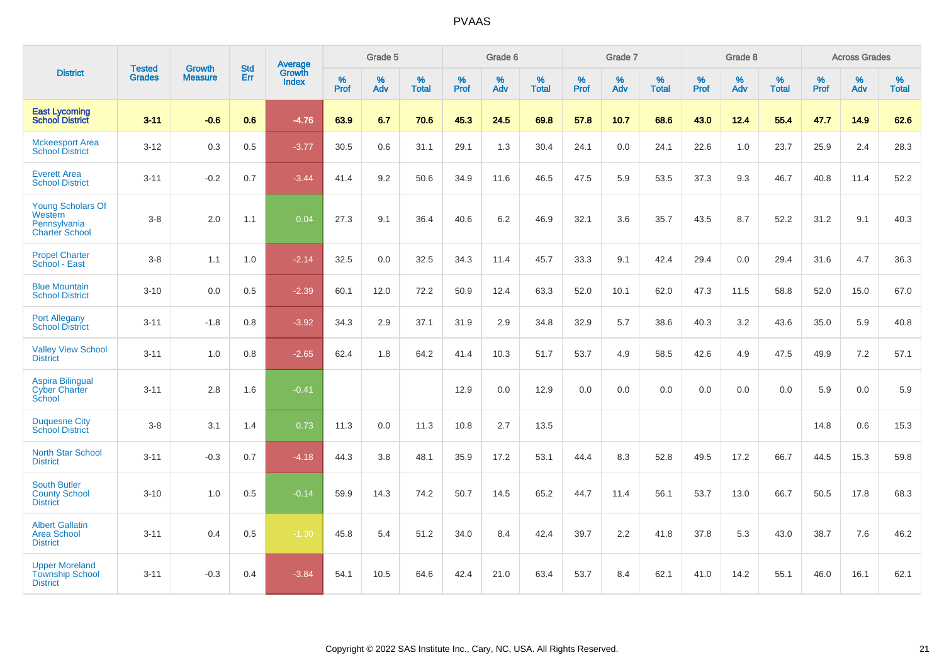|                                                                              |                                | <b>Growth</b>  | <b>Std</b> | Average                |                     | Grade 5  |                   |              | Grade 6  |                   |              | Grade 7  |                   |              | Grade 8  |                   |           | <b>Across Grades</b> |                   |
|------------------------------------------------------------------------------|--------------------------------|----------------|------------|------------------------|---------------------|----------|-------------------|--------------|----------|-------------------|--------------|----------|-------------------|--------------|----------|-------------------|-----------|----------------------|-------------------|
| <b>District</b>                                                              | <b>Tested</b><br><b>Grades</b> | <b>Measure</b> | Err        | Growth<br><b>Index</b> | $\%$<br><b>Prof</b> | %<br>Adv | %<br><b>Total</b> | $\%$<br>Prof | %<br>Adv | %<br><b>Total</b> | $\%$<br>Prof | %<br>Adv | %<br><b>Total</b> | $\%$<br>Prof | %<br>Adv | %<br><b>Total</b> | %<br>Prof | %<br>Adv             | %<br><b>Total</b> |
| <b>East Lycoming</b><br><b>School District</b>                               | $3 - 11$                       | $-0.6$         | 0.6        | $-4.76$                | 63.9                | 6.7      | 70.6              | 45.3         | 24.5     | 69.8              | 57.8         | 10.7     | 68.6              | 43.0         | 12.4     | 55.4              | 47.7      | 14.9                 | 62.6              |
| <b>Mckeesport Area</b><br><b>School District</b>                             | $3 - 12$                       | 0.3            | 0.5        | $-3.77$                | 30.5                | 0.6      | 31.1              | 29.1         | 1.3      | 30.4              | 24.1         | 0.0      | 24.1              | 22.6         | 1.0      | 23.7              | 25.9      | 2.4                  | 28.3              |
| <b>Everett Area</b><br><b>School District</b>                                | $3 - 11$                       | $-0.2$         | 0.7        | $-3.44$                | 41.4                | 9.2      | 50.6              | 34.9         | 11.6     | 46.5              | 47.5         | 5.9      | 53.5              | 37.3         | 9.3      | 46.7              | 40.8      | 11.4                 | 52.2              |
| <b>Young Scholars Of</b><br>Western<br>Pennsylvania<br><b>Charter School</b> | $3-8$                          | 2.0            | 1.1        | 0.04                   | 27.3                | 9.1      | 36.4              | 40.6         | 6.2      | 46.9              | 32.1         | 3.6      | 35.7              | 43.5         | 8.7      | 52.2              | 31.2      | 9.1                  | 40.3              |
| <b>Propel Charter</b><br>School - East                                       | $3-8$                          | 1.1            | 1.0        | $-2.14$                | 32.5                | 0.0      | 32.5              | 34.3         | 11.4     | 45.7              | 33.3         | 9.1      | 42.4              | 29.4         | 0.0      | 29.4              | 31.6      | 4.7                  | 36.3              |
| <b>Blue Mountain</b><br><b>School District</b>                               | $3 - 10$                       | 0.0            | 0.5        | $-2.39$                | 60.1                | 12.0     | 72.2              | 50.9         | 12.4     | 63.3              | 52.0         | 10.1     | 62.0              | 47.3         | 11.5     | 58.8              | 52.0      | 15.0                 | 67.0              |
| <b>Port Allegany</b><br><b>School District</b>                               | $3 - 11$                       | $-1.8$         | 0.8        | $-3.92$                | 34.3                | 2.9      | 37.1              | 31.9         | 2.9      | 34.8              | 32.9         | 5.7      | 38.6              | 40.3         | 3.2      | 43.6              | 35.0      | 5.9                  | 40.8              |
| <b>Valley View School</b><br><b>District</b>                                 | $3 - 11$                       | 1.0            | 0.8        | $-2.65$                | 62.4                | 1.8      | 64.2              | 41.4         | 10.3     | 51.7              | 53.7         | 4.9      | 58.5              | 42.6         | 4.9      | 47.5              | 49.9      | 7.2                  | 57.1              |
| <b>Aspira Bilingual</b><br><b>Cyber Charter</b><br>School                    | $3 - 11$                       | 2.8            | 1.6        | $-0.41$                |                     |          |                   | 12.9         | 0.0      | 12.9              | 0.0          | 0.0      | 0.0               | 0.0          | 0.0      | 0.0               | 5.9       | 0.0                  | 5.9               |
| <b>Duquesne City</b><br><b>School District</b>                               | $3-8$                          | 3.1            | 1.4        | 0.73                   | 11.3                | 0.0      | 11.3              | 10.8         | 2.7      | 13.5              |              |          |                   |              |          |                   | 14.8      | 0.6                  | 15.3              |
| North Star School<br><b>District</b>                                         | $3 - 11$                       | $-0.3$         | 0.7        | $-4.18$                | 44.3                | 3.8      | 48.1              | 35.9         | 17.2     | 53.1              | 44.4         | 8.3      | 52.8              | 49.5         | 17.2     | 66.7              | 44.5      | 15.3                 | 59.8              |
| <b>South Butler</b><br><b>County School</b><br><b>District</b>               | $3 - 10$                       | 1.0            | 0.5        | $-0.14$                | 59.9                | 14.3     | 74.2              | 50.7         | 14.5     | 65.2              | 44.7         | 11.4     | 56.1              | 53.7         | 13.0     | 66.7              | 50.5      | 17.8                 | 68.3              |
| <b>Albert Gallatin</b><br><b>Area School</b><br><b>District</b>              | $3 - 11$                       | 0.4            | 0.5        | $-1.30$                | 45.8                | 5.4      | 51.2              | 34.0         | 8.4      | 42.4              | 39.7         | 2.2      | 41.8              | 37.8         | 5.3      | 43.0              | 38.7      | 7.6                  | 46.2              |
| <b>Upper Moreland</b><br><b>Township School</b><br><b>District</b>           | $3 - 11$                       | $-0.3$         | 0.4        | $-3.84$                | 54.1                | 10.5     | 64.6              | 42.4         | 21.0     | 63.4              | 53.7         | 8.4      | 62.1              | 41.0         | 14.2     | 55.1              | 46.0      | 16.1                 | 62.1              |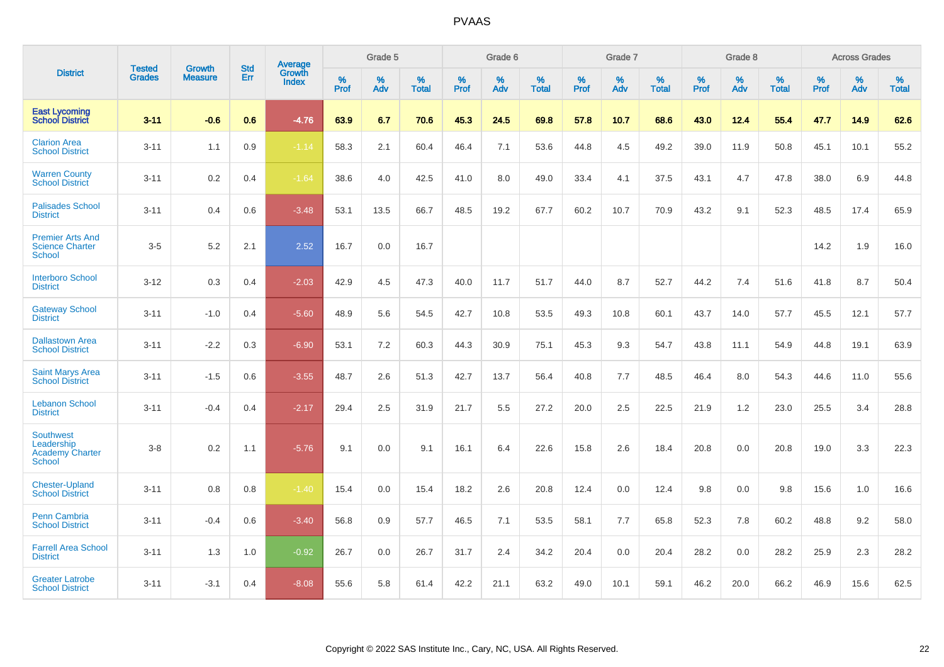|                                                                    |                                |                                 | <b>Std</b> | Average                       |           | Grade 5  |                   |           | Grade 6  |                   |           | Grade 7  |                   |           | Grade 8  |                   |           | <b>Across Grades</b> |                   |
|--------------------------------------------------------------------|--------------------------------|---------------------------------|------------|-------------------------------|-----------|----------|-------------------|-----------|----------|-------------------|-----------|----------|-------------------|-----------|----------|-------------------|-----------|----------------------|-------------------|
| <b>District</b>                                                    | <b>Tested</b><br><b>Grades</b> | <b>Growth</b><br><b>Measure</b> | Err        | <b>Growth</b><br><b>Index</b> | %<br>Prof | %<br>Adv | %<br><b>Total</b> | %<br>Prof | %<br>Adv | %<br><b>Total</b> | %<br>Prof | %<br>Adv | %<br><b>Total</b> | %<br>Prof | %<br>Adv | %<br><b>Total</b> | %<br>Prof | %<br>Adv             | %<br><b>Total</b> |
| <b>East Lycoming</b><br><b>School District</b>                     | $3 - 11$                       | $-0.6$                          | 0.6        | $-4.76$                       | 63.9      | 6.7      | 70.6              | 45.3      | 24.5     | 69.8              | 57.8      | 10.7     | 68.6              | 43.0      | 12.4     | 55.4              | 47.7      | 14.9                 | 62.6              |
| <b>Clarion Area</b><br><b>School District</b>                      | $3 - 11$                       | 1.1                             | 0.9        | $-1.14$                       | 58.3      | 2.1      | 60.4              | 46.4      | 7.1      | 53.6              | 44.8      | 4.5      | 49.2              | 39.0      | 11.9     | 50.8              | 45.1      | 10.1                 | 55.2              |
| <b>Warren County</b><br><b>School District</b>                     | $3 - 11$                       | 0.2                             | 0.4        | $-1.64$                       | 38.6      | 4.0      | 42.5              | 41.0      | 8.0      | 49.0              | 33.4      | 4.1      | 37.5              | 43.1      | 4.7      | 47.8              | 38.0      | 6.9                  | 44.8              |
| <b>Palisades School</b><br><b>District</b>                         | $3 - 11$                       | 0.4                             | 0.6        | $-3.48$                       | 53.1      | 13.5     | 66.7              | 48.5      | 19.2     | 67.7              | 60.2      | 10.7     | 70.9              | 43.2      | 9.1      | 52.3              | 48.5      | 17.4                 | 65.9              |
| <b>Premier Arts And</b><br><b>Science Charter</b><br><b>School</b> | $3-5$                          | 5.2                             | 2.1        | 2.52                          | 16.7      | 0.0      | 16.7              |           |          |                   |           |          |                   |           |          |                   | 14.2      | 1.9                  | 16.0              |
| <b>Interboro School</b><br><b>District</b>                         | $3 - 12$                       | 0.3                             | 0.4        | $-2.03$                       | 42.9      | 4.5      | 47.3              | 40.0      | 11.7     | 51.7              | 44.0      | 8.7      | 52.7              | 44.2      | 7.4      | 51.6              | 41.8      | 8.7                  | 50.4              |
| <b>Gateway School</b><br><b>District</b>                           | $3 - 11$                       | $-1.0$                          | 0.4        | $-5.60$                       | 48.9      | 5.6      | 54.5              | 42.7      | 10.8     | 53.5              | 49.3      | 10.8     | 60.1              | 43.7      | 14.0     | 57.7              | 45.5      | 12.1                 | 57.7              |
| <b>Dallastown Area</b><br><b>School District</b>                   | $3 - 11$                       | $-2.2$                          | 0.3        | $-6.90$                       | 53.1      | 7.2      | 60.3              | 44.3      | 30.9     | 75.1              | 45.3      | 9.3      | 54.7              | 43.8      | 11.1     | 54.9              | 44.8      | 19.1                 | 63.9              |
| Saint Marys Area<br><b>School District</b>                         | $3 - 11$                       | $-1.5$                          | 0.6        | $-3.55$                       | 48.7      | 2.6      | 51.3              | 42.7      | 13.7     | 56.4              | 40.8      | 7.7      | 48.5              | 46.4      | 8.0      | 54.3              | 44.6      | 11.0                 | 55.6              |
| <b>Lebanon School</b><br><b>District</b>                           | $3 - 11$                       | $-0.4$                          | 0.4        | $-2.17$                       | 29.4      | 2.5      | 31.9              | 21.7      | 5.5      | 27.2              | 20.0      | 2.5      | 22.5              | 21.9      | 1.2      | 23.0              | 25.5      | 3.4                  | 28.8              |
| Southwest<br>Leadership<br><b>Academy Charter</b><br><b>School</b> | $3 - 8$                        | 0.2                             | 1.1        | $-5.76$                       | 9.1       | 0.0      | 9.1               | 16.1      | 6.4      | 22.6              | 15.8      | 2.6      | 18.4              | 20.8      | 0.0      | 20.8              | 19.0      | 3.3                  | 22.3              |
| <b>Chester-Upland</b><br><b>School District</b>                    | $3 - 11$                       | 0.8                             | 0.8        | $-1.40$                       | 15.4      | 0.0      | 15.4              | 18.2      | 2.6      | 20.8              | 12.4      | 0.0      | 12.4              | 9.8       | 0.0      | 9.8               | 15.6      | 1.0                  | 16.6              |
| <b>Penn Cambria</b><br><b>School District</b>                      | $3 - 11$                       | $-0.4$                          | 0.6        | $-3.40$                       | 56.8      | 0.9      | 57.7              | 46.5      | 7.1      | 53.5              | 58.1      | 7.7      | 65.8              | 52.3      | 7.8      | 60.2              | 48.8      | 9.2                  | 58.0              |
| <b>Farrell Area School</b><br><b>District</b>                      | $3 - 11$                       | 1.3                             | 1.0        | $-0.92$                       | 26.7      | 0.0      | 26.7              | 31.7      | 2.4      | 34.2              | 20.4      | 0.0      | 20.4              | 28.2      | 0.0      | 28.2              | 25.9      | 2.3                  | 28.2              |
| <b>Greater Latrobe</b><br><b>School District</b>                   | $3 - 11$                       | $-3.1$                          | 0.4        | $-8.08$                       | 55.6      | 5.8      | 61.4              | 42.2      | 21.1     | 63.2              | 49.0      | 10.1     | 59.1              | 46.2      | 20.0     | 66.2              | 46.9      | 15.6                 | 62.5              |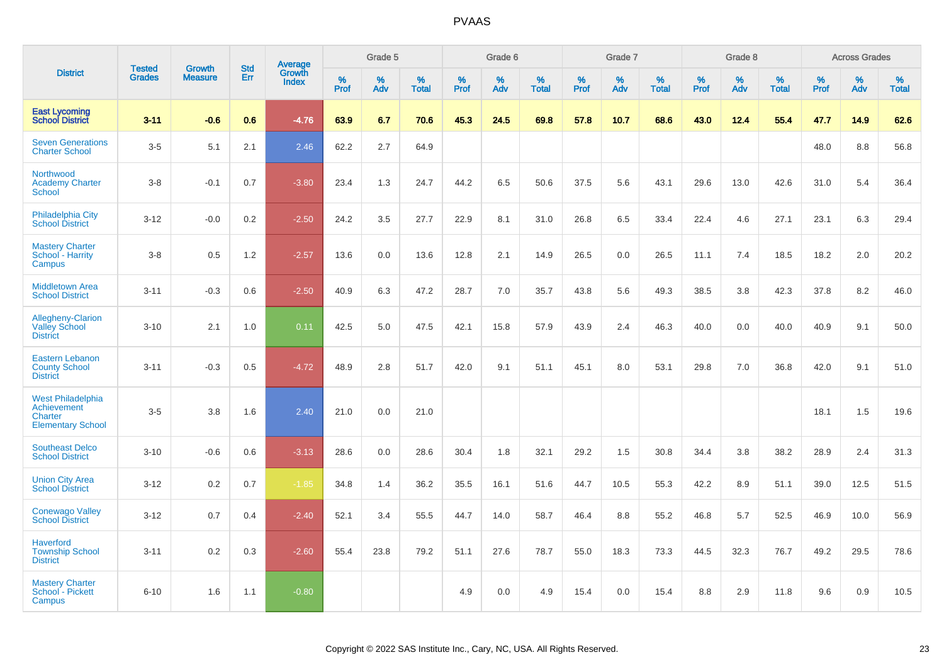|                                                                         |                                |                                 |                   | Average                |                     | Grade 5     |                   |              | Grade 6  |                      |              | Grade 7  |                   |              | Grade 8  |                   |              | <b>Across Grades</b> |            |
|-------------------------------------------------------------------------|--------------------------------|---------------------------------|-------------------|------------------------|---------------------|-------------|-------------------|--------------|----------|----------------------|--------------|----------|-------------------|--------------|----------|-------------------|--------------|----------------------|------------|
| <b>District</b>                                                         | <b>Tested</b><br><b>Grades</b> | <b>Growth</b><br><b>Measure</b> | <b>Std</b><br>Err | Growth<br><b>Index</b> | $\%$<br><b>Prof</b> | $\%$<br>Adv | %<br><b>Total</b> | $\%$<br>Prof | %<br>Adv | $\%$<br><b>Total</b> | $\%$<br>Prof | %<br>Adv | %<br><b>Total</b> | $\%$<br>Prof | %<br>Adv | %<br><b>Total</b> | $\%$<br>Prof | %<br>Adv             | %<br>Total |
| <b>East Lycoming</b><br><b>School District</b>                          | $3 - 11$                       | $-0.6$                          | 0.6               | $-4.76$                | 63.9                | 6.7         | 70.6              | 45.3         | 24.5     | 69.8                 | 57.8         | 10.7     | 68.6              | 43.0         | 12.4     | 55.4              | 47.7         | 14.9                 | 62.6       |
| <b>Seven Generations</b><br><b>Charter School</b>                       | $3-5$                          | 5.1                             | 2.1               | 2.46                   | 62.2                | 2.7         | 64.9              |              |          |                      |              |          |                   |              |          |                   | 48.0         | 8.8                  | 56.8       |
| Northwood<br><b>Academy Charter</b><br>School                           | $3 - 8$                        | $-0.1$                          | 0.7               | $-3.80$                | 23.4                | 1.3         | 24.7              | 44.2         | 6.5      | 50.6                 | 37.5         | 5.6      | 43.1              | 29.6         | 13.0     | 42.6              | 31.0         | 5.4                  | 36.4       |
| Philadelphia City<br><b>School District</b>                             | $3 - 12$                       | $-0.0$                          | 0.2               | $-2.50$                | 24.2                | 3.5         | 27.7              | 22.9         | 8.1      | 31.0                 | 26.8         | 6.5      | 33.4              | 22.4         | 4.6      | 27.1              | 23.1         | 6.3                  | 29.4       |
| <b>Mastery Charter</b><br>School - Harrity<br>Campus                    | $3-8$                          | 0.5                             | 1.2               | $-2.57$                | 13.6                | 0.0         | 13.6              | 12.8         | 2.1      | 14.9                 | 26.5         | 0.0      | 26.5              | 11.1         | 7.4      | 18.5              | 18.2         | 2.0                  | 20.2       |
| <b>Middletown Area</b><br><b>School District</b>                        | $3 - 11$                       | $-0.3$                          | 0.6               | $-2.50$                | 40.9                | 6.3         | 47.2              | 28.7         | 7.0      | 35.7                 | 43.8         | 5.6      | 49.3              | 38.5         | 3.8      | 42.3              | 37.8         | 8.2                  | 46.0       |
| Allegheny-Clarion<br><b>Valley School</b><br><b>District</b>            | $3 - 10$                       | 2.1                             | 1.0               | 0.11                   | 42.5                | 5.0         | 47.5              | 42.1         | 15.8     | 57.9                 | 43.9         | 2.4      | 46.3              | 40.0         | 0.0      | 40.0              | 40.9         | 9.1                  | 50.0       |
| <b>Eastern Lebanon</b><br><b>County School</b><br><b>District</b>       | $3 - 11$                       | $-0.3$                          | 0.5               | $-4.72$                | 48.9                | 2.8         | 51.7              | 42.0         | 9.1      | 51.1                 | 45.1         | 8.0      | 53.1              | 29.8         | 7.0      | 36.8              | 42.0         | 9.1                  | 51.0       |
| West Philadelphia<br>Achievement<br>Charter<br><b>Elementary School</b> | $3-5$                          | 3.8                             | 1.6               | 2.40                   | 21.0                | 0.0         | 21.0              |              |          |                      |              |          |                   |              |          |                   | 18.1         | 1.5                  | 19.6       |
| <b>Southeast Delco</b><br><b>School District</b>                        | $3 - 10$                       | $-0.6$                          | 0.6               | $-3.13$                | 28.6                | 0.0         | 28.6              | 30.4         | 1.8      | 32.1                 | 29.2         | 1.5      | 30.8              | 34.4         | 3.8      | 38.2              | 28.9         | 2.4                  | 31.3       |
| <b>Union City Area</b><br><b>School District</b>                        | $3 - 12$                       | 0.2                             | 0.7               | $-1.85$                | 34.8                | 1.4         | 36.2              | 35.5         | 16.1     | 51.6                 | 44.7         | 10.5     | 55.3              | 42.2         | 8.9      | 51.1              | 39.0         | 12.5                 | 51.5       |
| <b>Conewago Valley</b><br><b>School District</b>                        | $3 - 12$                       | 0.7                             | 0.4               | $-2.40$                | 52.1                | 3.4         | 55.5              | 44.7         | 14.0     | 58.7                 | 46.4         | 8.8      | 55.2              | 46.8         | 5.7      | 52.5              | 46.9         | 10.0                 | 56.9       |
| <b>Haverford</b><br><b>Township School</b><br><b>District</b>           | $3 - 11$                       | 0.2                             | 0.3               | $-2.60$                | 55.4                | 23.8        | 79.2              | 51.1         | 27.6     | 78.7                 | 55.0         | 18.3     | 73.3              | 44.5         | 32.3     | 76.7              | 49.2         | 29.5                 | 78.6       |
| <b>Mastery Charter</b><br>School - Pickett<br>Campus                    | $6 - 10$                       | 1.6                             | 1.1               | $-0.80$                |                     |             |                   | 4.9          | 0.0      | 4.9                  | 15.4         | 0.0      | 15.4              | 8.8          | 2.9      | 11.8              | 9.6          | 0.9                  | 10.5       |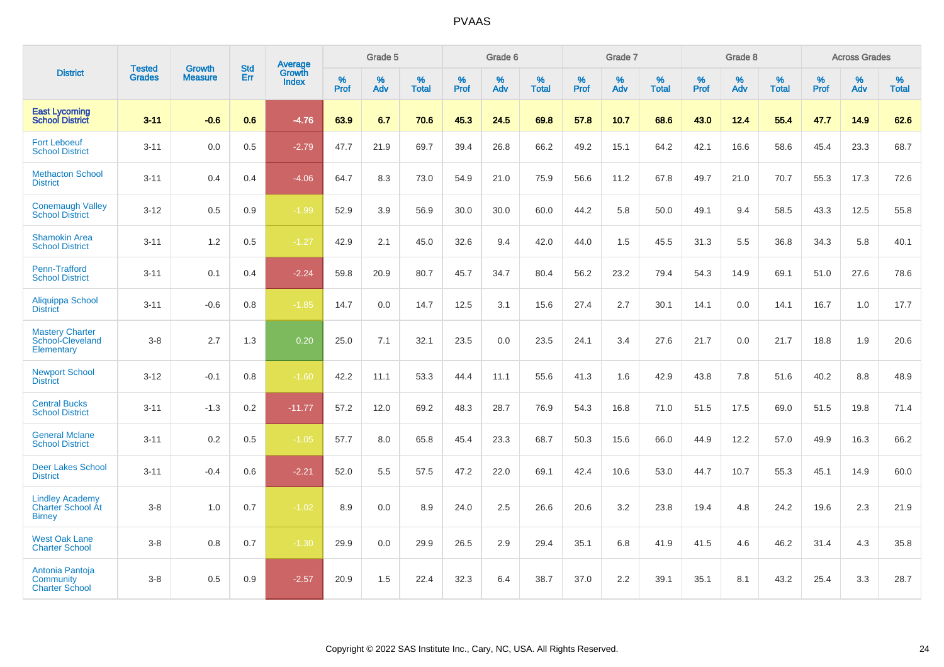|                                                                     | <b>Tested</b> | <b>Growth</b>  | <b>Std</b> | Average                |           | Grade 5  |                   |           | Grade 6  |                   |           | Grade 7  |                   |           | Grade 8  |                   |           | <b>Across Grades</b> |                   |
|---------------------------------------------------------------------|---------------|----------------|------------|------------------------|-----------|----------|-------------------|-----------|----------|-------------------|-----------|----------|-------------------|-----------|----------|-------------------|-----------|----------------------|-------------------|
| <b>District</b>                                                     | <b>Grades</b> | <b>Measure</b> | Err        | Growth<br><b>Index</b> | %<br>Prof | %<br>Adv | %<br><b>Total</b> | %<br>Prof | %<br>Adv | %<br><b>Total</b> | %<br>Prof | %<br>Adv | %<br><b>Total</b> | %<br>Prof | %<br>Adv | %<br><b>Total</b> | %<br>Prof | %<br>Adv             | %<br><b>Total</b> |
| <b>East Lycoming</b><br><b>School District</b>                      | $3 - 11$      | $-0.6$         | 0.6        | $-4.76$                | 63.9      | 6.7      | 70.6              | 45.3      | 24.5     | 69.8              | 57.8      | 10.7     | 68.6              | 43.0      | 12.4     | 55.4              | 47.7      | 14.9                 | 62.6              |
| <b>Fort Leboeuf</b><br><b>School District</b>                       | $3 - 11$      | 0.0            | 0.5        | $-2.79$                | 47.7      | 21.9     | 69.7              | 39.4      | 26.8     | 66.2              | 49.2      | 15.1     | 64.2              | 42.1      | 16.6     | 58.6              | 45.4      | 23.3                 | 68.7              |
| <b>Methacton School</b><br><b>District</b>                          | $3 - 11$      | 0.4            | 0.4        | $-4.06$                | 64.7      | 8.3      | 73.0              | 54.9      | 21.0     | 75.9              | 56.6      | 11.2     | 67.8              | 49.7      | 21.0     | 70.7              | 55.3      | 17.3                 | 72.6              |
| <b>Conemaugh Valley</b><br><b>School District</b>                   | $3 - 12$      | 0.5            | 0.9        | $-1.99$                | 52.9      | 3.9      | 56.9              | 30.0      | 30.0     | 60.0              | 44.2      | 5.8      | 50.0              | 49.1      | 9.4      | 58.5              | 43.3      | 12.5                 | 55.8              |
| <b>Shamokin Area</b><br><b>School District</b>                      | $3 - 11$      | 1.2            | 0.5        | $-1.27$                | 42.9      | 2.1      | 45.0              | 32.6      | 9.4      | 42.0              | 44.0      | 1.5      | 45.5              | 31.3      | 5.5      | 36.8              | 34.3      | 5.8                  | 40.1              |
| Penn-Trafford<br><b>School District</b>                             | $3 - 11$      | 0.1            | 0.4        | $-2.24$                | 59.8      | 20.9     | 80.7              | 45.7      | 34.7     | 80.4              | 56.2      | 23.2     | 79.4              | 54.3      | 14.9     | 69.1              | 51.0      | 27.6                 | 78.6              |
| Aliquippa School<br><b>District</b>                                 | $3 - 11$      | $-0.6$         | 0.8        | $-1.85$                | 14.7      | 0.0      | 14.7              | 12.5      | 3.1      | 15.6              | 27.4      | 2.7      | 30.1              | 14.1      | 0.0      | 14.1              | 16.7      | 1.0                  | 17.7              |
| <b>Mastery Charter</b><br>School-Cleveland<br>Elementary            | $3-8$         | 2.7            | 1.3        | 0.20                   | 25.0      | 7.1      | 32.1              | 23.5      | 0.0      | 23.5              | 24.1      | 3.4      | 27.6              | 21.7      | 0.0      | 21.7              | 18.8      | 1.9                  | 20.6              |
| <b>Newport School</b><br><b>District</b>                            | $3 - 12$      | $-0.1$         | 0.8        | $-1.60$                | 42.2      | 11.1     | 53.3              | 44.4      | 11.1     | 55.6              | 41.3      | 1.6      | 42.9              | 43.8      | 7.8      | 51.6              | 40.2      | 8.8                  | 48.9              |
| <b>Central Bucks</b><br><b>School District</b>                      | $3 - 11$      | $-1.3$         | 0.2        | $-11.77$               | 57.2      | 12.0     | 69.2              | 48.3      | 28.7     | 76.9              | 54.3      | 16.8     | 71.0              | 51.5      | 17.5     | 69.0              | 51.5      | 19.8                 | 71.4              |
| <b>General Mclane</b><br><b>School District</b>                     | $3 - 11$      | 0.2            | 0.5        | $-1.05$                | 57.7      | 8.0      | 65.8              | 45.4      | 23.3     | 68.7              | 50.3      | 15.6     | 66.0              | 44.9      | 12.2     | 57.0              | 49.9      | 16.3                 | 66.2              |
| <b>Deer Lakes School</b><br><b>District</b>                         | $3 - 11$      | $-0.4$         | 0.6        | $-2.21$                | 52.0      | 5.5      | 57.5              | 47.2      | 22.0     | 69.1              | 42.4      | 10.6     | 53.0              | 44.7      | 10.7     | 55.3              | 45.1      | 14.9                 | 60.0              |
| <b>Lindley Academy</b><br><b>Charter School At</b><br><b>Birney</b> | $3-8$         | 1.0            | 0.7        | $-1.02$                | 8.9       | 0.0      | 8.9               | 24.0      | 2.5      | 26.6              | 20.6      | 3.2      | 23.8              | 19.4      | 4.8      | 24.2              | 19.6      | 2.3                  | 21.9              |
| <b>West Oak Lane</b><br><b>Charter School</b>                       | $3-8$         | 0.8            | 0.7        | $-1.30$                | 29.9      | 0.0      | 29.9              | 26.5      | 2.9      | 29.4              | 35.1      | 6.8      | 41.9              | 41.5      | 4.6      | 46.2              | 31.4      | 4.3                  | 35.8              |
| Antonia Pantoja<br><b>Community</b><br><b>Charter School</b>        | $3-8$         | 0.5            | 0.9        | $-2.57$                | 20.9      | 1.5      | 22.4              | 32.3      | 6.4      | 38.7              | 37.0      | 2.2      | 39.1              | 35.1      | 8.1      | 43.2              | 25.4      | 3.3                  | 28.7              |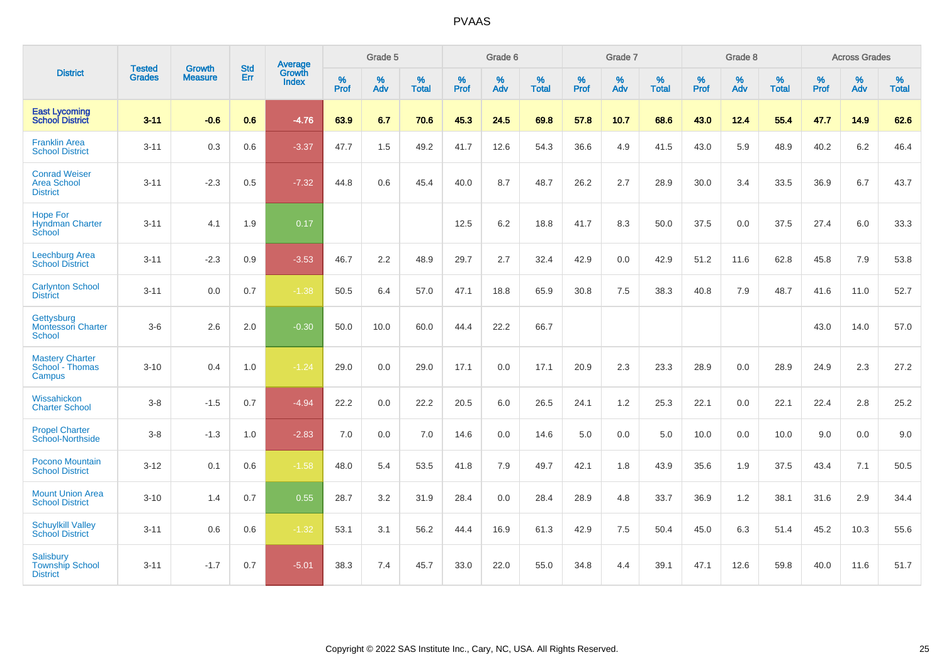|                                                               | <b>Tested</b> | <b>Growth</b>  | <b>Std</b> | Average                |                     | Grade 5     |                   |                     | Grade 6  |                   |                     | Grade 7  |                   |              | Grade 8  |                   |                     | <b>Across Grades</b> |                   |
|---------------------------------------------------------------|---------------|----------------|------------|------------------------|---------------------|-------------|-------------------|---------------------|----------|-------------------|---------------------|----------|-------------------|--------------|----------|-------------------|---------------------|----------------------|-------------------|
| <b>District</b>                                               | <b>Grades</b> | <b>Measure</b> | Err        | Growth<br><b>Index</b> | $\%$<br><b>Prof</b> | $\%$<br>Adv | %<br><b>Total</b> | $\%$<br><b>Prof</b> | %<br>Adv | %<br><b>Total</b> | $\%$<br><b>Prof</b> | %<br>Adv | %<br><b>Total</b> | $\%$<br>Prof | %<br>Adv | %<br><b>Total</b> | $\%$<br><b>Prof</b> | %<br>Adv             | %<br><b>Total</b> |
| <b>East Lycoming</b><br><b>School District</b>                | $3 - 11$      | $-0.6$         | 0.6        | $-4.76$                | 63.9                | 6.7         | 70.6              | 45.3                | 24.5     | 69.8              | 57.8                | 10.7     | 68.6              | 43.0         | 12.4     | 55.4              | 47.7                | 14.9                 | 62.6              |
| <b>Franklin Area</b><br><b>School District</b>                | $3 - 11$      | 0.3            | 0.6        | $-3.37$                | 47.7                | 1.5         | 49.2              | 41.7                | 12.6     | 54.3              | 36.6                | 4.9      | 41.5              | 43.0         | 5.9      | 48.9              | 40.2                | 6.2                  | 46.4              |
| <b>Conrad Weiser</b><br>Area School<br><b>District</b>        | $3 - 11$      | $-2.3$         | 0.5        | $-7.32$                | 44.8                | 0.6         | 45.4              | 40.0                | 8.7      | 48.7              | 26.2                | 2.7      | 28.9              | 30.0         | 3.4      | 33.5              | 36.9                | 6.7                  | 43.7              |
| <b>Hope For</b><br><b>Hyndman Charter</b><br>School           | $3 - 11$      | 4.1            | 1.9        | 0.17                   |                     |             |                   | 12.5                | 6.2      | 18.8              | 41.7                | 8.3      | 50.0              | 37.5         | 0.0      | 37.5              | 27.4                | 6.0                  | 33.3              |
| Leechburg Area<br><b>School District</b>                      | $3 - 11$      | $-2.3$         | 0.9        | $-3.53$                | 46.7                | 2.2         | 48.9              | 29.7                | 2.7      | 32.4              | 42.9                | 0.0      | 42.9              | 51.2         | 11.6     | 62.8              | 45.8                | 7.9                  | 53.8              |
| <b>Carlynton School</b><br><b>District</b>                    | $3 - 11$      | 0.0            | 0.7        | $-1.38$                | 50.5                | 6.4         | 57.0              | 47.1                | 18.8     | 65.9              | 30.8                | 7.5      | 38.3              | 40.8         | 7.9      | 48.7              | 41.6                | 11.0                 | 52.7              |
| Gettysburg<br><b>Montessori Charter</b><br>School             | $3-6$         | 2.6            | 2.0        | $-0.30$                | 50.0                | 10.0        | 60.0              | 44.4                | 22.2     | 66.7              |                     |          |                   |              |          |                   | 43.0                | 14.0                 | 57.0              |
| <b>Mastery Charter</b><br>School - Thomas<br>Campus           | $3 - 10$      | 0.4            | 1.0        | $-1.24$                | 29.0                | 0.0         | 29.0              | 17.1                | 0.0      | 17.1              | 20.9                | 2.3      | 23.3              | 28.9         | 0.0      | 28.9              | 24.9                | 2.3                  | 27.2              |
| Wissahickon<br><b>Charter School</b>                          | $3-8$         | $-1.5$         | 0.7        | $-4.94$                | 22.2                | 0.0         | 22.2              | 20.5                | 6.0      | 26.5              | 24.1                | 1.2      | 25.3              | 22.1         | 0.0      | 22.1              | 22.4                | 2.8                  | 25.2              |
| <b>Propel Charter</b><br>School-Northside                     | $3-8$         | $-1.3$         | 1.0        | $-2.83$                | 7.0                 | 0.0         | 7.0               | 14.6                | 0.0      | 14.6              | 5.0                 | 0.0      | 5.0               | 10.0         | 0.0      | 10.0              | 9.0                 | 0.0                  | 9.0               |
| Pocono Mountain<br><b>School District</b>                     | $3 - 12$      | 0.1            | 0.6        | $-1.58$                | 48.0                | 5.4         | 53.5              | 41.8                | 7.9      | 49.7              | 42.1                | 1.8      | 43.9              | 35.6         | 1.9      | 37.5              | 43.4                | 7.1                  | 50.5              |
| <b>Mount Union Area</b><br><b>School District</b>             | $3 - 10$      | 1.4            | 0.7        | 0.55                   | 28.7                | 3.2         | 31.9              | 28.4                | 0.0      | 28.4              | 28.9                | 4.8      | 33.7              | 36.9         | 1.2      | 38.1              | 31.6                | 2.9                  | 34.4              |
| <b>Schuylkill Valley</b><br><b>School District</b>            | $3 - 11$      | 0.6            | 0.6        | $-1.32$                | 53.1                | 3.1         | 56.2              | 44.4                | 16.9     | 61.3              | 42.9                | 7.5      | 50.4              | 45.0         | 6.3      | 51.4              | 45.2                | 10.3                 | 55.6              |
| <b>Salisbury</b><br><b>Township School</b><br><b>District</b> | $3 - 11$      | $-1.7$         | 0.7        | $-5.01$                | 38.3                | 7.4         | 45.7              | 33.0                | 22.0     | 55.0              | 34.8                | 4.4      | 39.1              | 47.1         | 12.6     | 59.8              | 40.0                | 11.6                 | 51.7              |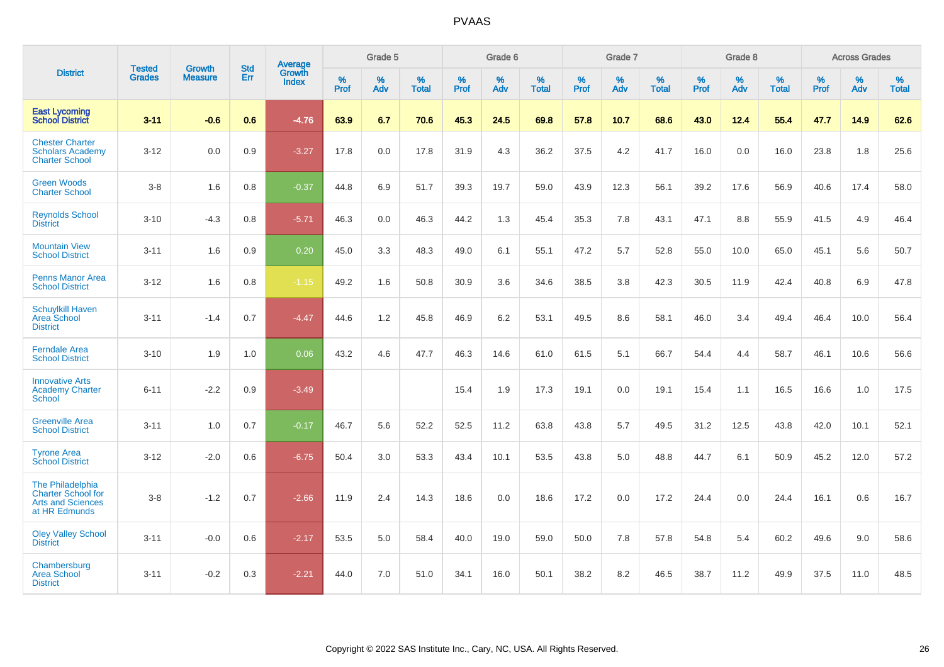|                                                                                            |                                |                                 | <b>Std</b> | <b>Average</b>         |           | Grade 5  |                   |           | Grade 6  |                   |           | Grade 7  |                   |           | Grade 8  |                   |           | <b>Across Grades</b> |                   |
|--------------------------------------------------------------------------------------------|--------------------------------|---------------------------------|------------|------------------------|-----------|----------|-------------------|-----------|----------|-------------------|-----------|----------|-------------------|-----------|----------|-------------------|-----------|----------------------|-------------------|
| <b>District</b>                                                                            | <b>Tested</b><br><b>Grades</b> | <b>Growth</b><br><b>Measure</b> | Err        | Growth<br><b>Index</b> | %<br>Prof | %<br>Adv | %<br><b>Total</b> | %<br>Prof | %<br>Adv | %<br><b>Total</b> | %<br>Prof | %<br>Adv | %<br><b>Total</b> | %<br>Prof | %<br>Adv | %<br><b>Total</b> | %<br>Prof | %<br>Adv             | %<br><b>Total</b> |
| <b>East Lycoming</b><br><b>School District</b>                                             | $3 - 11$                       | $-0.6$                          | 0.6        | $-4.76$                | 63.9      | 6.7      | 70.6              | 45.3      | 24.5     | 69.8              | 57.8      | 10.7     | 68.6              | 43.0      | 12.4     | 55.4              | 47.7      | 14.9                 | 62.6              |
| <b>Chester Charter</b><br><b>Scholars Academy</b><br><b>Charter School</b>                 | $3 - 12$                       | 0.0                             | 0.9        | $-3.27$                | 17.8      | 0.0      | 17.8              | 31.9      | 4.3      | 36.2              | 37.5      | 4.2      | 41.7              | 16.0      | 0.0      | 16.0              | 23.8      | 1.8                  | 25.6              |
| <b>Green Woods</b><br><b>Charter School</b>                                                | $3-8$                          | 1.6                             | 0.8        | $-0.37$                | 44.8      | 6.9      | 51.7              | 39.3      | 19.7     | 59.0              | 43.9      | 12.3     | 56.1              | 39.2      | 17.6     | 56.9              | 40.6      | 17.4                 | 58.0              |
| <b>Reynolds School</b><br><b>District</b>                                                  | $3 - 10$                       | $-4.3$                          | 0.8        | $-5.71$                | 46.3      | 0.0      | 46.3              | 44.2      | 1.3      | 45.4              | 35.3      | 7.8      | 43.1              | 47.1      | 8.8      | 55.9              | 41.5      | 4.9                  | 46.4              |
| <b>Mountain View</b><br><b>School District</b>                                             | $3 - 11$                       | 1.6                             | 0.9        | 0.20                   | 45.0      | 3.3      | 48.3              | 49.0      | 6.1      | 55.1              | 47.2      | 5.7      | 52.8              | 55.0      | 10.0     | 65.0              | 45.1      | 5.6                  | 50.7              |
| <b>Penns Manor Area</b><br><b>School District</b>                                          | $3 - 12$                       | 1.6                             | 0.8        | $-1.15$                | 49.2      | 1.6      | 50.8              | 30.9      | 3.6      | 34.6              | 38.5      | 3.8      | 42.3              | 30.5      | 11.9     | 42.4              | 40.8      | 6.9                  | 47.8              |
| <b>Schuylkill Haven</b><br><b>Area School</b><br><b>District</b>                           | $3 - 11$                       | $-1.4$                          | 0.7        | $-4.47$                | 44.6      | 1.2      | 45.8              | 46.9      | 6.2      | 53.1              | 49.5      | 8.6      | 58.1              | 46.0      | 3.4      | 49.4              | 46.4      | 10.0                 | 56.4              |
| <b>Ferndale Area</b><br><b>School District</b>                                             | $3 - 10$                       | 1.9                             | 1.0        | 0.06                   | 43.2      | 4.6      | 47.7              | 46.3      | 14.6     | 61.0              | 61.5      | 5.1      | 66.7              | 54.4      | 4.4      | 58.7              | 46.1      | 10.6                 | 56.6              |
| <b>Innovative Arts</b><br><b>Academy Charter</b><br><b>School</b>                          | $6 - 11$                       | $-2.2$                          | 0.9        | $-3.49$                |           |          |                   | 15.4      | 1.9      | 17.3              | 19.1      | 0.0      | 19.1              | 15.4      | 1.1      | 16.5              | 16.6      | 1.0                  | 17.5              |
| <b>Greenville Area</b><br><b>School District</b>                                           | $3 - 11$                       | 1.0                             | 0.7        | $-0.17$                | 46.7      | 5.6      | 52.2              | 52.5      | 11.2     | 63.8              | 43.8      | 5.7      | 49.5              | 31.2      | 12.5     | 43.8              | 42.0      | 10.1                 | 52.1              |
| <b>Tyrone Area</b><br><b>School District</b>                                               | $3 - 12$                       | $-2.0$                          | 0.6        | $-6.75$                | 50.4      | 3.0      | 53.3              | 43.4      | 10.1     | 53.5              | 43.8      | 5.0      | 48.8              | 44.7      | 6.1      | 50.9              | 45.2      | 12.0                 | 57.2              |
| The Philadelphia<br><b>Charter School for</b><br><b>Arts and Sciences</b><br>at HR Edmunds | $3-8$                          | $-1.2$                          | 0.7        | $-2.66$                | 11.9      | 2.4      | 14.3              | 18.6      | 0.0      | 18.6              | 17.2      | 0.0      | 17.2              | 24.4      | 0.0      | 24.4              | 16.1      | 0.6                  | 16.7              |
| <b>Oley Valley School</b><br><b>District</b>                                               | $3 - 11$                       | $-0.0$                          | 0.6        | $-2.17$                | 53.5      | 5.0      | 58.4              | 40.0      | 19.0     | 59.0              | 50.0      | 7.8      | 57.8              | 54.8      | 5.4      | 60.2              | 49.6      | 9.0                  | 58.6              |
| Chambersburg<br><b>Area School</b><br><b>District</b>                                      | $3 - 11$                       | $-0.2$                          | 0.3        | $-2.21$                | 44.0      | 7.0      | 51.0              | 34.1      | 16.0     | 50.1              | 38.2      | 8.2      | 46.5              | 38.7      | 11.2     | 49.9              | 37.5      | 11.0                 | 48.5              |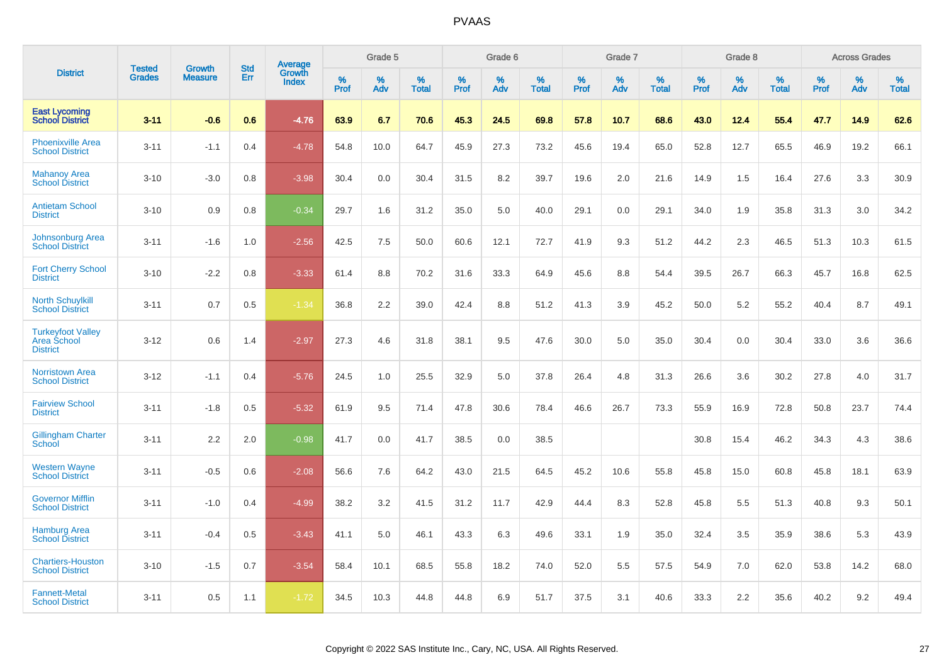|                                                            |                                |                                 | <b>Std</b> | Average         |           | Grade 5  |                      |           | Grade 6  |                   |              | Grade 7  |                   |           | Grade 8  |                   |           | <b>Across Grades</b> |                   |
|------------------------------------------------------------|--------------------------------|---------------------------------|------------|-----------------|-----------|----------|----------------------|-----------|----------|-------------------|--------------|----------|-------------------|-----------|----------|-------------------|-----------|----------------------|-------------------|
| <b>District</b>                                            | <b>Tested</b><br><b>Grades</b> | <b>Growth</b><br><b>Measure</b> | Err        | Growth<br>Index | %<br>Prof | %<br>Adv | $\%$<br><b>Total</b> | %<br>Prof | %<br>Adv | %<br><b>Total</b> | $\%$<br>Prof | %<br>Adv | %<br><b>Total</b> | %<br>Prof | %<br>Adv | %<br><b>Total</b> | %<br>Prof | %<br>Adv             | %<br><b>Total</b> |
| <b>East Lycoming</b><br><b>School District</b>             | $3 - 11$                       | $-0.6$                          | 0.6        | $-4.76$         | 63.9      | 6.7      | 70.6                 | 45.3      | 24.5     | 69.8              | 57.8         | 10.7     | 68.6              | 43.0      | 12.4     | 55.4              | 47.7      | 14.9                 | 62.6              |
| <b>Phoenixville Area</b><br><b>School District</b>         | $3 - 11$                       | $-1.1$                          | 0.4        | $-4.78$         | 54.8      | 10.0     | 64.7                 | 45.9      | 27.3     | 73.2              | 45.6         | 19.4     | 65.0              | 52.8      | 12.7     | 65.5              | 46.9      | 19.2                 | 66.1              |
| <b>Mahanoy Area</b><br><b>School District</b>              | $3 - 10$                       | $-3.0$                          | 0.8        | $-3.98$         | 30.4      | 0.0      | 30.4                 | 31.5      | 8.2      | 39.7              | 19.6         | 2.0      | 21.6              | 14.9      | 1.5      | 16.4              | 27.6      | 3.3                  | 30.9              |
| <b>Antietam School</b><br><b>District</b>                  | $3 - 10$                       | 0.9                             | 0.8        | $-0.34$         | 29.7      | 1.6      | 31.2                 | 35.0      | 5.0      | 40.0              | 29.1         | 0.0      | 29.1              | 34.0      | 1.9      | 35.8              | 31.3      | 3.0                  | 34.2              |
| Johnsonburg Area<br><b>School District</b>                 | $3 - 11$                       | $-1.6$                          | 1.0        | $-2.56$         | 42.5      | 7.5      | 50.0                 | 60.6      | 12.1     | 72.7              | 41.9         | 9.3      | 51.2              | 44.2      | 2.3      | 46.5              | 51.3      | 10.3                 | 61.5              |
| <b>Fort Cherry School</b><br><b>District</b>               | $3 - 10$                       | $-2.2$                          | 0.8        | $-3.33$         | 61.4      | 8.8      | 70.2                 | 31.6      | 33.3     | 64.9              | 45.6         | 8.8      | 54.4              | 39.5      | 26.7     | 66.3              | 45.7      | 16.8                 | 62.5              |
| <b>North Schuylkill</b><br><b>School District</b>          | $3 - 11$                       | 0.7                             | 0.5        | $-1.34$         | 36.8      | 2.2      | 39.0                 | 42.4      | 8.8      | 51.2              | 41.3         | 3.9      | 45.2              | 50.0      | 5.2      | 55.2              | 40.4      | 8.7                  | 49.1              |
| <b>Turkeyfoot Valley</b><br>Area School<br><b>District</b> | $3 - 12$                       | 0.6                             | 1.4        | $-2.97$         | 27.3      | 4.6      | 31.8                 | 38.1      | 9.5      | 47.6              | 30.0         | 5.0      | 35.0              | 30.4      | 0.0      | 30.4              | 33.0      | 3.6                  | 36.6              |
| <b>Norristown Area</b><br><b>School District</b>           | $3 - 12$                       | $-1.1$                          | 0.4        | $-5.76$         | 24.5      | 1.0      | 25.5                 | 32.9      | 5.0      | 37.8              | 26.4         | 4.8      | 31.3              | 26.6      | 3.6      | 30.2              | 27.8      | 4.0                  | 31.7              |
| <b>Fairview School</b><br><b>District</b>                  | $3 - 11$                       | $-1.8$                          | 0.5        | $-5.32$         | 61.9      | 9.5      | 71.4                 | 47.8      | 30.6     | 78.4              | 46.6         | 26.7     | 73.3              | 55.9      | 16.9     | 72.8              | 50.8      | 23.7                 | 74.4              |
| <b>Gillingham Charter</b><br>School                        | $3 - 11$                       | 2.2                             | 2.0        | $-0.98$         | 41.7      | 0.0      | 41.7                 | 38.5      | 0.0      | 38.5              |              |          |                   | 30.8      | 15.4     | 46.2              | 34.3      | 4.3                  | 38.6              |
| <b>Western Wayne</b><br><b>School District</b>             | $3 - 11$                       | $-0.5$                          | 0.6        | $-2.08$         | 56.6      | 7.6      | 64.2                 | 43.0      | 21.5     | 64.5              | 45.2         | 10.6     | 55.8              | 45.8      | 15.0     | 60.8              | 45.8      | 18.1                 | 63.9              |
| <b>Governor Mifflin</b><br><b>School District</b>          | $3 - 11$                       | $-1.0$                          | 0.4        | $-4.99$         | 38.2      | 3.2      | 41.5                 | 31.2      | 11.7     | 42.9              | 44.4         | 8.3      | 52.8              | 45.8      | 5.5      | 51.3              | 40.8      | 9.3                  | 50.1              |
| <b>Hamburg Area</b><br><b>School District</b>              | $3 - 11$                       | $-0.4$                          | 0.5        | $-3.43$         | 41.1      | 5.0      | 46.1                 | 43.3      | 6.3      | 49.6              | 33.1         | 1.9      | 35.0              | 32.4      | 3.5      | 35.9              | 38.6      | 5.3                  | 43.9              |
| <b>Chartiers-Houston</b><br><b>School District</b>         | $3 - 10$                       | $-1.5$                          | 0.7        | $-3.54$         | 58.4      | 10.1     | 68.5                 | 55.8      | 18.2     | 74.0              | 52.0         | 5.5      | 57.5              | 54.9      | 7.0      | 62.0              | 53.8      | 14.2                 | 68.0              |
| <b>Fannett-Metal</b><br><b>School District</b>             | $3 - 11$                       | 0.5                             | 1.1        | $-1.72$         | 34.5      | 10.3     | 44.8                 | 44.8      | 6.9      | 51.7              | 37.5         | 3.1      | 40.6              | 33.3      | 2.2      | 35.6              | 40.2      | 9.2                  | 49.4              |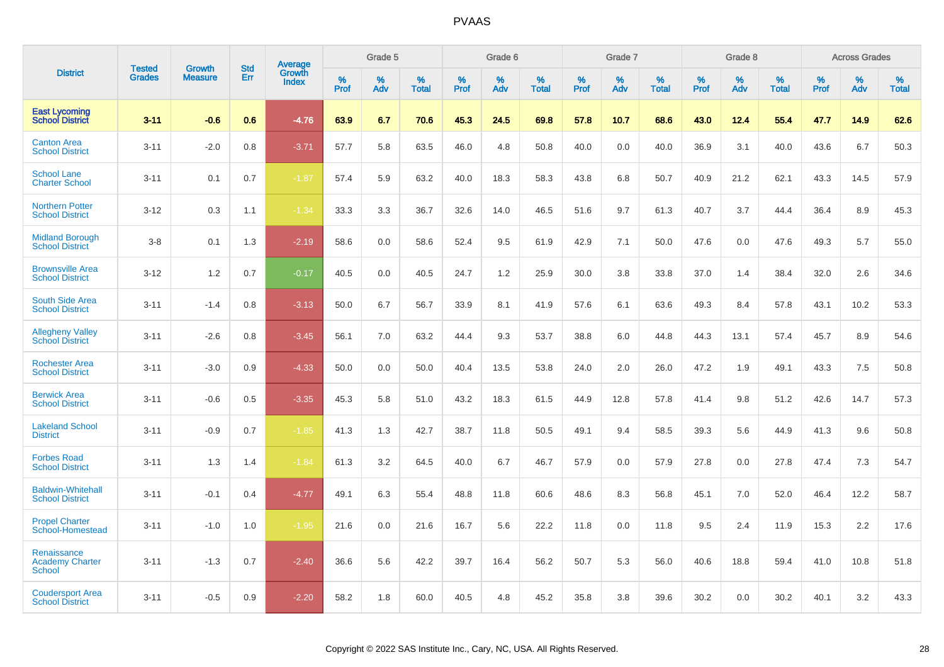|                                                        |                                |                                 | <b>Std</b> | Average                |           | Grade 5  |                   |           | Grade 6  |                   |           | Grade 7  |                   |           | Grade 8  |                   |           | <b>Across Grades</b> |                   |
|--------------------------------------------------------|--------------------------------|---------------------------------|------------|------------------------|-----------|----------|-------------------|-----------|----------|-------------------|-----------|----------|-------------------|-----------|----------|-------------------|-----------|----------------------|-------------------|
| <b>District</b>                                        | <b>Tested</b><br><b>Grades</b> | <b>Growth</b><br><b>Measure</b> | Err        | Growth<br><b>Index</b> | %<br>Prof | %<br>Adv | %<br><b>Total</b> | %<br>Prof | %<br>Adv | %<br><b>Total</b> | %<br>Prof | %<br>Adv | %<br><b>Total</b> | %<br>Prof | %<br>Adv | %<br><b>Total</b> | %<br>Prof | %<br>Adv             | %<br><b>Total</b> |
| <b>East Lycoming</b><br><b>School District</b>         | $3 - 11$                       | $-0.6$                          | 0.6        | $-4.76$                | 63.9      | 6.7      | 70.6              | 45.3      | 24.5     | 69.8              | 57.8      | 10.7     | 68.6              | 43.0      | 12.4     | 55.4              | 47.7      | 14.9                 | 62.6              |
| <b>Canton Area</b><br><b>School District</b>           | $3 - 11$                       | $-2.0$                          | 0.8        | $-3.71$                | 57.7      | 5.8      | 63.5              | 46.0      | 4.8      | 50.8              | 40.0      | 0.0      | 40.0              | 36.9      | 3.1      | 40.0              | 43.6      | 6.7                  | 50.3              |
| <b>School Lane</b><br><b>Charter School</b>            | $3 - 11$                       | 0.1                             | 0.7        | $-1.87$                | 57.4      | 5.9      | 63.2              | 40.0      | 18.3     | 58.3              | 43.8      | 6.8      | 50.7              | 40.9      | 21.2     | 62.1              | 43.3      | 14.5                 | 57.9              |
| <b>Northern Potter</b><br><b>School District</b>       | $3 - 12$                       | 0.3                             | 1.1        | $-1.34$                | 33.3      | 3.3      | 36.7              | 32.6      | 14.0     | 46.5              | 51.6      | 9.7      | 61.3              | 40.7      | 3.7      | 44.4              | 36.4      | 8.9                  | 45.3              |
| <b>Midland Borough</b><br><b>School District</b>       | $3-8$                          | 0.1                             | 1.3        | $-2.19$                | 58.6      | 0.0      | 58.6              | 52.4      | 9.5      | 61.9              | 42.9      | 7.1      | 50.0              | 47.6      | 0.0      | 47.6              | 49.3      | 5.7                  | 55.0              |
| <b>Brownsville Area</b><br><b>School District</b>      | $3 - 12$                       | 1.2                             | 0.7        | $-0.17$                | 40.5      | 0.0      | 40.5              | 24.7      | 1.2      | 25.9              | 30.0      | 3.8      | 33.8              | 37.0      | 1.4      | 38.4              | 32.0      | 2.6                  | 34.6              |
| South Side Area<br><b>School District</b>              | $3 - 11$                       | $-1.4$                          | 0.8        | $-3.13$                | 50.0      | 6.7      | 56.7              | 33.9      | 8.1      | 41.9              | 57.6      | 6.1      | 63.6              | 49.3      | 8.4      | 57.8              | 43.1      | 10.2                 | 53.3              |
| <b>Allegheny Valley</b><br><b>School District</b>      | $3 - 11$                       | $-2.6$                          | 0.8        | $-3.45$                | 56.1      | 7.0      | 63.2              | 44.4      | 9.3      | 53.7              | 38.8      | 6.0      | 44.8              | 44.3      | 13.1     | 57.4              | 45.7      | 8.9                  | 54.6              |
| <b>Rochester Area</b><br><b>School District</b>        | $3 - 11$                       | $-3.0$                          | 0.9        | $-4.33$                | 50.0      | 0.0      | 50.0              | 40.4      | 13.5     | 53.8              | 24.0      | 2.0      | 26.0              | 47.2      | 1.9      | 49.1              | 43.3      | 7.5                  | 50.8              |
| <b>Berwick Area</b><br><b>School District</b>          | $3 - 11$                       | $-0.6$                          | 0.5        | $-3.35$                | 45.3      | 5.8      | 51.0              | 43.2      | 18.3     | 61.5              | 44.9      | 12.8     | 57.8              | 41.4      | 9.8      | 51.2              | 42.6      | 14.7                 | 57.3              |
| <b>Lakeland School</b><br><b>District</b>              | $3 - 11$                       | $-0.9$                          | 0.7        | $-1.85$                | 41.3      | 1.3      | 42.7              | 38.7      | 11.8     | 50.5              | 49.1      | 9.4      | 58.5              | 39.3      | 5.6      | 44.9              | 41.3      | 9.6                  | 50.8              |
| <b>Forbes Road</b><br><b>School District</b>           | $3 - 11$                       | 1.3                             | 1.4        | $-1.84$                | 61.3      | 3.2      | 64.5              | 40.0      | 6.7      | 46.7              | 57.9      | 0.0      | 57.9              | 27.8      | 0.0      | 27.8              | 47.4      | 7.3                  | 54.7              |
| <b>Baldwin-Whitehall</b><br><b>School District</b>     | $3 - 11$                       | $-0.1$                          | 0.4        | $-4.77$                | 49.1      | 6.3      | 55.4              | 48.8      | 11.8     | 60.6              | 48.6      | 8.3      | 56.8              | 45.1      | 7.0      | 52.0              | 46.4      | 12.2                 | 58.7              |
| <b>Propel Charter</b><br>School-Homestead              | $3 - 11$                       | $-1.0$                          | 1.0        | $-1.95$                | 21.6      | 0.0      | 21.6              | 16.7      | 5.6      | 22.2              | 11.8      | 0.0      | 11.8              | 9.5       | 2.4      | 11.9              | 15.3      | 2.2                  | 17.6              |
| Renaissance<br><b>Academy Charter</b><br><b>School</b> | $3 - 11$                       | $-1.3$                          | 0.7        | $-2.40$                | 36.6      | 5.6      | 42.2              | 39.7      | 16.4     | 56.2              | 50.7      | 5.3      | 56.0              | 40.6      | 18.8     | 59.4              | 41.0      | 10.8                 | 51.8              |
| <b>Coudersport Area</b><br><b>School District</b>      | $3 - 11$                       | $-0.5$                          | 0.9        | $-2.20$                | 58.2      | 1.8      | 60.0              | 40.5      | 4.8      | 45.2              | 35.8      | 3.8      | 39.6              | 30.2      | 0.0      | 30.2              | 40.1      | 3.2                  | 43.3              |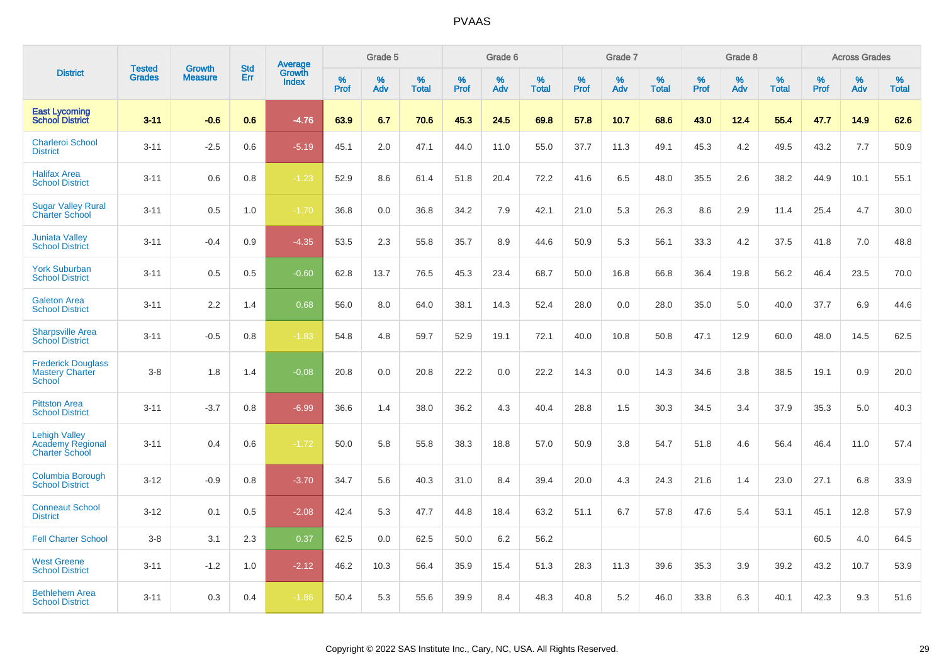|                                                               | <b>Tested</b> | <b>Growth</b>  | <b>Std</b> | Average<br>Growth |                     | Grade 5  |                      |              | Grade 6  |                      |              | Grade 7  |                      |              | Grade 8  |                      |                     | <b>Across Grades</b> |                      |
|---------------------------------------------------------------|---------------|----------------|------------|-------------------|---------------------|----------|----------------------|--------------|----------|----------------------|--------------|----------|----------------------|--------------|----------|----------------------|---------------------|----------------------|----------------------|
| <b>District</b>                                               | <b>Grades</b> | <b>Measure</b> | Err        | <b>Index</b>      | $\%$<br><b>Prof</b> | %<br>Adv | $\%$<br><b>Total</b> | $\%$<br>Prof | %<br>Adv | $\%$<br><b>Total</b> | $\%$<br>Prof | %<br>Adv | $\%$<br><b>Total</b> | $\%$<br>Prof | %<br>Adv | $\%$<br><b>Total</b> | $\%$<br><b>Prof</b> | $\%$<br>Adv          | $\%$<br><b>Total</b> |
| <b>East Lycoming</b><br><b>School District</b>                | $3 - 11$      | $-0.6$         | 0.6        | $-4.76$           | 63.9                | 6.7      | 70.6                 | 45.3         | 24.5     | 69.8                 | 57.8         | 10.7     | 68.6                 | 43.0         | 12.4     | 55.4                 | 47.7                | 14.9                 | 62.6                 |
| <b>Charleroi School</b><br><b>District</b>                    | $3 - 11$      | $-2.5$         | 0.6        | $-5.19$           | 45.1                | 2.0      | 47.1                 | 44.0         | 11.0     | 55.0                 | 37.7         | 11.3     | 49.1                 | 45.3         | 4.2      | 49.5                 | 43.2                | 7.7                  | 50.9                 |
| <b>Halifax Area</b><br><b>School District</b>                 | $3 - 11$      | 0.6            | 0.8        | $-1.23$           | 52.9                | 8.6      | 61.4                 | 51.8         | 20.4     | 72.2                 | 41.6         | 6.5      | 48.0                 | 35.5         | 2.6      | 38.2                 | 44.9                | 10.1                 | 55.1                 |
| <b>Sugar Valley Rural</b><br><b>Charter School</b>            | $3 - 11$      | 0.5            | 1.0        | $-1.70$           | 36.8                | 0.0      | 36.8                 | 34.2         | 7.9      | 42.1                 | 21.0         | 5.3      | 26.3                 | 8.6          | 2.9      | 11.4                 | 25.4                | 4.7                  | 30.0                 |
| <b>Juniata Valley</b><br><b>School District</b>               | $3 - 11$      | $-0.4$         | 0.9        | $-4.35$           | 53.5                | 2.3      | 55.8                 | 35.7         | 8.9      | 44.6                 | 50.9         | 5.3      | 56.1                 | 33.3         | 4.2      | 37.5                 | 41.8                | 7.0                  | 48.8                 |
| <b>York Suburban</b><br><b>School District</b>                | $3 - 11$      | 0.5            | 0.5        | $-0.60$           | 62.8                | 13.7     | 76.5                 | 45.3         | 23.4     | 68.7                 | 50.0         | 16.8     | 66.8                 | 36.4         | 19.8     | 56.2                 | 46.4                | 23.5                 | 70.0                 |
| <b>Galeton Area</b><br><b>School District</b>                 | $3 - 11$      | 2.2            | 1.4        | 0.68              | 56.0                | 8.0      | 64.0                 | 38.1         | 14.3     | 52.4                 | 28.0         | 0.0      | 28.0                 | 35.0         | 5.0      | 40.0                 | 37.7                | 6.9                  | 44.6                 |
| <b>Sharpsville Area</b><br><b>School District</b>             | $3 - 11$      | $-0.5$         | 0.8        | $-1.83$           | 54.8                | 4.8      | 59.7                 | 52.9         | 19.1     | 72.1                 | 40.0         | 10.8     | 50.8                 | 47.1         | 12.9     | 60.0                 | 48.0                | 14.5                 | 62.5                 |
| <b>Frederick Douglass</b><br><b>Mastery Charter</b><br>School | $3 - 8$       | 1.8            | 1.4        | $-0.08$           | 20.8                | 0.0      | 20.8                 | 22.2         | 0.0      | 22.2                 | 14.3         | 0.0      | 14.3                 | 34.6         | 3.8      | 38.5                 | 19.1                | 0.9                  | 20.0                 |
| <b>Pittston Area</b><br><b>School District</b>                | $3 - 11$      | $-3.7$         | 0.8        | $-6.99$           | 36.6                | 1.4      | 38.0                 | 36.2         | 4.3      | 40.4                 | 28.8         | 1.5      | 30.3                 | 34.5         | 3.4      | 37.9                 | 35.3                | 5.0                  | 40.3                 |
| <b>Lehigh Valley</b><br>Academy Regional<br>Charter School    | $3 - 11$      | 0.4            | 0.6        | $-1.72$           | 50.0                | 5.8      | 55.8                 | 38.3         | 18.8     | 57.0                 | 50.9         | 3.8      | 54.7                 | 51.8         | 4.6      | 56.4                 | 46.4                | 11.0                 | 57.4                 |
| <b>Columbia Borough</b><br><b>School District</b>             | $3 - 12$      | $-0.9$         | 0.8        | $-3.70$           | 34.7                | 5.6      | 40.3                 | 31.0         | 8.4      | 39.4                 | 20.0         | 4.3      | 24.3                 | 21.6         | 1.4      | 23.0                 | 27.1                | 6.8                  | 33.9                 |
| <b>Conneaut School</b><br><b>District</b>                     | $3 - 12$      | 0.1            | 0.5        | $-2.08$           | 42.4                | 5.3      | 47.7                 | 44.8         | 18.4     | 63.2                 | 51.1         | 6.7      | 57.8                 | 47.6         | 5.4      | 53.1                 | 45.1                | 12.8                 | 57.9                 |
| <b>Fell Charter School</b>                                    | $3 - 8$       | 3.1            | 2.3        | 0.37              | 62.5                | 0.0      | 62.5                 | 50.0         | 6.2      | 56.2                 |              |          |                      |              |          |                      | 60.5                | 4.0                  | 64.5                 |
| <b>West Greene</b><br><b>School District</b>                  | $3 - 11$      | $-1.2$         | 1.0        | $-2.12$           | 46.2                | 10.3     | 56.4                 | 35.9         | 15.4     | 51.3                 | 28.3         | 11.3     | 39.6                 | 35.3         | 3.9      | 39.2                 | 43.2                | 10.7                 | 53.9                 |
| <b>Bethlehem Area</b><br><b>School District</b>               | $3 - 11$      | 0.3            | 0.4        | $-1.86$           | 50.4                | 5.3      | 55.6                 | 39.9         | 8.4      | 48.3                 | 40.8         | 5.2      | 46.0                 | 33.8         | 6.3      | 40.1                 | 42.3                | 9.3                  | 51.6                 |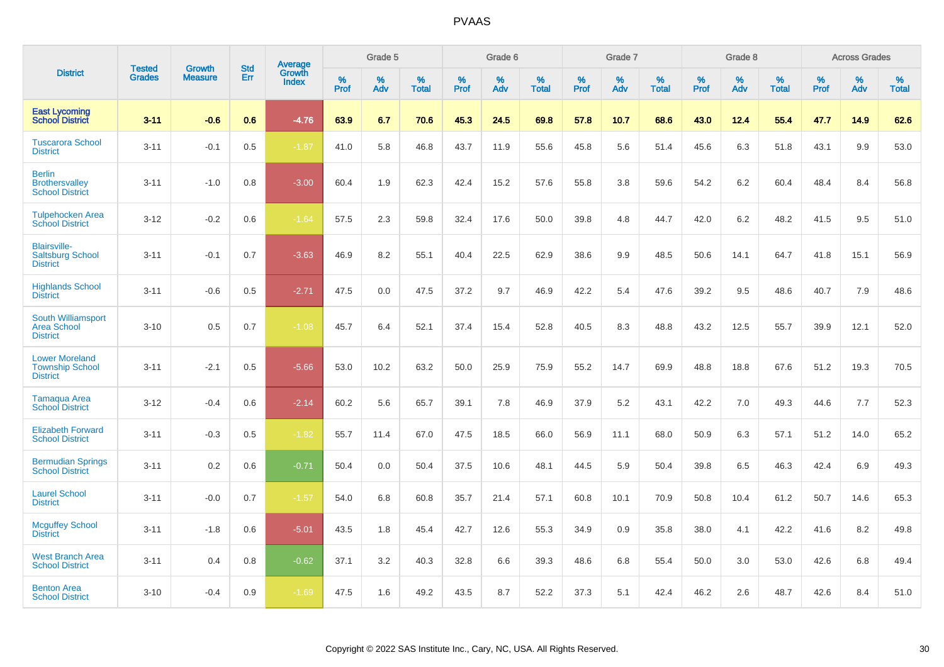|                                                                    |                                | <b>Growth</b>  | <b>Std</b> |                                   |              | Grade 5  |                   |           | Grade 6  |                   |              | Grade 7  |                   |              | Grade 8  |                   |              | <b>Across Grades</b> |                   |
|--------------------------------------------------------------------|--------------------------------|----------------|------------|-----------------------------------|--------------|----------|-------------------|-----------|----------|-------------------|--------------|----------|-------------------|--------------|----------|-------------------|--------------|----------------------|-------------------|
| <b>District</b>                                                    | <b>Tested</b><br><b>Grades</b> | <b>Measure</b> | <b>Err</b> | <b>Average</b><br>Growth<br>Index | $\%$<br>Prof | %<br>Adv | %<br><b>Total</b> | %<br>Prof | %<br>Adv | %<br><b>Total</b> | $\%$<br>Prof | %<br>Adv | %<br><b>Total</b> | $\%$<br>Prof | %<br>Adv | %<br><b>Total</b> | $\%$<br>Prof | %<br>Adv             | %<br><b>Total</b> |
| <b>East Lycoming</b><br><b>School District</b>                     | $3 - 11$                       | $-0.6$         | 0.6        | $-4.76$                           | 63.9         | 6.7      | 70.6              | 45.3      | 24.5     | 69.8              | 57.8         | 10.7     | 68.6              | 43.0         | 12.4     | 55.4              | 47.7         | 14.9                 | 62.6              |
| <b>Tuscarora School</b><br><b>District</b>                         | $3 - 11$                       | $-0.1$         | 0.5        | $-1.87$                           | 41.0         | 5.8      | 46.8              | 43.7      | 11.9     | 55.6              | 45.8         | 5.6      | 51.4              | 45.6         | 6.3      | 51.8              | 43.1         | 9.9                  | 53.0              |
| <b>Berlin</b><br><b>Brothersvalley</b><br><b>School District</b>   | $3 - 11$                       | $-1.0$         | 0.8        | $-3.00$                           | 60.4         | 1.9      | 62.3              | 42.4      | 15.2     | 57.6              | 55.8         | 3.8      | 59.6              | 54.2         | 6.2      | 60.4              | 48.4         | 8.4                  | 56.8              |
| <b>Tulpehocken Area</b><br><b>School District</b>                  | $3 - 12$                       | $-0.2$         | $0.6\,$    | $-1.64$                           | 57.5         | 2.3      | 59.8              | 32.4      | 17.6     | 50.0              | 39.8         | 4.8      | 44.7              | 42.0         | 6.2      | 48.2              | 41.5         | 9.5                  | 51.0              |
| <b>Blairsville-</b><br><b>Saltsburg School</b><br><b>District</b>  | $3 - 11$                       | $-0.1$         | 0.7        | $-3.63$                           | 46.9         | 8.2      | 55.1              | 40.4      | 22.5     | 62.9              | 38.6         | 9.9      | 48.5              | 50.6         | 14.1     | 64.7              | 41.8         | 15.1                 | 56.9              |
| <b>Highlands School</b><br><b>District</b>                         | $3 - 11$                       | $-0.6$         | 0.5        | $-2.71$                           | 47.5         | 0.0      | 47.5              | 37.2      | 9.7      | 46.9              | 42.2         | 5.4      | 47.6              | 39.2         | 9.5      | 48.6              | 40.7         | 7.9                  | 48.6              |
| South Williamsport<br><b>Area School</b><br><b>District</b>        | $3 - 10$                       | 0.5            | 0.7        | $-1.08$                           | 45.7         | 6.4      | 52.1              | 37.4      | 15.4     | 52.8              | 40.5         | 8.3      | 48.8              | 43.2         | 12.5     | 55.7              | 39.9         | 12.1                 | 52.0              |
| <b>Lower Moreland</b><br><b>Township School</b><br><b>District</b> | $3 - 11$                       | $-2.1$         | 0.5        | $-5.66$                           | 53.0         | 10.2     | 63.2              | 50.0      | 25.9     | 75.9              | 55.2         | 14.7     | 69.9              | 48.8         | 18.8     | 67.6              | 51.2         | 19.3                 | 70.5              |
| <b>Tamaqua Area</b><br><b>School District</b>                      | $3 - 12$                       | $-0.4$         | 0.6        | $-2.14$                           | 60.2         | 5.6      | 65.7              | 39.1      | 7.8      | 46.9              | 37.9         | 5.2      | 43.1              | 42.2         | 7.0      | 49.3              | 44.6         | 7.7                  | 52.3              |
| <b>Elizabeth Forward</b><br><b>School District</b>                 | $3 - 11$                       | $-0.3$         | 0.5        | $-1.82$                           | 55.7         | 11.4     | 67.0              | 47.5      | 18.5     | 66.0              | 56.9         | 11.1     | 68.0              | 50.9         | 6.3      | 57.1              | 51.2         | 14.0                 | 65.2              |
| <b>Bermudian Springs</b><br><b>School District</b>                 | $3 - 11$                       | 0.2            | 0.6        | $-0.71$                           | 50.4         | 0.0      | 50.4              | 37.5      | 10.6     | 48.1              | 44.5         | 5.9      | 50.4              | 39.8         | 6.5      | 46.3              | 42.4         | 6.9                  | 49.3              |
| <b>Laurel School</b><br><b>District</b>                            | $3 - 11$                       | $-0.0$         | 0.7        | $-1.57$                           | 54.0         | 6.8      | 60.8              | 35.7      | 21.4     | 57.1              | 60.8         | 10.1     | 70.9              | 50.8         | 10.4     | 61.2              | 50.7         | 14.6                 | 65.3              |
| <b>Mcguffey School</b><br><b>District</b>                          | $3 - 11$                       | $-1.8$         | 0.6        | $-5.01$                           | 43.5         | 1.8      | 45.4              | 42.7      | 12.6     | 55.3              | 34.9         | 0.9      | 35.8              | 38.0         | 4.1      | 42.2              | 41.6         | 8.2                  | 49.8              |
| <b>West Branch Area</b><br><b>School District</b>                  | $3 - 11$                       | 0.4            | 0.8        | $-0.62$                           | 37.1         | 3.2      | 40.3              | 32.8      | 6.6      | 39.3              | 48.6         | 6.8      | 55.4              | 50.0         | 3.0      | 53.0              | 42.6         | 6.8                  | 49.4              |
| <b>Benton Area</b><br><b>School District</b>                       | $3 - 10$                       | $-0.4$         | 0.9        | $-1.69$                           | 47.5         | 1.6      | 49.2              | 43.5      | 8.7      | 52.2              | 37.3         | 5.1      | 42.4              | 46.2         | 2.6      | 48.7              | 42.6         | 8.4                  | 51.0              |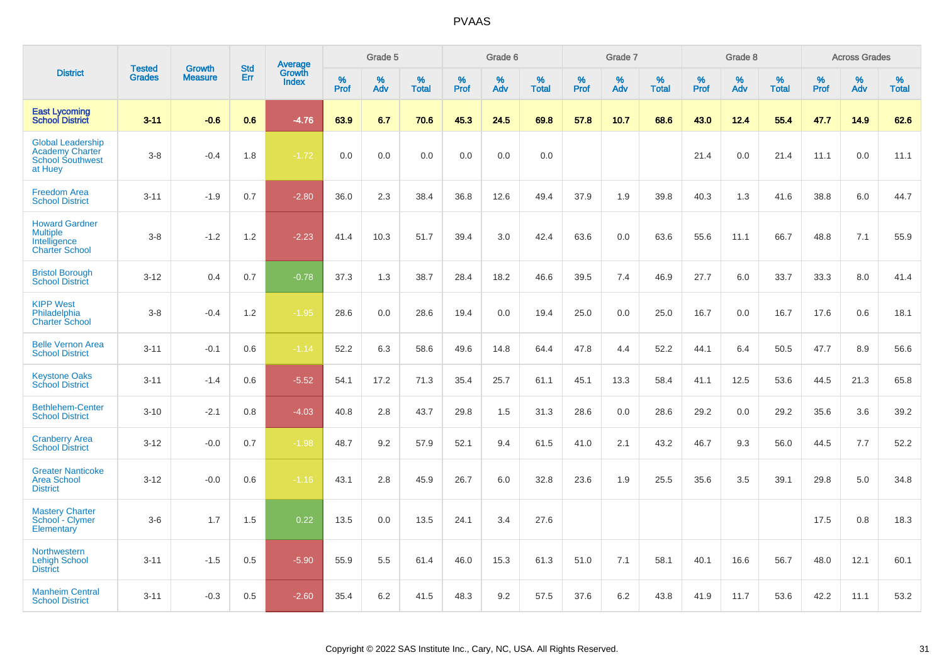|                                                                                          | <b>Tested</b> | <b>Growth</b>  | <b>Std</b> | Average<br>Growth |              | Grade 5  |                   |           | Grade 6  |                   |              | Grade 7  |                   |           | Grade 8  |                   |           | <b>Across Grades</b> |                   |
|------------------------------------------------------------------------------------------|---------------|----------------|------------|-------------------|--------------|----------|-------------------|-----------|----------|-------------------|--------------|----------|-------------------|-----------|----------|-------------------|-----------|----------------------|-------------------|
| <b>District</b>                                                                          | <b>Grades</b> | <b>Measure</b> | Err        | <b>Index</b>      | $\%$<br>Prof | %<br>Adv | %<br><b>Total</b> | %<br>Prof | %<br>Adv | %<br><b>Total</b> | $\%$<br>Prof | %<br>Adv | %<br><b>Total</b> | %<br>Prof | %<br>Adv | %<br><b>Total</b> | %<br>Prof | %<br>Adv             | %<br><b>Total</b> |
| <b>East Lycoming</b><br><b>School District</b>                                           | $3 - 11$      | $-0.6$         | 0.6        | $-4.76$           | 63.9         | 6.7      | 70.6              | 45.3      | 24.5     | 69.8              | 57.8         | 10.7     | 68.6              | 43.0      | 12.4     | 55.4              | 47.7      | 14.9                 | 62.6              |
| <b>Global Leadership</b><br><b>Academy Charter</b><br><b>School Southwest</b><br>at Huey | $3 - 8$       | $-0.4$         | 1.8        | $-1.72$           | 0.0          | 0.0      | 0.0               | 0.0       | 0.0      | 0.0               |              |          |                   | 21.4      | 0.0      | 21.4              | 11.1      | 0.0                  | 11.1              |
| <b>Freedom Area</b><br><b>School District</b>                                            | $3 - 11$      | $-1.9$         | 0.7        | $-2.80$           | 36.0         | 2.3      | 38.4              | 36.8      | 12.6     | 49.4              | 37.9         | 1.9      | 39.8              | 40.3      | 1.3      | 41.6              | 38.8      | 6.0                  | 44.7              |
| <b>Howard Gardner</b><br><b>Multiple</b><br>Intelligence<br><b>Charter School</b>        | $3 - 8$       | $-1.2$         | 1.2        | $-2.23$           | 41.4         | 10.3     | 51.7              | 39.4      | 3.0      | 42.4              | 63.6         | 0.0      | 63.6              | 55.6      | 11.1     | 66.7              | 48.8      | 7.1                  | 55.9              |
| <b>Bristol Borough</b><br><b>School District</b>                                         | $3 - 12$      | 0.4            | 0.7        | $-0.78$           | 37.3         | 1.3      | 38.7              | 28.4      | 18.2     | 46.6              | 39.5         | 7.4      | 46.9              | 27.7      | 6.0      | 33.7              | 33.3      | 8.0                  | 41.4              |
| <b>KIPP West</b><br>Philadelphia<br><b>Charter School</b>                                | $3 - 8$       | $-0.4$         | 1.2        | $-1.95$           | 28.6         | 0.0      | 28.6              | 19.4      | 0.0      | 19.4              | 25.0         | 0.0      | 25.0              | 16.7      | 0.0      | 16.7              | 17.6      | 0.6                  | 18.1              |
| <b>Belle Vernon Area</b><br><b>School District</b>                                       | $3 - 11$      | $-0.1$         | 0.6        | $-1.14$           | 52.2         | 6.3      | 58.6              | 49.6      | 14.8     | 64.4              | 47.8         | 4.4      | 52.2              | 44.1      | 6.4      | 50.5              | 47.7      | 8.9                  | 56.6              |
| <b>Keystone Oaks</b><br><b>School District</b>                                           | $3 - 11$      | $-1.4$         | 0.6        | $-5.52$           | 54.1         | 17.2     | 71.3              | 35.4      | 25.7     | 61.1              | 45.1         | 13.3     | 58.4              | 41.1      | 12.5     | 53.6              | 44.5      | 21.3                 | 65.8              |
| <b>Bethlehem-Center</b><br><b>School District</b>                                        | $3 - 10$      | $-2.1$         | 0.8        | $-4.03$           | 40.8         | 2.8      | 43.7              | 29.8      | 1.5      | 31.3              | 28.6         | 0.0      | 28.6              | 29.2      | 0.0      | 29.2              | 35.6      | 3.6                  | 39.2              |
| <b>Cranberry Area</b><br><b>School District</b>                                          | $3 - 12$      | $-0.0$         | 0.7        | $-1.98$           | 48.7         | 9.2      | 57.9              | 52.1      | 9.4      | 61.5              | 41.0         | 2.1      | 43.2              | 46.7      | 9.3      | 56.0              | 44.5      | 7.7                  | 52.2              |
| <b>Greater Nanticoke</b><br><b>Area School</b><br><b>District</b>                        | $3 - 12$      | $-0.0$         | 0.6        | $-1.16$           | 43.1         | 2.8      | 45.9              | 26.7      | 6.0      | 32.8              | 23.6         | 1.9      | 25.5              | 35.6      | 3.5      | 39.1              | 29.8      | 5.0                  | 34.8              |
| <b>Mastery Charter</b><br>School - Clymer<br>Elementary                                  | $3-6$         | 1.7            | 1.5        | 0.22              | 13.5         | 0.0      | 13.5              | 24.1      | 3.4      | 27.6              |              |          |                   |           |          |                   | 17.5      | 0.8                  | 18.3              |
| <b>Northwestern</b><br><b>Lehigh School</b><br><b>District</b>                           | $3 - 11$      | $-1.5$         | 0.5        | $-5.90$           | 55.9         | 5.5      | 61.4              | 46.0      | 15.3     | 61.3              | 51.0         | 7.1      | 58.1              | 40.1      | 16.6     | 56.7              | 48.0      | 12.1                 | 60.1              |
| <b>Manheim Central</b><br><b>School District</b>                                         | $3 - 11$      | $-0.3$         | 0.5        | $-2.60$           | 35.4         | 6.2      | 41.5              | 48.3      | 9.2      | 57.5              | 37.6         | 6.2      | 43.8              | 41.9      | 11.7     | 53.6              | 42.2      | 11.1                 | 53.2              |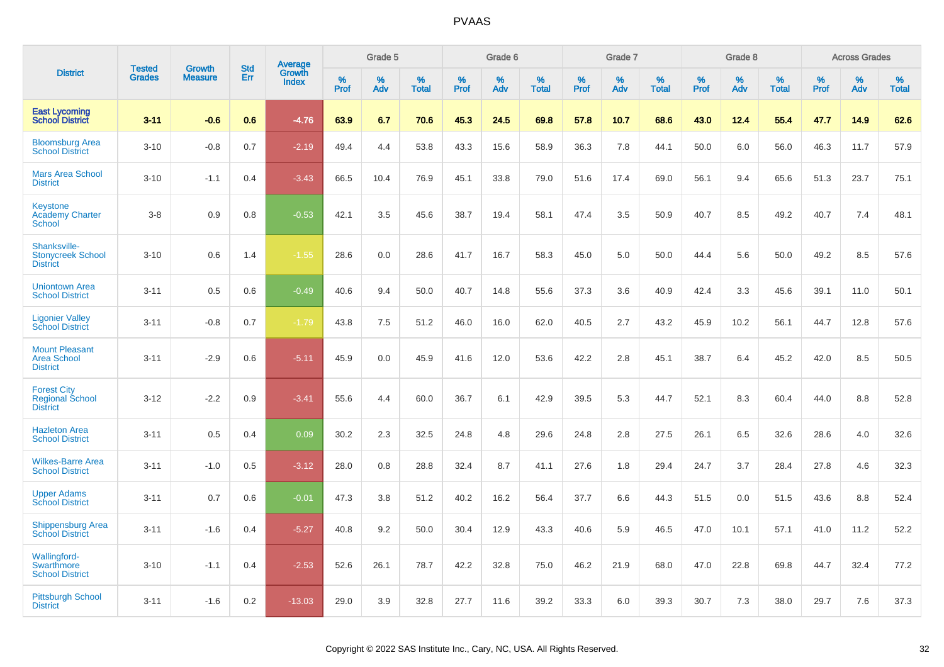|                                                                 | <b>Tested</b> | <b>Growth</b>  | <b>Std</b> |                                          |              | Grade 5  |                   |           | Grade 6  |                   |           | Grade 7  |                   |           | Grade 8  |                   |           | <b>Across Grades</b> |                   |
|-----------------------------------------------------------------|---------------|----------------|------------|------------------------------------------|--------------|----------|-------------------|-----------|----------|-------------------|-----------|----------|-------------------|-----------|----------|-------------------|-----------|----------------------|-------------------|
| <b>District</b>                                                 | <b>Grades</b> | <b>Measure</b> | Err        | <b>Average</b><br>Growth<br><b>Index</b> | $\%$<br>Prof | %<br>Adv | %<br><b>Total</b> | %<br>Prof | %<br>Adv | %<br><b>Total</b> | %<br>Prof | %<br>Adv | %<br><b>Total</b> | %<br>Prof | %<br>Adv | %<br><b>Total</b> | %<br>Prof | %<br>Adv             | %<br><b>Total</b> |
| <b>East Lycoming</b><br><b>School District</b>                  | $3 - 11$      | $-0.6$         | 0.6        | $-4.76$                                  | 63.9         | 6.7      | 70.6              | 45.3      | 24.5     | 69.8              | 57.8      | 10.7     | 68.6              | 43.0      | 12.4     | 55.4              | 47.7      | 14.9                 | 62.6              |
| <b>Bloomsburg Area</b><br><b>School District</b>                | $3 - 10$      | $-0.8$         | 0.7        | $-2.19$                                  | 49.4         | 4.4      | 53.8              | 43.3      | 15.6     | 58.9              | 36.3      | 7.8      | 44.1              | 50.0      | 6.0      | 56.0              | 46.3      | 11.7                 | 57.9              |
| <b>Mars Area School</b><br><b>District</b>                      | $3 - 10$      | $-1.1$         | 0.4        | $-3.43$                                  | 66.5         | 10.4     | 76.9              | 45.1      | 33.8     | 79.0              | 51.6      | 17.4     | 69.0              | 56.1      | 9.4      | 65.6              | 51.3      | 23.7                 | 75.1              |
| <b>Keystone</b><br><b>Academy Charter</b><br><b>School</b>      | $3-8$         | 0.9            | 0.8        | $-0.53$                                  | 42.1         | 3.5      | 45.6              | 38.7      | 19.4     | 58.1              | 47.4      | 3.5      | 50.9              | 40.7      | 8.5      | 49.2              | 40.7      | 7.4                  | 48.1              |
| Shanksville-<br><b>Stonycreek School</b><br><b>District</b>     | $3 - 10$      | 0.6            | 1.4        | $-1.55$                                  | 28.6         | 0.0      | 28.6              | 41.7      | 16.7     | 58.3              | 45.0      | 5.0      | 50.0              | 44.4      | 5.6      | 50.0              | 49.2      | 8.5                  | 57.6              |
| <b>Uniontown Area</b><br><b>School District</b>                 | $3 - 11$      | 0.5            | 0.6        | $-0.49$                                  | 40.6         | 9.4      | 50.0              | 40.7      | 14.8     | 55.6              | 37.3      | 3.6      | 40.9              | 42.4      | 3.3      | 45.6              | 39.1      | 11.0                 | 50.1              |
| <b>Ligonier Valley</b><br><b>School District</b>                | $3 - 11$      | $-0.8$         | 0.7        | $-1.79$                                  | 43.8         | 7.5      | 51.2              | 46.0      | 16.0     | 62.0              | 40.5      | 2.7      | 43.2              | 45.9      | 10.2     | 56.1              | 44.7      | 12.8                 | 57.6              |
| <b>Mount Pleasant</b><br><b>Area School</b><br><b>District</b>  | $3 - 11$      | $-2.9$         | 0.6        | $-5.11$                                  | 45.9         | 0.0      | 45.9              | 41.6      | 12.0     | 53.6              | 42.2      | 2.8      | 45.1              | 38.7      | 6.4      | 45.2              | 42.0      | 8.5                  | 50.5              |
| <b>Forest City</b><br><b>Regional School</b><br><b>District</b> | $3 - 12$      | $-2.2$         | 0.9        | $-3.41$                                  | 55.6         | 4.4      | 60.0              | 36.7      | 6.1      | 42.9              | 39.5      | 5.3      | 44.7              | 52.1      | 8.3      | 60.4              | 44.0      | 8.8                  | 52.8              |
| <b>Hazleton Area</b><br><b>School District</b>                  | $3 - 11$      | 0.5            | 0.4        | 0.09                                     | 30.2         | 2.3      | 32.5              | 24.8      | 4.8      | 29.6              | 24.8      | 2.8      | 27.5              | 26.1      | 6.5      | 32.6              | 28.6      | 4.0                  | 32.6              |
| <b>Wilkes-Barre Area</b><br><b>School District</b>              | $3 - 11$      | $-1.0$         | 0.5        | $-3.12$                                  | 28.0         | 0.8      | 28.8              | 32.4      | 8.7      | 41.1              | 27.6      | 1.8      | 29.4              | 24.7      | 3.7      | 28.4              | 27.8      | 4.6                  | 32.3              |
| <b>Upper Adams</b><br><b>School District</b>                    | $3 - 11$      | 0.7            | 0.6        | $-0.01$                                  | 47.3         | 3.8      | 51.2              | 40.2      | 16.2     | 56.4              | 37.7      | 6.6      | 44.3              | 51.5      | 0.0      | 51.5              | 43.6      | 8.8                  | 52.4              |
| Shippensburg Area<br><b>School District</b>                     | $3 - 11$      | $-1.6$         | 0.4        | $-5.27$                                  | 40.8         | 9.2      | 50.0              | 30.4      | 12.9     | 43.3              | 40.6      | 5.9      | 46.5              | 47.0      | 10.1     | 57.1              | 41.0      | 11.2                 | 52.2              |
| Wallingford-<br>Swarthmore<br><b>School District</b>            | $3 - 10$      | $-1.1$         | 0.4        | $-2.53$                                  | 52.6         | 26.1     | 78.7              | 42.2      | 32.8     | 75.0              | 46.2      | 21.9     | 68.0              | 47.0      | 22.8     | 69.8              | 44.7      | 32.4                 | 77.2              |
| <b>Pittsburgh School</b><br><b>District</b>                     | $3 - 11$      | $-1.6$         | 0.2        | $-13.03$                                 | 29.0         | 3.9      | 32.8              | 27.7      | 11.6     | 39.2              | 33.3      | 6.0      | 39.3              | 30.7      | 7.3      | 38.0              | 29.7      | 7.6                  | 37.3              |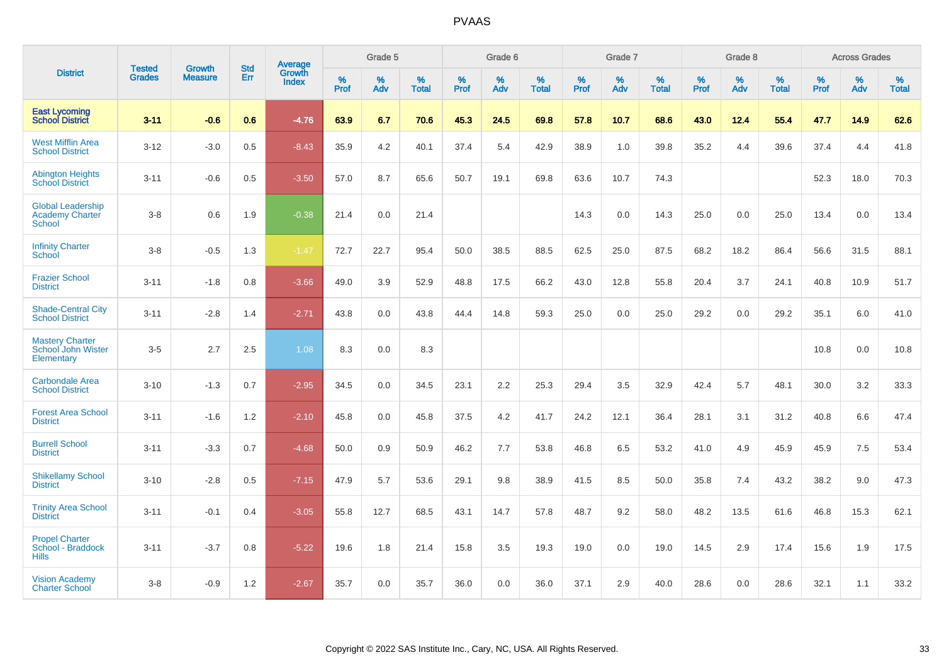|                                                                     | <b>Tested</b> | <b>Growth</b>  | <b>Std</b> | <b>Average</b>         |           | Grade 5  |                   |           | Grade 6  |                   |           | Grade 7  |                   |           | Grade 8  |                   |           | <b>Across Grades</b> |                   |
|---------------------------------------------------------------------|---------------|----------------|------------|------------------------|-----------|----------|-------------------|-----------|----------|-------------------|-----------|----------|-------------------|-----------|----------|-------------------|-----------|----------------------|-------------------|
| <b>District</b>                                                     | <b>Grades</b> | <b>Measure</b> | Err        | Growth<br><b>Index</b> | %<br>Prof | %<br>Adv | %<br><b>Total</b> | %<br>Prof | %<br>Adv | %<br><b>Total</b> | %<br>Prof | %<br>Adv | %<br><b>Total</b> | %<br>Prof | %<br>Adv | %<br><b>Total</b> | %<br>Prof | %<br>Adv             | %<br><b>Total</b> |
| <b>East Lycoming</b><br><b>School District</b>                      | $3 - 11$      | $-0.6$         | 0.6        | $-4.76$                | 63.9      | 6.7      | 70.6              | 45.3      | 24.5     | 69.8              | 57.8      | 10.7     | 68.6              | 43.0      | 12.4     | 55.4              | 47.7      | 14.9                 | 62.6              |
| <b>West Mifflin Area</b><br><b>School District</b>                  | $3 - 12$      | $-3.0$         | 0.5        | $-8.43$                | 35.9      | 4.2      | 40.1              | 37.4      | 5.4      | 42.9              | 38.9      | 1.0      | 39.8              | 35.2      | 4.4      | 39.6              | 37.4      | 4.4                  | 41.8              |
| <b>Abington Heights</b><br><b>School District</b>                   | $3 - 11$      | $-0.6$         | 0.5        | $-3.50$                | 57.0      | 8.7      | 65.6              | 50.7      | 19.1     | 69.8              | 63.6      | 10.7     | 74.3              |           |          |                   | 52.3      | 18.0                 | 70.3              |
| <b>Global Leadership</b><br><b>Academy Charter</b><br><b>School</b> | $3-8$         | 0.6            | 1.9        | $-0.38$                | 21.4      | 0.0      | 21.4              |           |          |                   | 14.3      | 0.0      | 14.3              | 25.0      | 0.0      | 25.0              | 13.4      | 0.0                  | 13.4              |
| <b>Infinity Charter</b><br>School                                   | $3-8$         | $-0.5$         | 1.3        | $-1.47$                | 72.7      | 22.7     | 95.4              | 50.0      | 38.5     | 88.5              | 62.5      | 25.0     | 87.5              | 68.2      | 18.2     | 86.4              | 56.6      | 31.5                 | 88.1              |
| <b>Frazier School</b><br><b>District</b>                            | $3 - 11$      | $-1.8$         | 0.8        | $-3.66$                | 49.0      | 3.9      | 52.9              | 48.8      | 17.5     | 66.2              | 43.0      | 12.8     | 55.8              | 20.4      | 3.7      | 24.1              | 40.8      | 10.9                 | 51.7              |
| <b>Shade-Central City</b><br><b>School District</b>                 | $3 - 11$      | $-2.8$         | 1.4        | $-2.71$                | 43.8      | 0.0      | 43.8              | 44.4      | 14.8     | 59.3              | 25.0      | 0.0      | 25.0              | 29.2      | 0.0      | 29.2              | 35.1      | 6.0                  | 41.0              |
| <b>Mastery Charter</b><br>School John Wister<br>Elementary          | $3-5$         | 2.7            | 2.5        | 1.08                   | 8.3       | 0.0      | 8.3               |           |          |                   |           |          |                   |           |          |                   | 10.8      | 0.0                  | 10.8              |
| <b>Carbondale Area</b><br><b>School District</b>                    | $3 - 10$      | $-1.3$         | 0.7        | $-2.95$                | 34.5      | 0.0      | 34.5              | 23.1      | 2.2      | 25.3              | 29.4      | 3.5      | 32.9              | 42.4      | 5.7      | 48.1              | 30.0      | 3.2                  | 33.3              |
| <b>Forest Area School</b><br><b>District</b>                        | $3 - 11$      | $-1.6$         | 1.2        | $-2.10$                | 45.8      | 0.0      | 45.8              | 37.5      | 4.2      | 41.7              | 24.2      | 12.1     | 36.4              | 28.1      | 3.1      | 31.2              | 40.8      | 6.6                  | 47.4              |
| <b>Burrell School</b><br><b>District</b>                            | $3 - 11$      | $-3.3$         | 0.7        | $-4.68$                | 50.0      | 0.9      | 50.9              | 46.2      | 7.7      | 53.8              | 46.8      | 6.5      | 53.2              | 41.0      | 4.9      | 45.9              | 45.9      | 7.5                  | 53.4              |
| <b>Shikellamy School</b><br><b>District</b>                         | $3 - 10$      | $-2.8$         | 0.5        | $-7.15$                | 47.9      | 5.7      | 53.6              | 29.1      | 9.8      | 38.9              | 41.5      | 8.5      | 50.0              | 35.8      | 7.4      | 43.2              | 38.2      | 9.0                  | 47.3              |
| <b>Trinity Area School</b><br><b>District</b>                       | $3 - 11$      | $-0.1$         | 0.4        | $-3.05$                | 55.8      | 12.7     | 68.5              | 43.1      | 14.7     | 57.8              | 48.7      | 9.2      | 58.0              | 48.2      | 13.5     | 61.6              | 46.8      | 15.3                 | 62.1              |
| <b>Propel Charter</b><br>School - Braddock<br><b>Hills</b>          | $3 - 11$      | $-3.7$         | 0.8        | $-5.22$                | 19.6      | 1.8      | 21.4              | 15.8      | 3.5      | 19.3              | 19.0      | 0.0      | 19.0              | 14.5      | 2.9      | 17.4              | 15.6      | 1.9                  | 17.5              |
| <b>Vision Academy</b><br><b>Charter School</b>                      | $3 - 8$       | $-0.9$         | 1.2        | $-2.67$                | 35.7      | 0.0      | 35.7              | 36.0      | 0.0      | 36.0              | 37.1      | 2.9      | 40.0              | 28.6      | 0.0      | 28.6              | 32.1      | 1.1                  | 33.2              |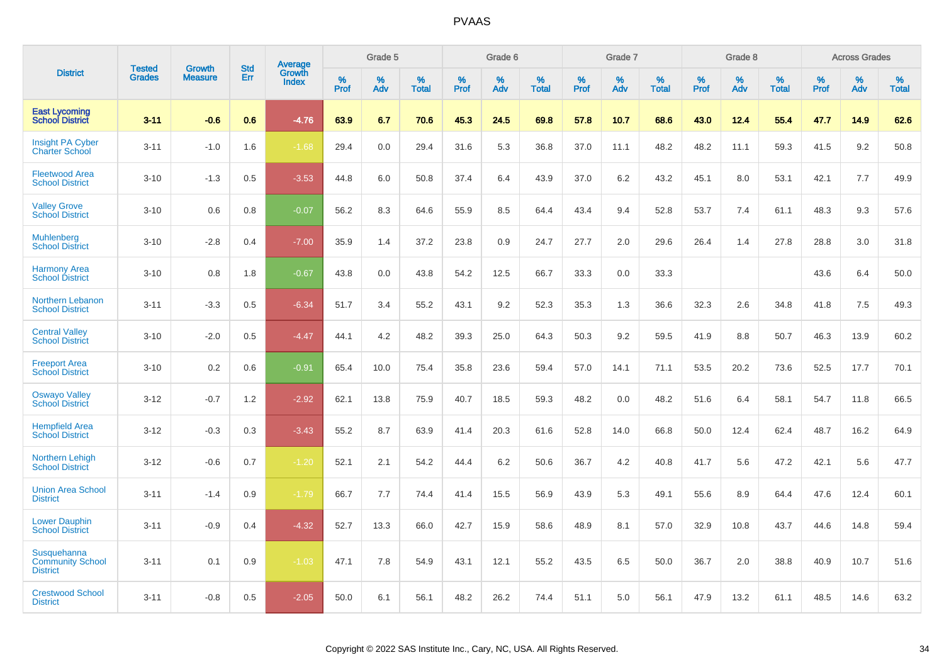|                                                           |                                |                                 | <b>Std</b> | Average                |           | Grade 5  |                   |           | Grade 6  |                   |           | Grade 7  |                   |           | Grade 8  |                   |           | <b>Across Grades</b> |                   |
|-----------------------------------------------------------|--------------------------------|---------------------------------|------------|------------------------|-----------|----------|-------------------|-----------|----------|-------------------|-----------|----------|-------------------|-----------|----------|-------------------|-----------|----------------------|-------------------|
| <b>District</b>                                           | <b>Tested</b><br><b>Grades</b> | <b>Growth</b><br><b>Measure</b> | Err        | Growth<br><b>Index</b> | %<br>Prof | %<br>Adv | %<br><b>Total</b> | %<br>Prof | %<br>Adv | %<br><b>Total</b> | %<br>Prof | %<br>Adv | %<br><b>Total</b> | %<br>Prof | %<br>Adv | %<br><b>Total</b> | %<br>Prof | %<br>Adv             | %<br><b>Total</b> |
| <b>East Lycoming</b><br><b>School District</b>            | $3 - 11$                       | $-0.6$                          | 0.6        | $-4.76$                | 63.9      | 6.7      | 70.6              | 45.3      | 24.5     | 69.8              | 57.8      | 10.7     | 68.6              | 43.0      | 12.4     | 55.4              | 47.7      | 14.9                 | 62.6              |
| <b>Insight PA Cyber</b><br><b>Charter School</b>          | $3 - 11$                       | $-1.0$                          | 1.6        | $-1.68$                | 29.4      | 0.0      | 29.4              | 31.6      | 5.3      | 36.8              | 37.0      | 11.1     | 48.2              | 48.2      | 11.1     | 59.3              | 41.5      | 9.2                  | 50.8              |
| <b>Fleetwood Area</b><br><b>School District</b>           | $3 - 10$                       | $-1.3$                          | 0.5        | $-3.53$                | 44.8      | 6.0      | 50.8              | 37.4      | 6.4      | 43.9              | 37.0      | 6.2      | 43.2              | 45.1      | 8.0      | 53.1              | 42.1      | 7.7                  | 49.9              |
| <b>Valley Grove</b><br><b>School District</b>             | $3 - 10$                       | 0.6                             | 0.8        | $-0.07$                | 56.2      | 8.3      | 64.6              | 55.9      | 8.5      | 64.4              | 43.4      | 9.4      | 52.8              | 53.7      | 7.4      | 61.1              | 48.3      | 9.3                  | 57.6              |
| <b>Muhlenberg</b><br><b>School District</b>               | $3 - 10$                       | $-2.8$                          | 0.4        | $-7.00$                | 35.9      | 1.4      | 37.2              | 23.8      | 0.9      | 24.7              | 27.7      | 2.0      | 29.6              | 26.4      | 1.4      | 27.8              | 28.8      | 3.0                  | 31.8              |
| <b>Harmony Area</b><br><b>School District</b>             | $3 - 10$                       | 0.8                             | 1.8        | $-0.67$                | 43.8      | 0.0      | 43.8              | 54.2      | 12.5     | 66.7              | 33.3      | 0.0      | 33.3              |           |          |                   | 43.6      | 6.4                  | 50.0              |
| Northern Lebanon<br><b>School District</b>                | $3 - 11$                       | $-3.3$                          | 0.5        | $-6.34$                | 51.7      | 3.4      | 55.2              | 43.1      | 9.2      | 52.3              | 35.3      | 1.3      | 36.6              | 32.3      | 2.6      | 34.8              | 41.8      | 7.5                  | 49.3              |
| <b>Central Valley</b><br><b>School District</b>           | $3 - 10$                       | $-2.0$                          | 0.5        | $-4.47$                | 44.1      | 4.2      | 48.2              | 39.3      | 25.0     | 64.3              | 50.3      | 9.2      | 59.5              | 41.9      | 8.8      | 50.7              | 46.3      | 13.9                 | 60.2              |
| <b>Freeport Area</b><br><b>School District</b>            | $3 - 10$                       | 0.2                             | 0.6        | $-0.91$                | 65.4      | 10.0     | 75.4              | 35.8      | 23.6     | 59.4              | 57.0      | 14.1     | 71.1              | 53.5      | 20.2     | 73.6              | 52.5      | 17.7                 | 70.1              |
| <b>Oswayo Valley</b><br><b>School District</b>            | $3 - 12$                       | $-0.7$                          | 1.2        | $-2.92$                | 62.1      | 13.8     | 75.9              | 40.7      | 18.5     | 59.3              | 48.2      | 0.0      | 48.2              | 51.6      | 6.4      | 58.1              | 54.7      | 11.8                 | 66.5              |
| <b>Hempfield Area</b><br><b>School District</b>           | $3 - 12$                       | $-0.3$                          | 0.3        | $-3.43$                | 55.2      | 8.7      | 63.9              | 41.4      | 20.3     | 61.6              | 52.8      | 14.0     | 66.8              | 50.0      | 12.4     | 62.4              | 48.7      | 16.2                 | 64.9              |
| Northern Lehigh<br><b>School District</b>                 | $3 - 12$                       | $-0.6$                          | 0.7        | $-1.20$                | 52.1      | 2.1      | 54.2              | 44.4      | 6.2      | 50.6              | 36.7      | 4.2      | 40.8              | 41.7      | 5.6      | 47.2              | 42.1      | 5.6                  | 47.7              |
| <b>Union Area School</b><br><b>District</b>               | $3 - 11$                       | $-1.4$                          | 0.9        | $-1.79$                | 66.7      | 7.7      | 74.4              | 41.4      | 15.5     | 56.9              | 43.9      | 5.3      | 49.1              | 55.6      | 8.9      | 64.4              | 47.6      | 12.4                 | 60.1              |
| <b>Lower Dauphin</b><br><b>School District</b>            | $3 - 11$                       | $-0.9$                          | 0.4        | $-4.32$                | 52.7      | 13.3     | 66.0              | 42.7      | 15.9     | 58.6              | 48.9      | 8.1      | 57.0              | 32.9      | 10.8     | 43.7              | 44.6      | 14.8                 | 59.4              |
| Susquehanna<br><b>Community School</b><br><b>District</b> | $3 - 11$                       | 0.1                             | 0.9        | $-1.03$                | 47.1      | 7.8      | 54.9              | 43.1      | 12.1     | 55.2              | 43.5      | 6.5      | 50.0              | 36.7      | 2.0      | 38.8              | 40.9      | 10.7                 | 51.6              |
| <b>Crestwood School</b><br><b>District</b>                | $3 - 11$                       | $-0.8$                          | 0.5        | $-2.05$                | 50.0      | 6.1      | 56.1              | 48.2      | 26.2     | 74.4              | 51.1      | 5.0      | 56.1              | 47.9      | 13.2     | 61.1              | 48.5      | 14.6                 | 63.2              |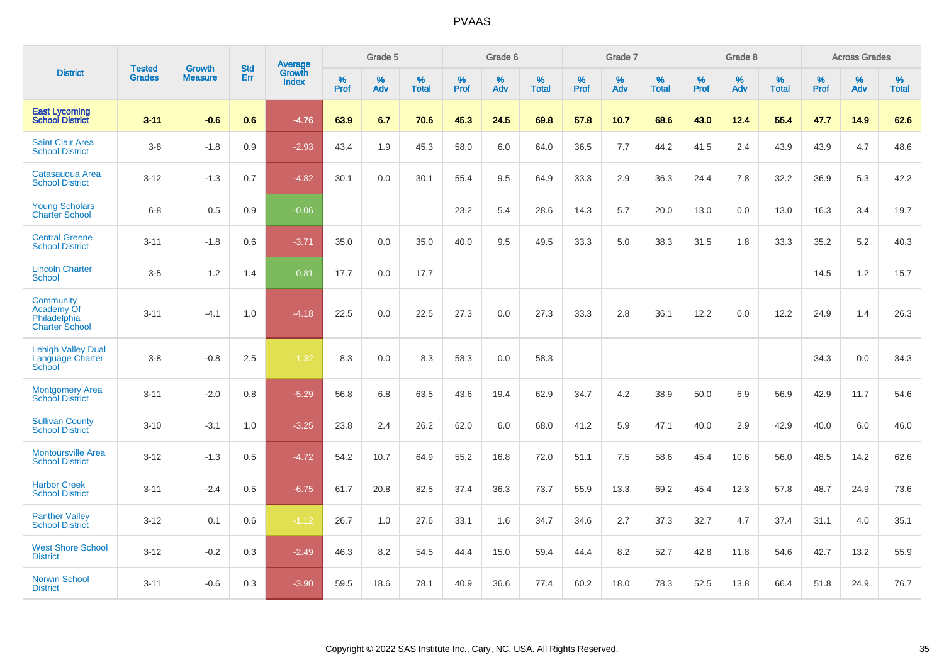|                                                                  | <b>Tested</b> | <b>Growth</b>  | <b>Std</b> | Average                       |           | Grade 5  |                   |           | Grade 6  |                   |           | Grade 7  |                   |           | Grade 8  |                   |           | <b>Across Grades</b> |                   |
|------------------------------------------------------------------|---------------|----------------|------------|-------------------------------|-----------|----------|-------------------|-----------|----------|-------------------|-----------|----------|-------------------|-----------|----------|-------------------|-----------|----------------------|-------------------|
| <b>District</b>                                                  | <b>Grades</b> | <b>Measure</b> | Err        | <b>Growth</b><br><b>Index</b> | %<br>Prof | %<br>Adv | %<br><b>Total</b> | %<br>Prof | %<br>Adv | %<br><b>Total</b> | %<br>Prof | %<br>Adv | %<br><b>Total</b> | %<br>Prof | %<br>Adv | %<br><b>Total</b> | %<br>Prof | %<br>Adv             | %<br><b>Total</b> |
| <b>East Lycoming</b><br><b>School District</b>                   | $3 - 11$      | $-0.6$         | 0.6        | $-4.76$                       | 63.9      | 6.7      | 70.6              | 45.3      | 24.5     | 69.8              | 57.8      | 10.7     | 68.6              | 43.0      | 12.4     | 55.4              | 47.7      | 14.9                 | 62.6              |
| <b>Saint Clair Area</b><br><b>School District</b>                | $3-8$         | $-1.8$         | 0.9        | $-2.93$                       | 43.4      | 1.9      | 45.3              | 58.0      | 6.0      | 64.0              | 36.5      | 7.7      | 44.2              | 41.5      | 2.4      | 43.9              | 43.9      | 4.7                  | 48.6              |
| Catasauqua Area<br><b>School District</b>                        | $3 - 12$      | $-1.3$         | 0.7        | $-4.82$                       | 30.1      | 0.0      | 30.1              | 55.4      | 9.5      | 64.9              | 33.3      | 2.9      | 36.3              | 24.4      | 7.8      | 32.2              | 36.9      | 5.3                  | 42.2              |
| <b>Young Scholars</b><br><b>Charter School</b>                   | $6 - 8$       | 0.5            | 0.9        | $-0.06$                       |           |          |                   | 23.2      | 5.4      | 28.6              | 14.3      | 5.7      | 20.0              | 13.0      | 0.0      | 13.0              | 16.3      | 3.4                  | 19.7              |
| <b>Central Greene</b><br><b>School District</b>                  | $3 - 11$      | $-1.8$         | 0.6        | $-3.71$                       | 35.0      | 0.0      | 35.0              | 40.0      | 9.5      | 49.5              | 33.3      | 5.0      | 38.3              | 31.5      | 1.8      | 33.3              | 35.2      | 5.2                  | 40.3              |
| <b>Lincoln Charter</b><br>School                                 | $3-5$         | 1.2            | 1.4        | 0.81                          | 17.7      | 0.0      | 17.7              |           |          |                   |           |          |                   |           |          |                   | 14.5      | $1.2$                | 15.7              |
| Community<br>Academy Of<br>Philadelphia<br><b>Charter School</b> | $3 - 11$      | $-4.1$         | 1.0        | $-4.18$                       | 22.5      | 0.0      | 22.5              | 27.3      | 0.0      | 27.3              | 33.3      | 2.8      | 36.1              | 12.2      | 0.0      | 12.2              | 24.9      | 1.4                  | 26.3              |
| <b>Lehigh Valley Dual</b><br>Language Charter<br>School          | $3-8$         | $-0.8$         | 2.5        | $-1.32$                       | 8.3       | 0.0      | 8.3               | 58.3      | 0.0      | 58.3              |           |          |                   |           |          |                   | 34.3      | 0.0                  | 34.3              |
| <b>Montgomery Area</b><br><b>School District</b>                 | $3 - 11$      | $-2.0$         | 0.8        | $-5.29$                       | 56.8      | 6.8      | 63.5              | 43.6      | 19.4     | 62.9              | 34.7      | 4.2      | 38.9              | 50.0      | 6.9      | 56.9              | 42.9      | 11.7                 | 54.6              |
| <b>Sullivan County</b><br><b>School District</b>                 | $3 - 10$      | $-3.1$         | 1.0        | $-3.25$                       | 23.8      | 2.4      | 26.2              | 62.0      | 6.0      | 68.0              | 41.2      | 5.9      | 47.1              | 40.0      | 2.9      | 42.9              | 40.0      | 6.0                  | 46.0              |
| <b>Montoursville Area</b><br><b>School District</b>              | $3 - 12$      | $-1.3$         | 0.5        | $-4.72$                       | 54.2      | 10.7     | 64.9              | 55.2      | 16.8     | 72.0              | 51.1      | 7.5      | 58.6              | 45.4      | 10.6     | 56.0              | 48.5      | 14.2                 | 62.6              |
| <b>Harbor Creek</b><br><b>School District</b>                    | $3 - 11$      | $-2.4$         | 0.5        | $-6.75$                       | 61.7      | 20.8     | 82.5              | 37.4      | 36.3     | 73.7              | 55.9      | 13.3     | 69.2              | 45.4      | 12.3     | 57.8              | 48.7      | 24.9                 | 73.6              |
| <b>Panther Valley</b><br><b>School District</b>                  | $3 - 12$      | 0.1            | 0.6        | $-1.12$                       | 26.7      | 1.0      | 27.6              | 33.1      | 1.6      | 34.7              | 34.6      | 2.7      | 37.3              | 32.7      | 4.7      | 37.4              | 31.1      | 4.0                  | 35.1              |
| <b>West Shore School</b><br><b>District</b>                      | $3 - 12$      | $-0.2$         | 0.3        | $-2.49$                       | 46.3      | 8.2      | 54.5              | 44.4      | 15.0     | 59.4              | 44.4      | 8.2      | 52.7              | 42.8      | 11.8     | 54.6              | 42.7      | 13.2                 | 55.9              |
| <b>Norwin School</b><br><b>District</b>                          | $3 - 11$      | $-0.6$         | 0.3        | $-3.90$                       | 59.5      | 18.6     | 78.1              | 40.9      | 36.6     | 77.4              | 60.2      | 18.0     | 78.3              | 52.5      | 13.8     | 66.4              | 51.8      | 24.9                 | 76.7              |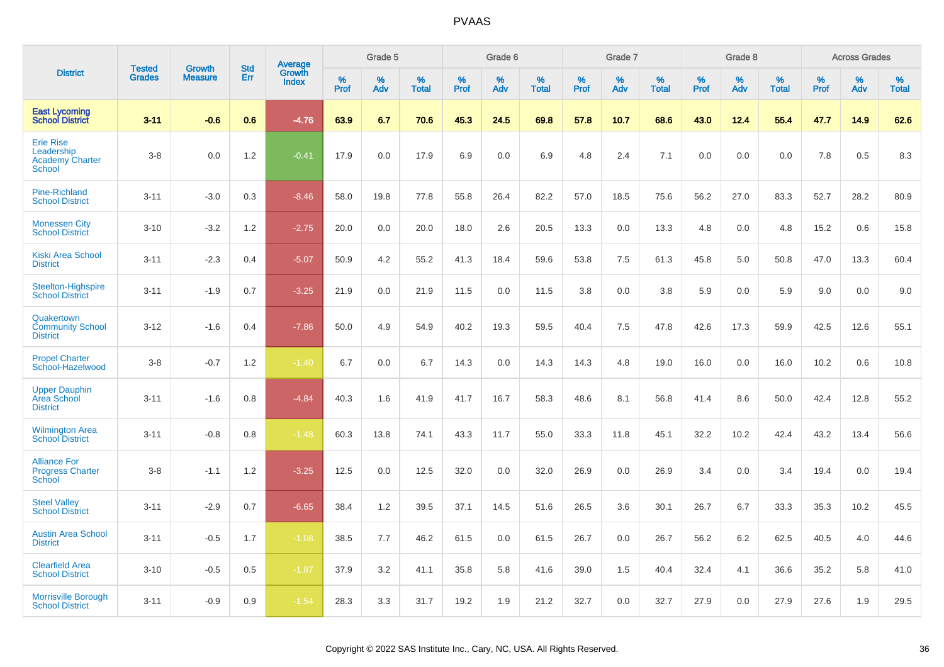|                                                                           | <b>Tested</b> | <b>Growth</b>  | <b>Std</b> | Average                |           | Grade 5  |                   |           | Grade 6  |                   |           | Grade 7  |                   |           | Grade 8  |                   |           | <b>Across Grades</b> |                   |
|---------------------------------------------------------------------------|---------------|----------------|------------|------------------------|-----------|----------|-------------------|-----------|----------|-------------------|-----------|----------|-------------------|-----------|----------|-------------------|-----------|----------------------|-------------------|
| <b>District</b>                                                           | <b>Grades</b> | <b>Measure</b> | Err        | Growth<br><b>Index</b> | %<br>Prof | %<br>Adv | %<br><b>Total</b> | %<br>Prof | %<br>Adv | %<br><b>Total</b> | %<br>Prof | %<br>Adv | %<br><b>Total</b> | %<br>Prof | %<br>Adv | %<br><b>Total</b> | %<br>Prof | %<br>Adv             | %<br><b>Total</b> |
| <b>East Lycoming</b><br><b>School District</b>                            | $3 - 11$      | $-0.6$         | 0.6        | $-4.76$                | 63.9      | 6.7      | 70.6              | 45.3      | 24.5     | 69.8              | 57.8      | 10.7     | 68.6              | 43.0      | 12.4     | 55.4              | 47.7      | 14.9                 | 62.6              |
| <b>Erie Rise</b><br>Leadership<br><b>Academy Charter</b><br><b>School</b> | $3 - 8$       | 0.0            | 1.2        | $-0.41$                | 17.9      | 0.0      | 17.9              | 6.9       | 0.0      | 6.9               | 4.8       | 2.4      | 7.1               | 0.0       | 0.0      | 0.0               | 7.8       | 0.5                  | 8.3               |
| <b>Pine-Richland</b><br><b>School District</b>                            | $3 - 11$      | $-3.0$         | 0.3        | $-8.46$                | 58.0      | 19.8     | 77.8              | 55.8      | 26.4     | 82.2              | 57.0      | 18.5     | 75.6              | 56.2      | 27.0     | 83.3              | 52.7      | 28.2                 | 80.9              |
| <b>Monessen City</b><br><b>School District</b>                            | $3 - 10$      | $-3.2$         | 1.2        | $-2.75$                | 20.0      | 0.0      | 20.0              | 18.0      | 2.6      | 20.5              | 13.3      | 0.0      | 13.3              | 4.8       | 0.0      | 4.8               | 15.2      | 0.6                  | 15.8              |
| <b>Kiski Area School</b><br><b>District</b>                               | $3 - 11$      | $-2.3$         | 0.4        | $-5.07$                | 50.9      | 4.2      | 55.2              | 41.3      | 18.4     | 59.6              | 53.8      | 7.5      | 61.3              | 45.8      | 5.0      | 50.8              | 47.0      | 13.3                 | 60.4              |
| Steelton-Highspire<br><b>School District</b>                              | $3 - 11$      | $-1.9$         | 0.7        | $-3.25$                | 21.9      | 0.0      | 21.9              | 11.5      | 0.0      | 11.5              | 3.8       | 0.0      | 3.8               | 5.9       | 0.0      | 5.9               | 9.0       | 0.0                  | 9.0               |
| Quakertown<br><b>Community School</b><br><b>District</b>                  | $3 - 12$      | $-1.6$         | 0.4        | $-7.86$                | 50.0      | 4.9      | 54.9              | 40.2      | 19.3     | 59.5              | 40.4      | 7.5      | 47.8              | 42.6      | 17.3     | 59.9              | 42.5      | 12.6                 | 55.1              |
| <b>Propel Charter</b><br>School-Hazelwood                                 | $3-8$         | $-0.7$         | 1.2        | $-1.40$                | 6.7       | 0.0      | 6.7               | 14.3      | 0.0      | 14.3              | 14.3      | 4.8      | 19.0              | 16.0      | 0.0      | 16.0              | 10.2      | 0.6                  | 10.8              |
| <b>Upper Dauphin</b><br>Area School<br><b>District</b>                    | $3 - 11$      | $-1.6$         | 0.8        | $-4.84$                | 40.3      | 1.6      | 41.9              | 41.7      | 16.7     | 58.3              | 48.6      | 8.1      | 56.8              | 41.4      | 8.6      | 50.0              | 42.4      | 12.8                 | 55.2              |
| <b>Wilmington Area</b><br><b>School District</b>                          | $3 - 11$      | $-0.8$         | 0.8        | $-1.48$                | 60.3      | 13.8     | 74.1              | 43.3      | 11.7     | 55.0              | 33.3      | 11.8     | 45.1              | 32.2      | 10.2     | 42.4              | 43.2      | 13.4                 | 56.6              |
| <b>Alliance For</b><br><b>Progress Charter</b><br>School                  | $3-8$         | $-1.1$         | 1.2        | $-3.25$                | 12.5      | 0.0      | 12.5              | 32.0      | 0.0      | 32.0              | 26.9      | 0.0      | 26.9              | 3.4       | 0.0      | 3.4               | 19.4      | 0.0                  | 19.4              |
| <b>Steel Valley</b><br><b>School District</b>                             | $3 - 11$      | $-2.9$         | 0.7        | $-6.65$                | 38.4      | 1.2      | 39.5              | 37.1      | 14.5     | 51.6              | 26.5      | 3.6      | 30.1              | 26.7      | 6.7      | 33.3              | 35.3      | 10.2                 | 45.5              |
| <b>Austin Area School</b><br><b>District</b>                              | $3 - 11$      | $-0.5$         | 1.7        | $-1.08$                | 38.5      | 7.7      | 46.2              | 61.5      | 0.0      | 61.5              | 26.7      | 0.0      | 26.7              | 56.2      | 6.2      | 62.5              | 40.5      | 4.0                  | 44.6              |
| <b>Clearfield Area</b><br><b>School District</b>                          | $3 - 10$      | $-0.5$         | 0.5        | $-1.87$                | 37.9      | 3.2      | 41.1              | 35.8      | 5.8      | 41.6              | 39.0      | 1.5      | 40.4              | 32.4      | 4.1      | 36.6              | 35.2      | 5.8                  | 41.0              |
| <b>Morrisville Borough</b><br><b>School District</b>                      | $3 - 11$      | $-0.9$         | 0.9        | $-1.54$                | 28.3      | 3.3      | 31.7              | 19.2      | 1.9      | 21.2              | 32.7      | 0.0      | 32.7              | 27.9      | 0.0      | 27.9              | 27.6      | 1.9                  | 29.5              |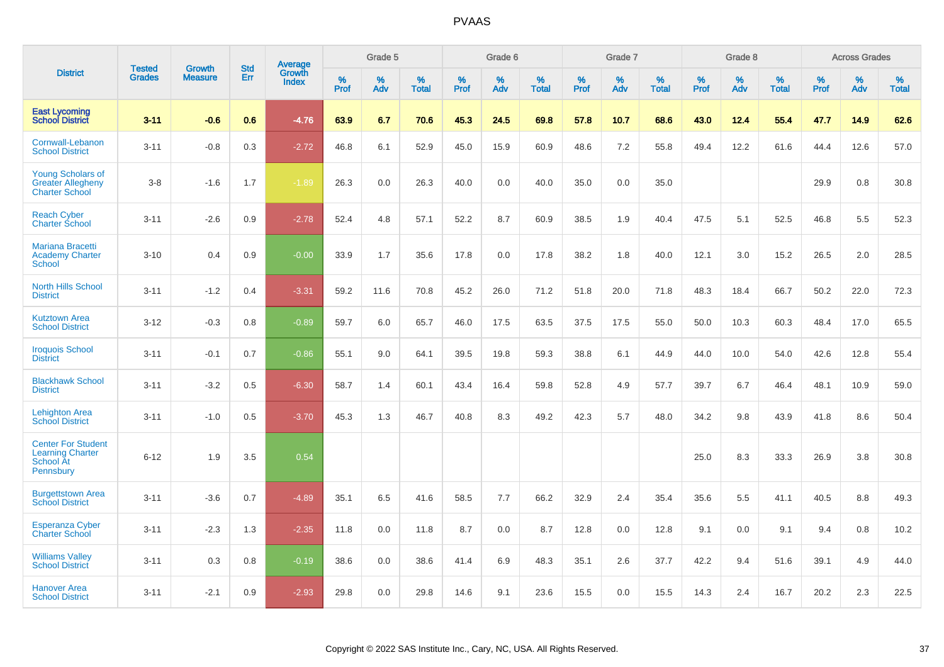|                                                                                |                                | <b>Growth</b>  | <b>Std</b> | <b>Average</b>  |              | Grade 5  |                   |           | Grade 6  |                   |              | Grade 7  |                   |              | Grade 8  |                   |              | <b>Across Grades</b> |                   |
|--------------------------------------------------------------------------------|--------------------------------|----------------|------------|-----------------|--------------|----------|-------------------|-----------|----------|-------------------|--------------|----------|-------------------|--------------|----------|-------------------|--------------|----------------------|-------------------|
| <b>District</b>                                                                | <b>Tested</b><br><b>Grades</b> | <b>Measure</b> | <b>Err</b> | Growth<br>Index | $\%$<br>Prof | %<br>Adv | %<br><b>Total</b> | %<br>Prof | %<br>Adv | %<br><b>Total</b> | $\%$<br>Prof | %<br>Adv | %<br><b>Total</b> | $\%$<br>Prof | %<br>Adv | %<br><b>Total</b> | $\%$<br>Prof | %<br>Adv             | %<br><b>Total</b> |
| <b>East Lycoming</b><br><b>School District</b>                                 | $3 - 11$                       | $-0.6$         | 0.6        | $-4.76$         | 63.9         | 6.7      | 70.6              | 45.3      | 24.5     | 69.8              | 57.8         | 10.7     | 68.6              | 43.0         | 12.4     | 55.4              | 47.7         | 14.9                 | 62.6              |
| <b>Cornwall-Lebanon</b><br><b>School District</b>                              | $3 - 11$                       | $-0.8$         | 0.3        | $-2.72$         | 46.8         | 6.1      | 52.9              | 45.0      | 15.9     | 60.9              | 48.6         | 7.2      | 55.8              | 49.4         | 12.2     | 61.6              | 44.4         | 12.6                 | 57.0              |
| <b>Young Scholars of</b><br><b>Greater Allegheny</b><br><b>Charter School</b>  | $3 - 8$                        | $-1.6$         | 1.7        | $-1.89$         | 26.3         | 0.0      | 26.3              | 40.0      | 0.0      | 40.0              | 35.0         | 0.0      | 35.0              |              |          |                   | 29.9         | $0.8\,$              | 30.8              |
| <b>Reach Cyber</b><br><b>Charter School</b>                                    | $3 - 11$                       | $-2.6$         | 0.9        | $-2.78$         | 52.4         | 4.8      | 57.1              | 52.2      | 8.7      | 60.9              | 38.5         | 1.9      | 40.4              | 47.5         | 5.1      | 52.5              | 46.8         | 5.5                  | 52.3              |
| <b>Mariana Bracetti</b><br><b>Academy Charter</b><br>School                    | $3 - 10$                       | 0.4            | 0.9        | $-0.00$         | 33.9         | 1.7      | 35.6              | 17.8      | 0.0      | 17.8              | 38.2         | 1.8      | 40.0              | 12.1         | 3.0      | 15.2              | 26.5         | 2.0                  | 28.5              |
| <b>North Hills School</b><br><b>District</b>                                   | $3 - 11$                       | $-1.2$         | 0.4        | $-3.31$         | 59.2         | 11.6     | 70.8              | 45.2      | 26.0     | 71.2              | 51.8         | 20.0     | 71.8              | 48.3         | 18.4     | 66.7              | 50.2         | 22.0                 | 72.3              |
| <b>Kutztown Area</b><br><b>School District</b>                                 | $3 - 12$                       | $-0.3$         | 0.8        | $-0.89$         | 59.7         | 6.0      | 65.7              | 46.0      | 17.5     | 63.5              | 37.5         | 17.5     | 55.0              | 50.0         | 10.3     | 60.3              | 48.4         | 17.0                 | 65.5              |
| <b>Iroquois School</b><br><b>District</b>                                      | $3 - 11$                       | $-0.1$         | 0.7        | $-0.86$         | 55.1         | 9.0      | 64.1              | 39.5      | 19.8     | 59.3              | 38.8         | 6.1      | 44.9              | 44.0         | 10.0     | 54.0              | 42.6         | 12.8                 | 55.4              |
| <b>Blackhawk School</b><br><b>District</b>                                     | $3 - 11$                       | $-3.2$         | 0.5        | $-6.30$         | 58.7         | 1.4      | 60.1              | 43.4      | 16.4     | 59.8              | 52.8         | 4.9      | 57.7              | 39.7         | 6.7      | 46.4              | 48.1         | 10.9                 | 59.0              |
| <b>Lehighton Area</b><br><b>School District</b>                                | $3 - 11$                       | $-1.0$         | 0.5        | $-3.70$         | 45.3         | 1.3      | 46.7              | 40.8      | 8.3      | 49.2              | 42.3         | 5.7      | 48.0              | 34.2         | 9.8      | 43.9              | 41.8         | 8.6                  | 50.4              |
| <b>Center For Student</b><br><b>Learning Charter</b><br>School At<br>Pennsbury | $6 - 12$                       | 1.9            | 3.5        | 0.54            |              |          |                   |           |          |                   |              |          |                   | 25.0         | 8.3      | 33.3              | 26.9         | 3.8                  | 30.8              |
| <b>Burgettstown Area</b><br><b>School District</b>                             | $3 - 11$                       | $-3.6$         | 0.7        | $-4.89$         | 35.1         | 6.5      | 41.6              | 58.5      | 7.7      | 66.2              | 32.9         | 2.4      | 35.4              | 35.6         | 5.5      | 41.1              | 40.5         | 8.8                  | 49.3              |
| <b>Esperanza Cyber</b><br><b>Charter School</b>                                | $3 - 11$                       | $-2.3$         | 1.3        | $-2.35$         | 11.8         | 0.0      | 11.8              | 8.7       | 0.0      | 8.7               | 12.8         | 0.0      | 12.8              | 9.1          | 0.0      | 9.1               | 9.4          | 0.8                  | 10.2              |
| <b>Williams Valley</b><br><b>School District</b>                               | $3 - 11$                       | 0.3            | 0.8        | $-0.19$         | 38.6         | 0.0      | 38.6              | 41.4      | 6.9      | 48.3              | 35.1         | 2.6      | 37.7              | 42.2         | 9.4      | 51.6              | 39.1         | 4.9                  | 44.0              |
| <b>Hanover Area</b><br><b>School District</b>                                  | $3 - 11$                       | $-2.1$         | 0.9        | $-2.93$         | 29.8         | 0.0      | 29.8              | 14.6      | 9.1      | 23.6              | 15.5         | 0.0      | 15.5              | 14.3         | 2.4      | 16.7              | 20.2         | 2.3                  | 22.5              |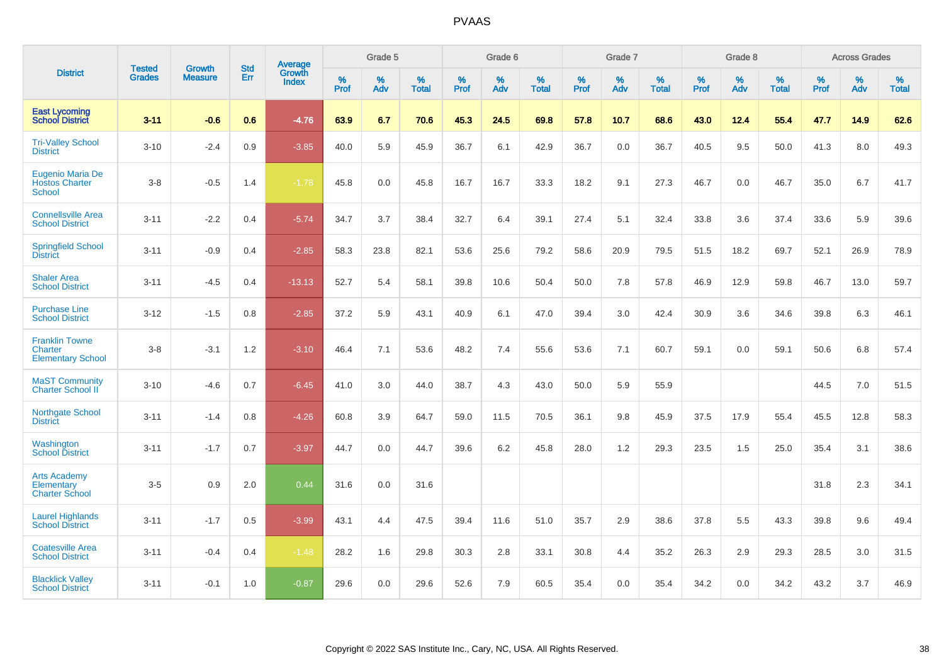|                                                              | <b>Tested</b> | <b>Growth</b>  | <b>Std</b> | Average                |           | Grade 5  |                   |           | Grade 6  |                   |           | Grade 7  |                   |              | Grade 8  |                   |           | <b>Across Grades</b> |                   |
|--------------------------------------------------------------|---------------|----------------|------------|------------------------|-----------|----------|-------------------|-----------|----------|-------------------|-----------|----------|-------------------|--------------|----------|-------------------|-----------|----------------------|-------------------|
| <b>District</b>                                              | <b>Grades</b> | <b>Measure</b> | Err        | Growth<br><b>Index</b> | %<br>Prof | %<br>Adv | %<br><b>Total</b> | %<br>Prof | %<br>Adv | %<br><b>Total</b> | %<br>Prof | %<br>Adv | %<br><b>Total</b> | $\%$<br>Prof | %<br>Adv | %<br><b>Total</b> | %<br>Prof | %<br>Adv             | %<br><b>Total</b> |
| <b>East Lycoming</b><br><b>School District</b>               | $3 - 11$      | $-0.6$         | 0.6        | $-4.76$                | 63.9      | 6.7      | 70.6              | 45.3      | 24.5     | 69.8              | 57.8      | 10.7     | 68.6              | 43.0         | 12.4     | 55.4              | 47.7      | 14.9                 | 62.6              |
| <b>Tri-Valley School</b><br><b>District</b>                  | $3 - 10$      | $-2.4$         | 0.9        | $-3.85$                | 40.0      | 5.9      | 45.9              | 36.7      | 6.1      | 42.9              | 36.7      | 0.0      | 36.7              | 40.5         | 9.5      | 50.0              | 41.3      | 8.0                  | 49.3              |
| Eugenio Maria De<br><b>Hostos Charter</b><br><b>School</b>   | $3 - 8$       | $-0.5$         | 1.4        | $-1.78$                | 45.8      | 0.0      | 45.8              | 16.7      | 16.7     | 33.3              | 18.2      | 9.1      | 27.3              | 46.7         | 0.0      | 46.7              | 35.0      | 6.7                  | 41.7              |
| <b>Connellsville Area</b><br><b>School District</b>          | $3 - 11$      | $-2.2$         | 0.4        | $-5.74$                | 34.7      | 3.7      | 38.4              | 32.7      | 6.4      | 39.1              | 27.4      | 5.1      | 32.4              | 33.8         | 3.6      | 37.4              | 33.6      | 5.9                  | 39.6              |
| <b>Springfield School</b><br><b>District</b>                 | $3 - 11$      | $-0.9$         | 0.4        | $-2.85$                | 58.3      | 23.8     | 82.1              | 53.6      | 25.6     | 79.2              | 58.6      | 20.9     | 79.5              | 51.5         | 18.2     | 69.7              | 52.1      | 26.9                 | 78.9              |
| <b>Shaler Area</b><br><b>School District</b>                 | $3 - 11$      | $-4.5$         | 0.4        | $-13.13$               | 52.7      | 5.4      | 58.1              | 39.8      | 10.6     | 50.4              | 50.0      | 7.8      | 57.8              | 46.9         | 12.9     | 59.8              | 46.7      | 13.0                 | 59.7              |
| <b>Purchase Line</b><br><b>School District</b>               | $3 - 12$      | $-1.5$         | 0.8        | $-2.85$                | 37.2      | 5.9      | 43.1              | 40.9      | 6.1      | 47.0              | 39.4      | 3.0      | 42.4              | 30.9         | 3.6      | 34.6              | 39.8      | 6.3                  | 46.1              |
| <b>Franklin Towne</b><br>Charter<br><b>Elementary School</b> | $3 - 8$       | $-3.1$         | 1.2        | $-3.10$                | 46.4      | 7.1      | 53.6              | 48.2      | 7.4      | 55.6              | 53.6      | 7.1      | 60.7              | 59.1         | 0.0      | 59.1              | 50.6      | 6.8                  | 57.4              |
| <b>MaST Community</b><br>Charter School II                   | $3 - 10$      | $-4.6$         | 0.7        | $-6.45$                | 41.0      | 3.0      | 44.0              | 38.7      | 4.3      | 43.0              | 50.0      | 5.9      | 55.9              |              |          |                   | 44.5      | 7.0                  | 51.5              |
| Northgate School<br><b>District</b>                          | $3 - 11$      | $-1.4$         | 0.8        | $-4.26$                | 60.8      | 3.9      | 64.7              | 59.0      | 11.5     | 70.5              | 36.1      | 9.8      | 45.9              | 37.5         | 17.9     | 55.4              | 45.5      | 12.8                 | 58.3              |
| Washington<br><b>School District</b>                         | $3 - 11$      | $-1.7$         | 0.7        | $-3.97$                | 44.7      | 0.0      | 44.7              | 39.6      | 6.2      | 45.8              | 28.0      | 1.2      | 29.3              | 23.5         | 1.5      | 25.0              | 35.4      | 3.1                  | 38.6              |
| <b>Arts Academy</b><br>Elementary<br><b>Charter School</b>   | $3-5$         | 0.9            | 2.0        | 0.44                   | 31.6      | 0.0      | 31.6              |           |          |                   |           |          |                   |              |          |                   | 31.8      | 2.3                  | 34.1              |
| <b>Laurel Highlands</b><br><b>School District</b>            | $3 - 11$      | $-1.7$         | 0.5        | $-3.99$                | 43.1      | 4.4      | 47.5              | 39.4      | 11.6     | 51.0              | 35.7      | 2.9      | 38.6              | 37.8         | 5.5      | 43.3              | 39.8      | 9.6                  | 49.4              |
| <b>Coatesville Area</b><br><b>School District</b>            | $3 - 11$      | $-0.4$         | 0.4        | $-1.48$                | 28.2      | 1.6      | 29.8              | 30.3      | 2.8      | 33.1              | 30.8      | 4.4      | 35.2              | 26.3         | 2.9      | 29.3              | 28.5      | 3.0                  | 31.5              |
| <b>Blacklick Valley</b><br><b>School District</b>            | $3 - 11$      | $-0.1$         | 1.0        | $-0.87$                | 29.6      | 0.0      | 29.6              | 52.6      | 7.9      | 60.5              | 35.4      | 0.0      | 35.4              | 34.2         | 0.0      | 34.2              | 43.2      | 3.7                  | 46.9              |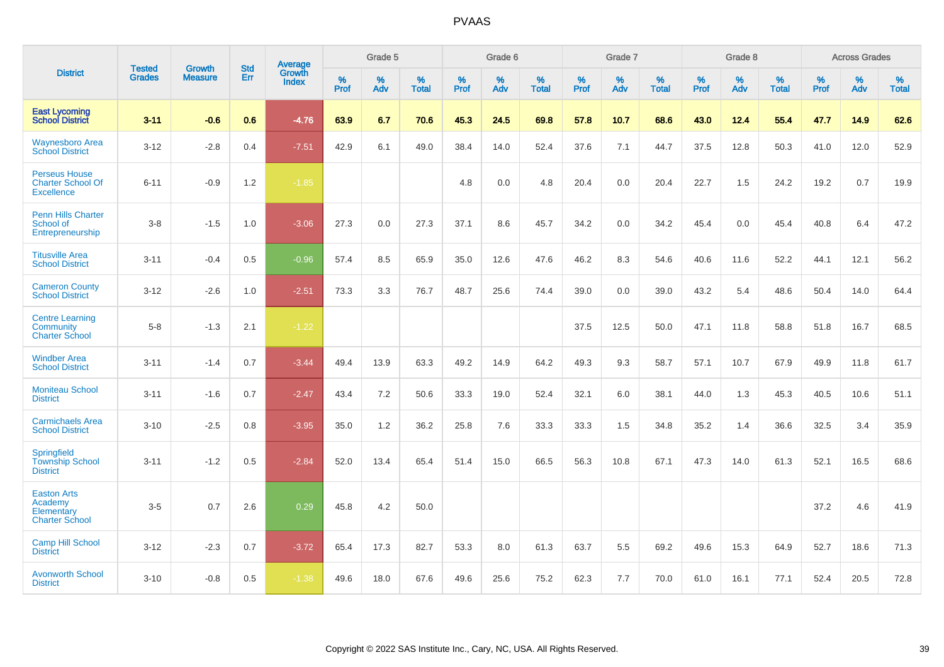|                                                                       | <b>Tested</b> | <b>Growth</b>  | <b>Std</b> | Average                |                     | Grade 5  |                   |              | Grade 6  |                   |              | Grade 7  |                   |              | Grade 8  |                   |           | <b>Across Grades</b> |                   |
|-----------------------------------------------------------------------|---------------|----------------|------------|------------------------|---------------------|----------|-------------------|--------------|----------|-------------------|--------------|----------|-------------------|--------------|----------|-------------------|-----------|----------------------|-------------------|
| <b>District</b>                                                       | <b>Grades</b> | <b>Measure</b> | Err        | Growth<br><b>Index</b> | $\%$<br><b>Prof</b> | %<br>Adv | %<br><b>Total</b> | $\%$<br>Prof | %<br>Adv | %<br><b>Total</b> | $\%$<br>Prof | %<br>Adv | %<br><b>Total</b> | $\%$<br>Prof | %<br>Adv | %<br><b>Total</b> | %<br>Prof | %<br>Adv             | %<br><b>Total</b> |
| <b>East Lycoming</b><br><b>School District</b>                        | $3 - 11$      | $-0.6$         | 0.6        | $-4.76$                | 63.9                | 6.7      | 70.6              | 45.3         | 24.5     | 69.8              | 57.8         | 10.7     | 68.6              | 43.0         | 12.4     | 55.4              | 47.7      | 14.9                 | 62.6              |
| <b>Waynesboro Area</b><br><b>School District</b>                      | $3 - 12$      | $-2.8$         | 0.4        | $-7.51$                | 42.9                | 6.1      | 49.0              | 38.4         | 14.0     | 52.4              | 37.6         | 7.1      | 44.7              | 37.5         | 12.8     | 50.3              | 41.0      | 12.0                 | 52.9              |
| <b>Perseus House</b><br><b>Charter School Of</b><br><b>Excellence</b> | $6 - 11$      | $-0.9$         | 1.2        | $-1.85$                |                     |          |                   | 4.8          | 0.0      | 4.8               | 20.4         | 0.0      | 20.4              | 22.7         | 1.5      | 24.2              | 19.2      | 0.7                  | 19.9              |
| <b>Penn Hills Charter</b><br>School of<br>Entrepreneurship            | $3-8$         | $-1.5$         | 1.0        | $-3.06$                | 27.3                | 0.0      | 27.3              | 37.1         | 8.6      | 45.7              | 34.2         | 0.0      | 34.2              | 45.4         | 0.0      | 45.4              | 40.8      | 6.4                  | 47.2              |
| <b>Titusville Area</b><br><b>School District</b>                      | $3 - 11$      | $-0.4$         | 0.5        | $-0.96$                | 57.4                | 8.5      | 65.9              | 35.0         | 12.6     | 47.6              | 46.2         | 8.3      | 54.6              | 40.6         | 11.6     | 52.2              | 44.1      | 12.1                 | 56.2              |
| <b>Cameron County</b><br><b>School District</b>                       | $3 - 12$      | $-2.6$         | 1.0        | $-2.51$                | 73.3                | 3.3      | 76.7              | 48.7         | 25.6     | 74.4              | 39.0         | 0.0      | 39.0              | 43.2         | 5.4      | 48.6              | 50.4      | 14.0                 | 64.4              |
| <b>Centre Learning</b><br>Community<br><b>Charter School</b>          | $5-8$         | $-1.3$         | 2.1        | $-1.22$                |                     |          |                   |              |          |                   | 37.5         | 12.5     | 50.0              | 47.1         | 11.8     | 58.8              | 51.8      | 16.7                 | 68.5              |
| <b>Windber Area</b><br><b>School District</b>                         | $3 - 11$      | $-1.4$         | 0.7        | $-3.44$                | 49.4                | 13.9     | 63.3              | 49.2         | 14.9     | 64.2              | 49.3         | 9.3      | 58.7              | 57.1         | 10.7     | 67.9              | 49.9      | 11.8                 | 61.7              |
| <b>Moniteau School</b><br><b>District</b>                             | $3 - 11$      | $-1.6$         | 0.7        | $-2.47$                | 43.4                | 7.2      | 50.6              | 33.3         | 19.0     | 52.4              | 32.1         | 6.0      | 38.1              | 44.0         | 1.3      | 45.3              | 40.5      | 10.6                 | 51.1              |
| <b>Carmichaels Area</b><br><b>School District</b>                     | $3 - 10$      | $-2.5$         | 0.8        | $-3.95$                | 35.0                | 1.2      | 36.2              | 25.8         | 7.6      | 33.3              | 33.3         | 1.5      | 34.8              | 35.2         | 1.4      | 36.6              | 32.5      | 3.4                  | 35.9              |
| Springfield<br><b>Township School</b><br><b>District</b>              | $3 - 11$      | $-1.2$         | 0.5        | $-2.84$                | 52.0                | 13.4     | 65.4              | 51.4         | 15.0     | 66.5              | 56.3         | 10.8     | 67.1              | 47.3         | 14.0     | 61.3              | 52.1      | 16.5                 | 68.6              |
| <b>Easton Arts</b><br>Academy<br>Elementary<br><b>Charter School</b>  | $3-5$         | 0.7            | 2.6        | 0.29                   | 45.8                | 4.2      | 50.0              |              |          |                   |              |          |                   |              |          |                   | 37.2      | 4.6                  | 41.9              |
| <b>Camp Hill School</b><br><b>District</b>                            | $3 - 12$      | $-2.3$         | 0.7        | $-3.72$                | 65.4                | 17.3     | 82.7              | 53.3         | 8.0      | 61.3              | 63.7         | 5.5      | 69.2              | 49.6         | 15.3     | 64.9              | 52.7      | 18.6                 | 71.3              |
| <b>Avonworth School</b><br><b>District</b>                            | $3 - 10$      | $-0.8$         | 0.5        | $-1.38$                | 49.6                | 18.0     | 67.6              | 49.6         | 25.6     | 75.2              | 62.3         | 7.7      | 70.0              | 61.0         | 16.1     | 77.1              | 52.4      | 20.5                 | 72.8              |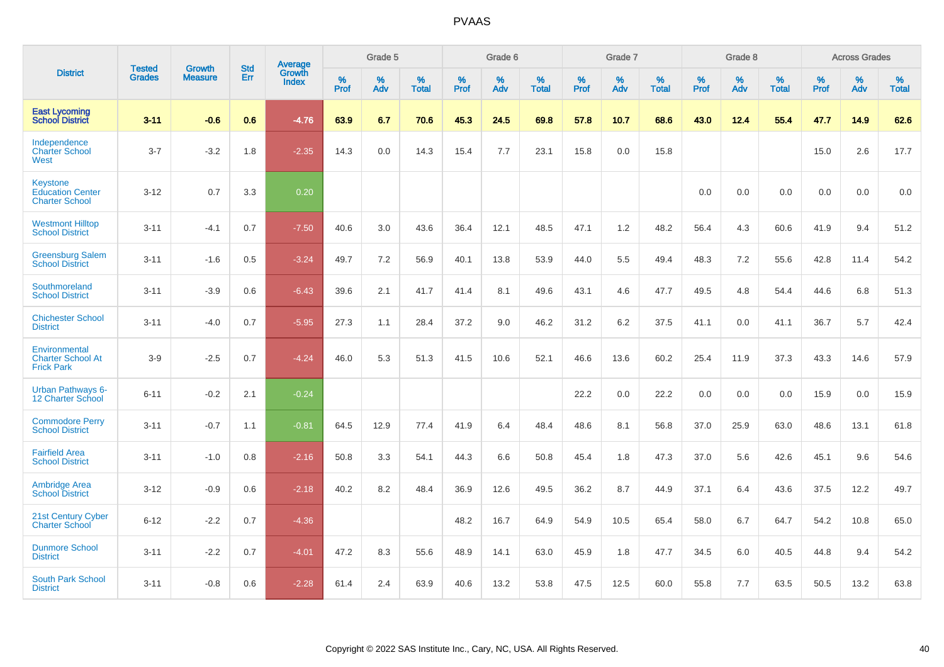|                                                                     | <b>Tested</b> | <b>Growth</b>  | <b>Std</b> | Average                       |                  | Grade 5  |                   |           | Grade 6  |                   |           | Grade 7  |                   |           | Grade 8  |                   |           | <b>Across Grades</b> |                   |
|---------------------------------------------------------------------|---------------|----------------|------------|-------------------------------|------------------|----------|-------------------|-----------|----------|-------------------|-----------|----------|-------------------|-----------|----------|-------------------|-----------|----------------------|-------------------|
| <b>District</b>                                                     | <b>Grades</b> | <b>Measure</b> | Err        | <b>Growth</b><br><b>Index</b> | %<br><b>Prof</b> | %<br>Adv | %<br><b>Total</b> | %<br>Prof | %<br>Adv | %<br><b>Total</b> | %<br>Prof | %<br>Adv | %<br><b>Total</b> | %<br>Prof | %<br>Adv | %<br><b>Total</b> | %<br>Prof | %<br>Adv             | %<br><b>Total</b> |
| <b>East Lycoming</b><br><b>School District</b>                      | $3 - 11$      | $-0.6$         | 0.6        | $-4.76$                       | 63.9             | 6.7      | 70.6              | 45.3      | 24.5     | 69.8              | 57.8      | 10.7     | 68.6              | 43.0      | 12.4     | 55.4              | 47.7      | 14.9                 | 62.6              |
| Independence<br><b>Charter School</b><br>West                       | $3 - 7$       | $-3.2$         | 1.8        | $-2.35$                       | 14.3             | 0.0      | 14.3              | 15.4      | 7.7      | 23.1              | 15.8      | 0.0      | 15.8              |           |          |                   | 15.0      | 2.6                  | 17.7              |
| <b>Keystone</b><br><b>Education Center</b><br><b>Charter School</b> | $3 - 12$      | 0.7            | 3.3        | 0.20                          |                  |          |                   |           |          |                   |           |          |                   | 0.0       | 0.0      | 0.0               | 0.0       | 0.0                  | 0.0               |
| <b>Westmont Hilltop</b><br><b>School District</b>                   | $3 - 11$      | $-4.1$         | 0.7        | $-7.50$                       | 40.6             | 3.0      | 43.6              | 36.4      | 12.1     | 48.5              | 47.1      | 1.2      | 48.2              | 56.4      | 4.3      | 60.6              | 41.9      | 9.4                  | 51.2              |
| <b>Greensburg Salem</b><br><b>School District</b>                   | $3 - 11$      | $-1.6$         | 0.5        | $-3.24$                       | 49.7             | 7.2      | 56.9              | 40.1      | 13.8     | 53.9              | 44.0      | 5.5      | 49.4              | 48.3      | 7.2      | 55.6              | 42.8      | 11.4                 | 54.2              |
| Southmoreland<br><b>School District</b>                             | $3 - 11$      | $-3.9$         | 0.6        | $-6.43$                       | 39.6             | 2.1      | 41.7              | 41.4      | 8.1      | 49.6              | 43.1      | 4.6      | 47.7              | 49.5      | 4.8      | 54.4              | 44.6      | 6.8                  | 51.3              |
| <b>Chichester School</b><br><b>District</b>                         | $3 - 11$      | $-4.0$         | 0.7        | $-5.95$                       | 27.3             | 1.1      | 28.4              | 37.2      | 9.0      | 46.2              | 31.2      | 6.2      | 37.5              | 41.1      | 0.0      | 41.1              | 36.7      | 5.7                  | 42.4              |
| Environmental<br><b>Charter School At</b><br><b>Frick Park</b>      | $3-9$         | $-2.5$         | 0.7        | $-4.24$                       | 46.0             | 5.3      | 51.3              | 41.5      | 10.6     | 52.1              | 46.6      | 13.6     | 60.2              | 25.4      | 11.9     | 37.3              | 43.3      | 14.6                 | 57.9              |
| <b>Urban Pathways 6-</b><br>12 Charter School                       | $6 - 11$      | $-0.2$         | 2.1        | $-0.24$                       |                  |          |                   |           |          |                   | 22.2      | 0.0      | 22.2              | 0.0       | 0.0      | 0.0               | 15.9      | 0.0                  | 15.9              |
| <b>Commodore Perry</b><br><b>School District</b>                    | $3 - 11$      | $-0.7$         | 1.1        | $-0.81$                       | 64.5             | 12.9     | 77.4              | 41.9      | 6.4      | 48.4              | 48.6      | 8.1      | 56.8              | 37.0      | 25.9     | 63.0              | 48.6      | 13.1                 | 61.8              |
| <b>Fairfield Area</b><br><b>School District</b>                     | $3 - 11$      | $-1.0$         | 0.8        | $-2.16$                       | 50.8             | 3.3      | 54.1              | 44.3      | 6.6      | 50.8              | 45.4      | 1.8      | 47.3              | 37.0      | 5.6      | 42.6              | 45.1      | 9.6                  | 54.6              |
| <b>Ambridge Area</b><br><b>School District</b>                      | $3 - 12$      | $-0.9$         | 0.6        | $-2.18$                       | 40.2             | 8.2      | 48.4              | 36.9      | 12.6     | 49.5              | 36.2      | 8.7      | 44.9              | 37.1      | 6.4      | 43.6              | 37.5      | 12.2                 | 49.7              |
| <b>21st Century Cyber</b><br><b>Charter School</b>                  | $6 - 12$      | $-2.2$         | 0.7        | $-4.36$                       |                  |          |                   | 48.2      | 16.7     | 64.9              | 54.9      | 10.5     | 65.4              | 58.0      | 6.7      | 64.7              | 54.2      | 10.8                 | 65.0              |
| <b>Dunmore School</b><br><b>District</b>                            | $3 - 11$      | $-2.2$         | 0.7        | $-4.01$                       | 47.2             | 8.3      | 55.6              | 48.9      | 14.1     | 63.0              | 45.9      | 1.8      | 47.7              | 34.5      | 6.0      | 40.5              | 44.8      | 9.4                  | 54.2              |
| <b>South Park School</b><br><b>District</b>                         | $3 - 11$      | $-0.8$         | 0.6        | $-2.28$                       | 61.4             | 2.4      | 63.9              | 40.6      | 13.2     | 53.8              | 47.5      | 12.5     | 60.0              | 55.8      | 7.7      | 63.5              | 50.5      | 13.2                 | 63.8              |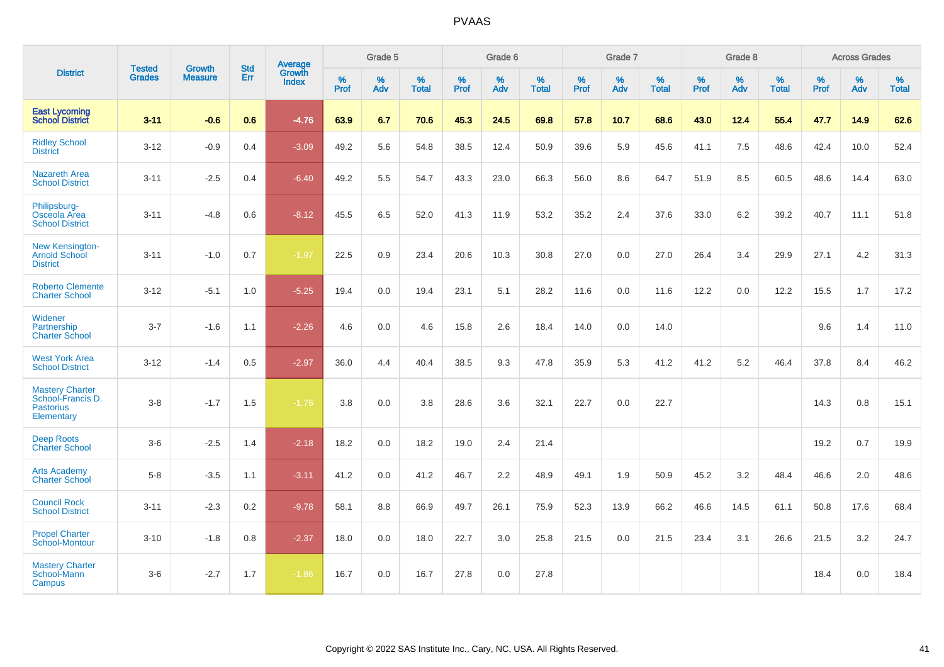|                                                                               | <b>Tested</b> | <b>Growth</b>  | <b>Std</b> | Average                |                     | Grade 5  |                   |              | Grade 6  |                   |              | Grade 7  |                   |              | Grade 8  |                   |              | <b>Across Grades</b> |                   |
|-------------------------------------------------------------------------------|---------------|----------------|------------|------------------------|---------------------|----------|-------------------|--------------|----------|-------------------|--------------|----------|-------------------|--------------|----------|-------------------|--------------|----------------------|-------------------|
| <b>District</b>                                                               | <b>Grades</b> | <b>Measure</b> | Err        | Growth<br><b>Index</b> | $\%$<br><b>Prof</b> | %<br>Adv | %<br><b>Total</b> | $\%$<br>Prof | %<br>Adv | %<br><b>Total</b> | $\%$<br>Prof | %<br>Adv | %<br><b>Total</b> | $\%$<br>Prof | %<br>Adv | %<br><b>Total</b> | $\%$<br>Prof | %<br>Adv             | %<br><b>Total</b> |
| <b>East Lycoming</b><br><b>School District</b>                                | $3 - 11$      | $-0.6$         | 0.6        | $-4.76$                | 63.9                | 6.7      | 70.6              | 45.3         | 24.5     | 69.8              | 57.8         | 10.7     | 68.6              | 43.0         | 12.4     | 55.4              | 47.7         | 14.9                 | 62.6              |
| <b>Ridley School</b><br><b>District</b>                                       | $3 - 12$      | $-0.9$         | 0.4        | $-3.09$                | 49.2                | 5.6      | 54.8              | 38.5         | 12.4     | 50.9              | 39.6         | 5.9      | 45.6              | 41.1         | 7.5      | 48.6              | 42.4         | 10.0                 | 52.4              |
| <b>Nazareth Area</b><br><b>School District</b>                                | $3 - 11$      | $-2.5$         | 0.4        | $-6.40$                | 49.2                | 5.5      | 54.7              | 43.3         | 23.0     | 66.3              | 56.0         | 8.6      | 64.7              | 51.9         | 8.5      | 60.5              | 48.6         | 14.4                 | 63.0              |
| Philipsburg-<br>Osceola Area<br><b>School District</b>                        | $3 - 11$      | $-4.8$         | 0.6        | $-8.12$                | 45.5                | 6.5      | 52.0              | 41.3         | 11.9     | 53.2              | 35.2         | 2.4      | 37.6              | 33.0         | 6.2      | 39.2              | 40.7         | 11.1                 | 51.8              |
| New Kensington-<br><b>Arnold School</b><br><b>District</b>                    | $3 - 11$      | $-1.0$         | 0.7        | $-1.97$                | 22.5                | 0.9      | 23.4              | 20.6         | 10.3     | 30.8              | 27.0         | 0.0      | 27.0              | 26.4         | 3.4      | 29.9              | 27.1         | 4.2                  | 31.3              |
| <b>Roberto Clemente</b><br><b>Charter School</b>                              | $3 - 12$      | $-5.1$         | 1.0        | $-5.25$                | 19.4                | 0.0      | 19.4              | 23.1         | 5.1      | 28.2              | 11.6         | 0.0      | 11.6              | 12.2         | 0.0      | 12.2              | 15.5         | 1.7                  | 17.2              |
| Widener<br>Partnership<br><b>Charter School</b>                               | $3 - 7$       | $-1.6$         | 1.1        | $-2.26$                | 4.6                 | 0.0      | 4.6               | 15.8         | 2.6      | 18.4              | 14.0         | 0.0      | 14.0              |              |          |                   | 9.6          | 1.4                  | 11.0              |
| <b>West York Area</b><br><b>School District</b>                               | $3 - 12$      | $-1.4$         | 0.5        | $-2.97$                | 36.0                | 4.4      | 40.4              | 38.5         | 9.3      | 47.8              | 35.9         | 5.3      | 41.2              | 41.2         | 5.2      | 46.4              | 37.8         | 8.4                  | 46.2              |
| <b>Mastery Charter</b><br>School-Francis D.<br><b>Pastorius</b><br>Elementary | $3-8$         | $-1.7$         | 1.5        | $-1.76$                | 3.8                 | 0.0      | 3.8               | 28.6         | 3.6      | 32.1              | 22.7         | 0.0      | 22.7              |              |          |                   | 14.3         | 0.8                  | 15.1              |
| <b>Deep Roots</b><br><b>Charter School</b>                                    | $3-6$         | $-2.5$         | 1.4        | $-2.18$                | 18.2                | 0.0      | 18.2              | 19.0         | 2.4      | 21.4              |              |          |                   |              |          |                   | 19.2         | 0.7                  | 19.9              |
| <b>Arts Academy</b><br><b>Charter School</b>                                  | $5-8$         | $-3.5$         | 1.1        | $-3.11$                | 41.2                | 0.0      | 41.2              | 46.7         | 2.2      | 48.9              | 49.1         | 1.9      | 50.9              | 45.2         | 3.2      | 48.4              | 46.6         | 2.0                  | 48.6              |
| <b>Council Rock</b><br><b>School District</b>                                 | $3 - 11$      | $-2.3$         | $0.2\,$    | $-9.78$                | 58.1                | 8.8      | 66.9              | 49.7         | 26.1     | 75.9              | 52.3         | 13.9     | 66.2              | 46.6         | 14.5     | 61.1              | 50.8         | 17.6                 | 68.4              |
| <b>Propel Charter</b><br><b>School-Montour</b>                                | $3 - 10$      | $-1.8$         | 0.8        | $-2.37$                | 18.0                | 0.0      | 18.0              | 22.7         | 3.0      | 25.8              | 21.5         | 0.0      | 21.5              | 23.4         | 3.1      | 26.6              | 21.5         | 3.2                  | 24.7              |
| <b>Mastery Charter</b><br>School-Mann<br>Campus                               | $3-6$         | $-2.7$         | 1.7        | $-1.86$                | 16.7                | 0.0      | 16.7              | 27.8         | 0.0      | 27.8              |              |          |                   |              |          |                   | 18.4         | 0.0                  | 18.4              |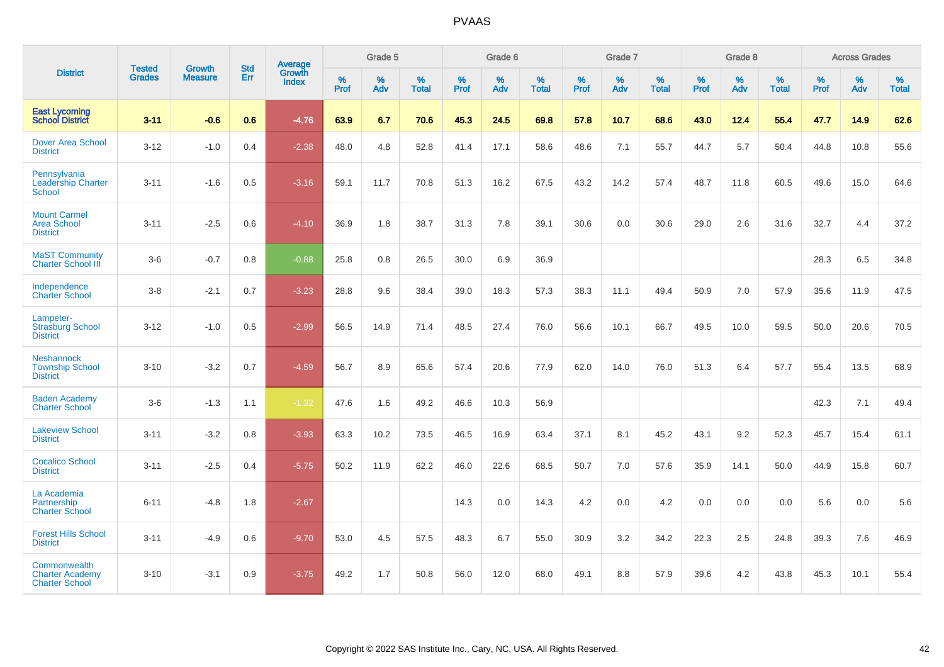|                                                                 | <b>Tested</b> | <b>Growth</b>  | <b>Std</b> | Average                |                     | Grade 5  |                   |              | Grade 6  |                   |              | Grade 7  |                   |              | Grade 8  |                   |           | <b>Across Grades</b> |                   |
|-----------------------------------------------------------------|---------------|----------------|------------|------------------------|---------------------|----------|-------------------|--------------|----------|-------------------|--------------|----------|-------------------|--------------|----------|-------------------|-----------|----------------------|-------------------|
| <b>District</b>                                                 | <b>Grades</b> | <b>Measure</b> | Err        | Growth<br><b>Index</b> | $\%$<br><b>Prof</b> | %<br>Adv | %<br><b>Total</b> | $\%$<br>Prof | %<br>Adv | %<br><b>Total</b> | $\%$<br>Prof | %<br>Adv | %<br><b>Total</b> | $\%$<br>Prof | %<br>Adv | %<br><b>Total</b> | %<br>Prof | %<br>Adv             | %<br><b>Total</b> |
| <b>East Lycoming</b><br><b>School District</b>                  | $3 - 11$      | $-0.6$         | 0.6        | $-4.76$                | 63.9                | 6.7      | 70.6              | 45.3         | 24.5     | 69.8              | 57.8         | 10.7     | 68.6              | 43.0         | 12.4     | 55.4              | 47.7      | 14.9                 | 62.6              |
| <b>Dover Area School</b><br><b>District</b>                     | $3 - 12$      | $-1.0$         | 0.4        | $-2.38$                | 48.0                | 4.8      | 52.8              | 41.4         | 17.1     | 58.6              | 48.6         | 7.1      | 55.7              | 44.7         | 5.7      | 50.4              | 44.8      | 10.8                 | 55.6              |
| Pennsylvania<br><b>Leadership Charter</b><br><b>School</b>      | $3 - 11$      | $-1.6$         | 0.5        | $-3.16$                | 59.1                | 11.7     | 70.8              | 51.3         | 16.2     | 67.5              | 43.2         | 14.2     | 57.4              | 48.7         | 11.8     | 60.5              | 49.6      | 15.0                 | 64.6              |
| <b>Mount Carmel</b><br><b>Area School</b><br><b>District</b>    | $3 - 11$      | $-2.5$         | 0.6        | $-4.10$                | 36.9                | 1.8      | 38.7              | 31.3         | 7.8      | 39.1              | 30.6         | 0.0      | 30.6              | 29.0         | 2.6      | 31.6              | 32.7      | 4.4                  | 37.2              |
| <b>MaST Community</b><br><b>Charter School III</b>              | $3-6$         | $-0.7$         | 0.8        | $-0.88$                | 25.8                | 0.8      | 26.5              | 30.0         | 6.9      | 36.9              |              |          |                   |              |          |                   | 28.3      | 6.5                  | 34.8              |
| Independence<br><b>Charter School</b>                           | $3 - 8$       | $-2.1$         | 0.7        | $-3.23$                | 28.8                | 9.6      | 38.4              | 39.0         | 18.3     | 57.3              | 38.3         | 11.1     | 49.4              | 50.9         | 7.0      | 57.9              | 35.6      | 11.9                 | 47.5              |
| Lampeter-<br><b>Strasburg School</b><br><b>District</b>         | $3 - 12$      | $-1.0$         | 0.5        | $-2.99$                | 56.5                | 14.9     | 71.4              | 48.5         | 27.4     | 76.0              | 56.6         | 10.1     | 66.7              | 49.5         | 10.0     | 59.5              | 50.0      | 20.6                 | 70.5              |
| <b>Neshannock</b><br><b>Township School</b><br><b>District</b>  | $3 - 10$      | $-3.2$         | 0.7        | $-4.59$                | 56.7                | 8.9      | 65.6              | 57.4         | 20.6     | 77.9              | 62.0         | 14.0     | 76.0              | 51.3         | 6.4      | 57.7              | 55.4      | 13.5                 | 68.9              |
| <b>Baden Academy</b><br><b>Charter School</b>                   | $3-6$         | $-1.3$         | 1.1        | $-1.32$                | 47.6                | 1.6      | 49.2              | 46.6         | 10.3     | 56.9              |              |          |                   |              |          |                   | 42.3      | 7.1                  | 49.4              |
| <b>Lakeview School</b><br><b>District</b>                       | $3 - 11$      | $-3.2$         | 0.8        | $-3.93$                | 63.3                | 10.2     | 73.5              | 46.5         | 16.9     | 63.4              | 37.1         | 8.1      | 45.2              | 43.1         | 9.2      | 52.3              | 45.7      | 15.4                 | 61.1              |
| <b>Cocalico School</b><br><b>District</b>                       | $3 - 11$      | $-2.5$         | 0.4        | $-5.75$                | 50.2                | 11.9     | 62.2              | 46.0         | 22.6     | 68.5              | 50.7         | 7.0      | 57.6              | 35.9         | 14.1     | 50.0              | 44.9      | 15.8                 | 60.7              |
| La Academia<br>Partnership<br><b>Charter School</b>             | $6 - 11$      | $-4.8$         | 1.8        | $-2.67$                |                     |          |                   | 14.3         | 0.0      | 14.3              | 4.2          | 0.0      | 4.2               | 0.0          | 0.0      | 0.0               | 5.6       | 0.0                  | 5.6               |
| <b>Forest Hills School</b><br><b>District</b>                   | $3 - 11$      | $-4.9$         | 0.6        | $-9.70$                | 53.0                | 4.5      | 57.5              | 48.3         | 6.7      | 55.0              | 30.9         | 3.2      | 34.2              | 22.3         | 2.5      | 24.8              | 39.3      | 7.6                  | 46.9              |
| Commonwealth<br><b>Charter Academy</b><br><b>Charter School</b> | $3 - 10$      | $-3.1$         | 0.9        | $-3.75$                | 49.2                | 1.7      | 50.8              | 56.0         | 12.0     | 68.0              | 49.1         | 8.8      | 57.9              | 39.6         | 4.2      | 43.8              | 45.3      | 10.1                 | 55.4              |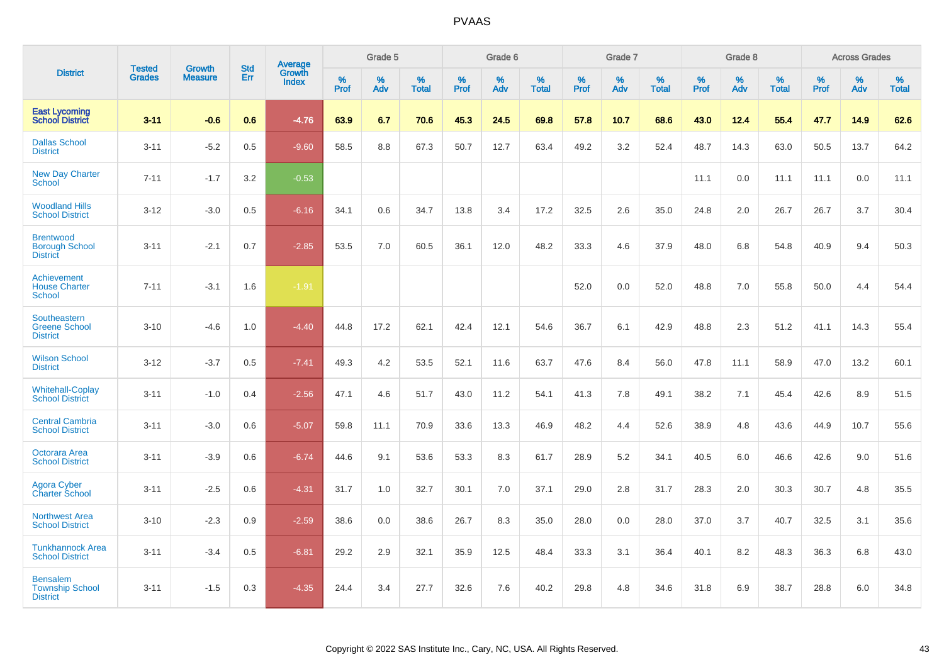|                                                              |                                |                                 | <b>Std</b> | <b>Average</b>                |           | Grade 5  |                   |           | Grade 6  |                   |           | Grade 7  |                   |           | Grade 8  |                   |           | <b>Across Grades</b> |                   |
|--------------------------------------------------------------|--------------------------------|---------------------------------|------------|-------------------------------|-----------|----------|-------------------|-----------|----------|-------------------|-----------|----------|-------------------|-----------|----------|-------------------|-----------|----------------------|-------------------|
| <b>District</b>                                              | <b>Tested</b><br><b>Grades</b> | <b>Growth</b><br><b>Measure</b> | Err        | <b>Growth</b><br><b>Index</b> | %<br>Prof | %<br>Adv | %<br><b>Total</b> | %<br>Prof | %<br>Adv | %<br><b>Total</b> | %<br>Prof | %<br>Adv | %<br><b>Total</b> | %<br>Prof | %<br>Adv | %<br><b>Total</b> | %<br>Prof | %<br>Adv             | %<br><b>Total</b> |
| <b>East Lycoming</b><br><b>School District</b>               | $3 - 11$                       | $-0.6$                          | 0.6        | $-4.76$                       | 63.9      | 6.7      | 70.6              | 45.3      | 24.5     | 69.8              | 57.8      | 10.7     | 68.6              | 43.0      | 12.4     | 55.4              | 47.7      | 14.9                 | 62.6              |
| <b>Dallas School</b><br><b>District</b>                      | $3 - 11$                       | $-5.2$                          | 0.5        | $-9.60$                       | 58.5      | 8.8      | 67.3              | 50.7      | 12.7     | 63.4              | 49.2      | 3.2      | 52.4              | 48.7      | 14.3     | 63.0              | 50.5      | 13.7                 | 64.2              |
| <b>New Day Charter</b><br><b>School</b>                      | $7 - 11$                       | $-1.7$                          | 3.2        | $-0.53$                       |           |          |                   |           |          |                   |           |          |                   | 11.1      | 0.0      | 11.1              | 11.1      | 0.0                  | 11.1              |
| <b>Woodland Hills</b><br><b>School District</b>              | $3 - 12$                       | $-3.0$                          | 0.5        | $-6.16$                       | 34.1      | 0.6      | 34.7              | 13.8      | 3.4      | 17.2              | 32.5      | 2.6      | 35.0              | 24.8      | 2.0      | 26.7              | 26.7      | 3.7                  | 30.4              |
| <b>Brentwood</b><br><b>Borough School</b><br><b>District</b> | $3 - 11$                       | $-2.1$                          | 0.7        | $-2.85$                       | 53.5      | 7.0      | 60.5              | 36.1      | 12.0     | 48.2              | 33.3      | 4.6      | 37.9              | 48.0      | 6.8      | 54.8              | 40.9      | 9.4                  | 50.3              |
| Achievement<br><b>House Charter</b><br>School                | $7 - 11$                       | $-3.1$                          | 1.6        | $-1.91$                       |           |          |                   |           |          |                   | 52.0      | 0.0      | 52.0              | 48.8      | 7.0      | 55.8              | 50.0      | 4.4                  | 54.4              |
| Southeastern<br><b>Greene School</b><br><b>District</b>      | $3 - 10$                       | $-4.6$                          | 1.0        | $-4.40$                       | 44.8      | 17.2     | 62.1              | 42.4      | 12.1     | 54.6              | 36.7      | 6.1      | 42.9              | 48.8      | 2.3      | 51.2              | 41.1      | 14.3                 | 55.4              |
| <b>Wilson School</b><br><b>District</b>                      | $3 - 12$                       | $-3.7$                          | 0.5        | $-7.41$                       | 49.3      | 4.2      | 53.5              | 52.1      | 11.6     | 63.7              | 47.6      | 8.4      | 56.0              | 47.8      | 11.1     | 58.9              | 47.0      | 13.2                 | 60.1              |
| <b>Whitehall-Coplay</b><br><b>School District</b>            | $3 - 11$                       | $-1.0$                          | 0.4        | $-2.56$                       | 47.1      | 4.6      | 51.7              | 43.0      | 11.2     | 54.1              | 41.3      | 7.8      | 49.1              | 38.2      | 7.1      | 45.4              | 42.6      | 8.9                  | 51.5              |
| <b>Central Cambria</b><br><b>School District</b>             | $3 - 11$                       | $-3.0$                          | 0.6        | $-5.07$                       | 59.8      | 11.1     | 70.9              | 33.6      | 13.3     | 46.9              | 48.2      | 4.4      | 52.6              | 38.9      | 4.8      | 43.6              | 44.9      | 10.7                 | 55.6              |
| Octorara Area<br><b>School District</b>                      | $3 - 11$                       | $-3.9$                          | 0.6        | $-6.74$                       | 44.6      | 9.1      | 53.6              | 53.3      | 8.3      | 61.7              | 28.9      | 5.2      | 34.1              | 40.5      | 6.0      | 46.6              | 42.6      | 9.0                  | 51.6              |
| <b>Agora Cyber</b><br><b>Charter School</b>                  | $3 - 11$                       | $-2.5$                          | 0.6        | $-4.31$                       | 31.7      | 1.0      | 32.7              | 30.1      | 7.0      | 37.1              | 29.0      | 2.8      | 31.7              | 28.3      | 2.0      | 30.3              | 30.7      | 4.8                  | 35.5              |
| <b>Northwest Area</b><br><b>School District</b>              | $3 - 10$                       | $-2.3$                          | 0.9        | $-2.59$                       | 38.6      | 0.0      | 38.6              | 26.7      | 8.3      | 35.0              | 28.0      | 0.0      | 28.0              | 37.0      | 3.7      | 40.7              | 32.5      | 3.1                  | 35.6              |
| <b>Tunkhannock Area</b><br><b>School District</b>            | $3 - 11$                       | $-3.4$                          | 0.5        | $-6.81$                       | 29.2      | 2.9      | 32.1              | 35.9      | 12.5     | 48.4              | 33.3      | 3.1      | 36.4              | 40.1      | 8.2      | 48.3              | 36.3      | 6.8                  | 43.0              |
| <b>Bensalem</b><br><b>Township School</b><br><b>District</b> | $3 - 11$                       | $-1.5$                          | 0.3        | $-4.35$                       | 24.4      | 3.4      | 27.7              | 32.6      | 7.6      | 40.2              | 29.8      | 4.8      | 34.6              | 31.8      | 6.9      | 38.7              | 28.8      | 6.0                  | 34.8              |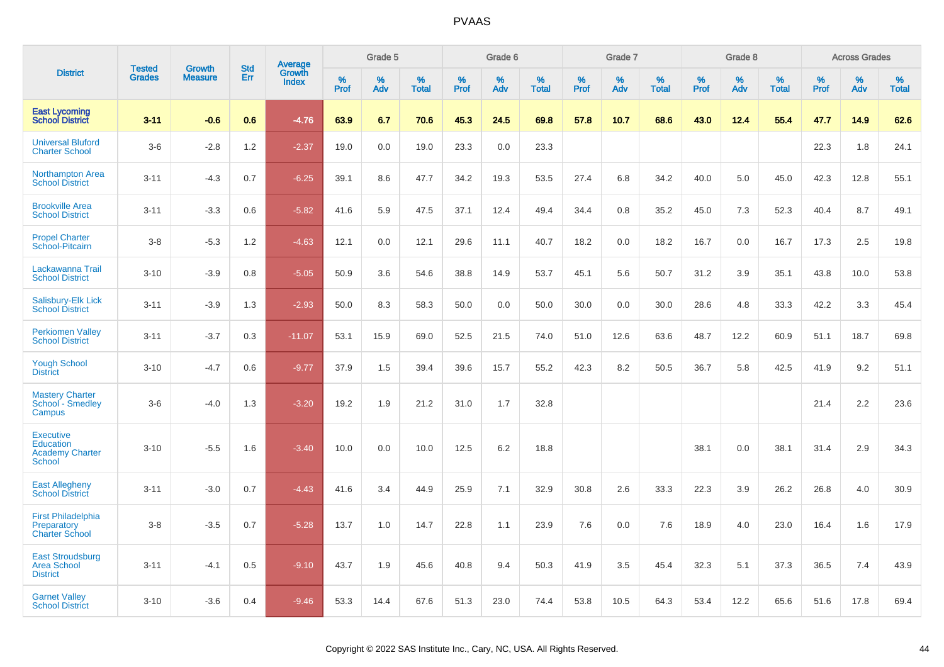|                                                                          | <b>Tested</b> | <b>Growth</b>  | <b>Std</b> | Average                |           | Grade 5  |                   |           | Grade 6  |                   |           | Grade 7  |                   |           | Grade 8  |                   |           | <b>Across Grades</b> |                   |
|--------------------------------------------------------------------------|---------------|----------------|------------|------------------------|-----------|----------|-------------------|-----------|----------|-------------------|-----------|----------|-------------------|-----------|----------|-------------------|-----------|----------------------|-------------------|
| <b>District</b>                                                          | <b>Grades</b> | <b>Measure</b> | Err        | Growth<br><b>Index</b> | %<br>Prof | %<br>Adv | %<br><b>Total</b> | %<br>Prof | %<br>Adv | %<br><b>Total</b> | %<br>Prof | %<br>Adv | %<br><b>Total</b> | %<br>Prof | %<br>Adv | %<br><b>Total</b> | %<br>Prof | %<br>Adv             | %<br><b>Total</b> |
| <b>East Lycoming</b><br><b>School District</b>                           | $3 - 11$      | $-0.6$         | 0.6        | $-4.76$                | 63.9      | 6.7      | 70.6              | 45.3      | 24.5     | 69.8              | 57.8      | 10.7     | 68.6              | 43.0      | 12.4     | 55.4              | 47.7      | 14.9                 | 62.6              |
| <b>Universal Bluford</b><br><b>Charter School</b>                        | $3-6$         | $-2.8$         | 1.2        | $-2.37$                | 19.0      | 0.0      | 19.0              | 23.3      | 0.0      | 23.3              |           |          |                   |           |          |                   | 22.3      | 1.8                  | 24.1              |
| <b>Northampton Area</b><br><b>School District</b>                        | $3 - 11$      | $-4.3$         | 0.7        | $-6.25$                | 39.1      | 8.6      | 47.7              | 34.2      | 19.3     | 53.5              | 27.4      | 6.8      | 34.2              | 40.0      | 5.0      | 45.0              | 42.3      | 12.8                 | 55.1              |
| <b>Brookville Area</b><br><b>School District</b>                         | $3 - 11$      | $-3.3$         | 0.6        | $-5.82$                | 41.6      | 5.9      | 47.5              | 37.1      | 12.4     | 49.4              | 34.4      | 0.8      | 35.2              | 45.0      | 7.3      | 52.3              | 40.4      | 8.7                  | 49.1              |
| <b>Propel Charter</b><br>School-Pitcairn                                 | $3-8$         | $-5.3$         | 1.2        | $-4.63$                | 12.1      | 0.0      | 12.1              | 29.6      | 11.1     | 40.7              | 18.2      | 0.0      | 18.2              | 16.7      | 0.0      | 16.7              | 17.3      | 2.5                  | 19.8              |
| Lackawanna Trail<br><b>School District</b>                               | $3 - 10$      | $-3.9$         | 0.8        | $-5.05$                | 50.9      | 3.6      | 54.6              | 38.8      | 14.9     | 53.7              | 45.1      | 5.6      | 50.7              | 31.2      | 3.9      | 35.1              | 43.8      | 10.0                 | 53.8              |
| Salisbury-Elk Lick<br><b>School District</b>                             | $3 - 11$      | $-3.9$         | 1.3        | $-2.93$                | 50.0      | 8.3      | 58.3              | 50.0      | 0.0      | 50.0              | 30.0      | 0.0      | 30.0              | 28.6      | 4.8      | 33.3              | 42.2      | 3.3                  | 45.4              |
| <b>Perkiomen Valley</b><br><b>School District</b>                        | $3 - 11$      | $-3.7$         | 0.3        | $-11.07$               | 53.1      | 15.9     | 69.0              | 52.5      | 21.5     | 74.0              | 51.0      | 12.6     | 63.6              | 48.7      | 12.2     | 60.9              | 51.1      | 18.7                 | 69.8              |
| <b>Yough School</b><br><b>District</b>                                   | $3 - 10$      | $-4.7$         | 0.6        | $-9.77$                | 37.9      | 1.5      | 39.4              | 39.6      | 15.7     | 55.2              | 42.3      | 8.2      | 50.5              | 36.7      | 5.8      | 42.5              | 41.9      | 9.2                  | 51.1              |
| <b>Mastery Charter</b><br>School - Smedley<br>Campus                     | $3-6$         | $-4.0$         | 1.3        | $-3.20$                | 19.2      | 1.9      | 21.2              | 31.0      | 1.7      | 32.8              |           |          |                   |           |          |                   | 21.4      | 2.2                  | 23.6              |
| <b>Executive</b><br>Education<br><b>Academy Charter</b><br><b>School</b> | $3 - 10$      | $-5.5$         | 1.6        | $-3.40$                | 10.0      | 0.0      | 10.0              | 12.5      | 6.2      | 18.8              |           |          |                   | 38.1      | 0.0      | 38.1              | 31.4      | 2.9                  | 34.3              |
| <b>East Allegheny</b><br><b>School District</b>                          | $3 - 11$      | $-3.0$         | 0.7        | $-4.43$                | 41.6      | 3.4      | 44.9              | 25.9      | 7.1      | 32.9              | 30.8      | 2.6      | 33.3              | 22.3      | 3.9      | 26.2              | 26.8      | 4.0                  | 30.9              |
| <b>First Philadelphia</b><br>Preparatory<br><b>Charter School</b>        | $3-8$         | $-3.5$         | 0.7        | $-5.28$                | 13.7      | 1.0      | 14.7              | 22.8      | 1.1      | 23.9              | 7.6       | 0.0      | 7.6               | 18.9      | 4.0      | 23.0              | 16.4      | 1.6                  | 17.9              |
| <b>East Stroudsburg</b><br><b>Area School</b><br><b>District</b>         | $3 - 11$      | $-4.1$         | 0.5        | $-9.10$                | 43.7      | 1.9      | 45.6              | 40.8      | 9.4      | 50.3              | 41.9      | 3.5      | 45.4              | 32.3      | 5.1      | 37.3              | 36.5      | 7.4                  | 43.9              |
| <b>Garnet Valley</b><br><b>School District</b>                           | $3 - 10$      | $-3.6$         | 0.4        | $-9.46$                | 53.3      | 14.4     | 67.6              | 51.3      | 23.0     | 74.4              | 53.8      | 10.5     | 64.3              | 53.4      | 12.2     | 65.6              | 51.6      | 17.8                 | 69.4              |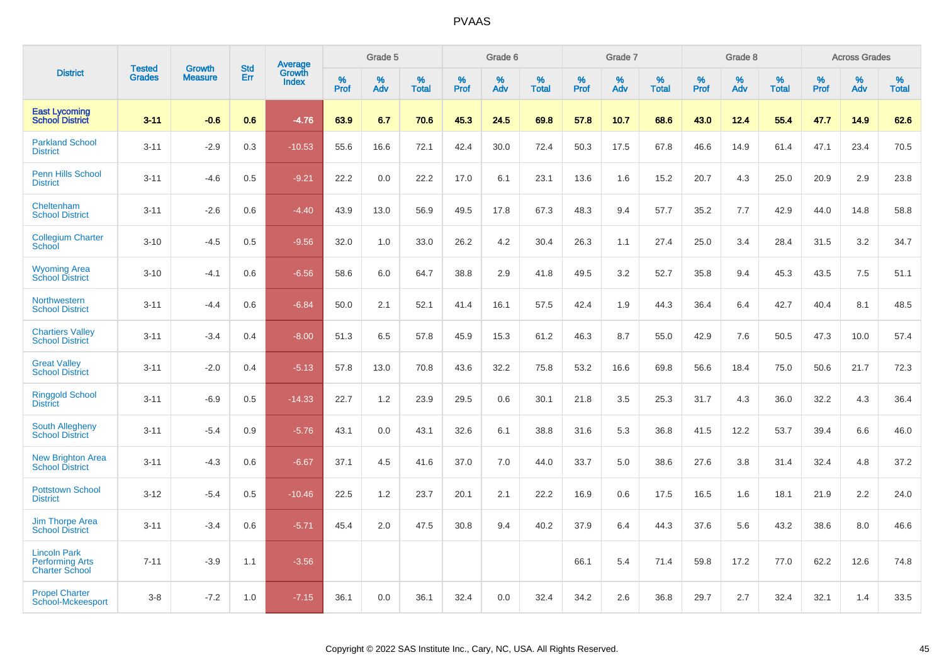|                                                                        |                                | <b>Growth</b>  | <b>Std</b> | Average                |              | Grade 5     |                      |              | Grade 6     |                      |              | Grade 7     |                      |              | Grade 8     |                   |                     | <b>Across Grades</b> |                      |
|------------------------------------------------------------------------|--------------------------------|----------------|------------|------------------------|--------------|-------------|----------------------|--------------|-------------|----------------------|--------------|-------------|----------------------|--------------|-------------|-------------------|---------------------|----------------------|----------------------|
| <b>District</b>                                                        | <b>Tested</b><br><b>Grades</b> | <b>Measure</b> | Err        | Growth<br><b>Index</b> | $\%$<br>Prof | $\%$<br>Adv | $\%$<br><b>Total</b> | $\%$<br>Prof | $\%$<br>Adv | $\%$<br><b>Total</b> | $\%$<br>Prof | $\%$<br>Adv | $\%$<br><b>Total</b> | $\%$<br>Prof | $\%$<br>Adv | %<br><b>Total</b> | $\%$<br><b>Prof</b> | $\%$<br>Adv          | $\%$<br><b>Total</b> |
| <b>East Lycoming</b><br><b>School District</b>                         | $3 - 11$                       | $-0.6$         | 0.6        | $-4.76$                | 63.9         | 6.7         | 70.6                 | 45.3         | 24.5        | 69.8                 | 57.8         | 10.7        | 68.6                 | 43.0         | 12.4        | 55.4              | 47.7                | 14.9                 | 62.6                 |
| <b>Parkland School</b><br><b>District</b>                              | $3 - 11$                       | $-2.9$         | 0.3        | $-10.53$               | 55.6         | 16.6        | 72.1                 | 42.4         | 30.0        | 72.4                 | 50.3         | 17.5        | 67.8                 | 46.6         | 14.9        | 61.4              | 47.1                | 23.4                 | 70.5                 |
| <b>Penn Hills School</b><br><b>District</b>                            | $3 - 11$                       | $-4.6$         | 0.5        | $-9.21$                | 22.2         | 0.0         | 22.2                 | 17.0         | 6.1         | 23.1                 | 13.6         | 1.6         | 15.2                 | 20.7         | 4.3         | 25.0              | 20.9                | 2.9                  | 23.8                 |
| Cheltenham<br><b>School District</b>                                   | $3 - 11$                       | $-2.6$         | 0.6        | $-4.40$                | 43.9         | 13.0        | 56.9                 | 49.5         | 17.8        | 67.3                 | 48.3         | 9.4         | 57.7                 | 35.2         | 7.7         | 42.9              | 44.0                | 14.8                 | 58.8                 |
| <b>Collegium Charter</b><br>School                                     | $3 - 10$                       | $-4.5$         | 0.5        | $-9.56$                | 32.0         | 1.0         | 33.0                 | 26.2         | 4.2         | 30.4                 | 26.3         | 1.1         | 27.4                 | 25.0         | 3.4         | 28.4              | 31.5                | 3.2                  | 34.7                 |
| <b>Wyoming Area</b><br><b>School District</b>                          | $3 - 10$                       | $-4.1$         | 0.6        | $-6.56$                | 58.6         | 6.0         | 64.7                 | 38.8         | 2.9         | 41.8                 | 49.5         | 3.2         | 52.7                 | 35.8         | 9.4         | 45.3              | 43.5                | 7.5                  | 51.1                 |
| Northwestern<br><b>School District</b>                                 | $3 - 11$                       | $-4.4$         | 0.6        | $-6.84$                | 50.0         | 2.1         | 52.1                 | 41.4         | 16.1        | 57.5                 | 42.4         | 1.9         | 44.3                 | 36.4         | 6.4         | 42.7              | 40.4                | 8.1                  | 48.5                 |
| <b>Chartiers Valley</b><br><b>School District</b>                      | $3 - 11$                       | $-3.4$         | 0.4        | $-8.00$                | 51.3         | 6.5         | 57.8                 | 45.9         | 15.3        | 61.2                 | 46.3         | 8.7         | 55.0                 | 42.9         | 7.6         | 50.5              | 47.3                | 10.0                 | 57.4                 |
| <b>Great Valley</b><br><b>School District</b>                          | $3 - 11$                       | $-2.0$         | 0.4        | $-5.13$                | 57.8         | 13.0        | 70.8                 | 43.6         | 32.2        | 75.8                 | 53.2         | 16.6        | 69.8                 | 56.6         | 18.4        | 75.0              | 50.6                | 21.7                 | 72.3                 |
| <b>Ringgold School</b><br><b>District</b>                              | $3 - 11$                       | $-6.9$         | 0.5        | $-14.33$               | 22.7         | 1.2         | 23.9                 | 29.5         | 0.6         | 30.1                 | 21.8         | 3.5         | 25.3                 | 31.7         | 4.3         | 36.0              | 32.2                | 4.3                  | 36.4                 |
| South Allegheny<br><b>School District</b>                              | $3 - 11$                       | $-5.4$         | 0.9        | $-5.76$                | 43.1         | 0.0         | 43.1                 | 32.6         | 6.1         | 38.8                 | 31.6         | 5.3         | 36.8                 | 41.5         | 12.2        | 53.7              | 39.4                | 6.6                  | 46.0                 |
| <b>New Brighton Area</b><br><b>School District</b>                     | $3 - 11$                       | $-4.3$         | 0.6        | $-6.67$                | 37.1         | 4.5         | 41.6                 | 37.0         | 7.0         | 44.0                 | 33.7         | 5.0         | 38.6                 | 27.6         | 3.8         | 31.4              | 32.4                | 4.8                  | 37.2                 |
| <b>Pottstown School</b><br><b>District</b>                             | $3 - 12$                       | $-5.4$         | 0.5        | $-10.46$               | 22.5         | 1.2         | 23.7                 | 20.1         | 2.1         | 22.2                 | 16.9         | 0.6         | 17.5                 | 16.5         | 1.6         | 18.1              | 21.9                | 2.2                  | 24.0                 |
| <b>Jim Thorpe Area</b><br><b>School District</b>                       | $3 - 11$                       | $-3.4$         | 0.6        | $-5.71$                | 45.4         | 2.0         | 47.5                 | 30.8         | 9.4         | 40.2                 | 37.9         | 6.4         | 44.3                 | 37.6         | 5.6         | 43.2              | 38.6                | 8.0                  | 46.6                 |
| <b>Lincoln Park</b><br><b>Performing Arts</b><br><b>Charter School</b> | $7 - 11$                       | $-3.9$         | 1.1        | $-3.56$                |              |             |                      |              |             |                      | 66.1         | 5.4         | 71.4                 | 59.8         | 17.2        | 77.0              | 62.2                | 12.6                 | 74.8                 |
| <b>Propel Charter</b><br>School-Mckeesport                             | $3 - 8$                        | $-7.2$         | 1.0        | $-7.15$                | 36.1         | 0.0         | 36.1                 | 32.4         | 0.0         | 32.4                 | 34.2         | 2.6         | 36.8                 | 29.7         | 2.7         | 32.4              | 32.1                | 1.4                  | 33.5                 |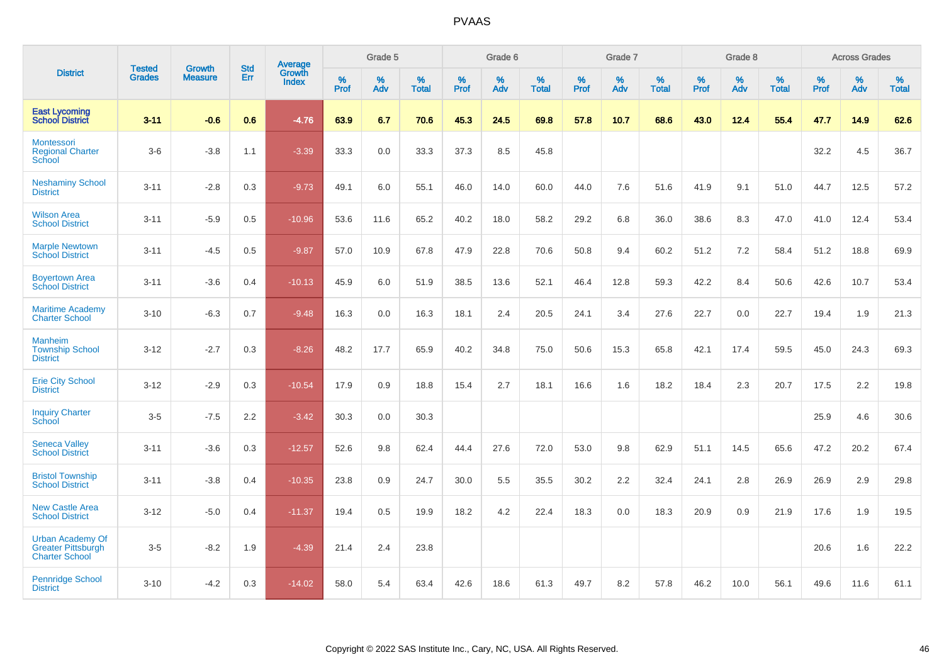|                                                                               | <b>Tested</b> | <b>Growth</b>  | <b>Std</b> | Average                       |           | Grade 5  |                   |           | Grade 6  |                   |           | Grade 7  |                   |           | Grade 8  |                   |           | <b>Across Grades</b> |                   |
|-------------------------------------------------------------------------------|---------------|----------------|------------|-------------------------------|-----------|----------|-------------------|-----------|----------|-------------------|-----------|----------|-------------------|-----------|----------|-------------------|-----------|----------------------|-------------------|
| <b>District</b>                                                               | <b>Grades</b> | <b>Measure</b> | Err        | <b>Growth</b><br><b>Index</b> | %<br>Prof | %<br>Adv | %<br><b>Total</b> | %<br>Prof | %<br>Adv | %<br><b>Total</b> | %<br>Prof | %<br>Adv | %<br><b>Total</b> | %<br>Prof | %<br>Adv | %<br><b>Total</b> | %<br>Prof | %<br>Adv             | %<br><b>Total</b> |
| <b>East Lycoming</b><br><b>School District</b>                                | $3 - 11$      | $-0.6$         | 0.6        | $-4.76$                       | 63.9      | 6.7      | 70.6              | 45.3      | 24.5     | 69.8              | 57.8      | 10.7     | 68.6              | 43.0      | 12.4     | 55.4              | 47.7      | 14.9                 | 62.6              |
| Montessori<br><b>Regional Charter</b><br>School                               | $3-6$         | $-3.8$         | 1.1        | $-3.39$                       | 33.3      | $0.0\,$  | 33.3              | 37.3      | 8.5      | 45.8              |           |          |                   |           |          |                   | 32.2      | 4.5                  | 36.7              |
| <b>Neshaminy School</b><br><b>District</b>                                    | $3 - 11$      | $-2.8$         | 0.3        | $-9.73$                       | 49.1      | 6.0      | 55.1              | 46.0      | 14.0     | 60.0              | 44.0      | 7.6      | 51.6              | 41.9      | 9.1      | 51.0              | 44.7      | 12.5                 | 57.2              |
| <b>Wilson Area</b><br><b>School District</b>                                  | $3 - 11$      | $-5.9$         | 0.5        | $-10.96$                      | 53.6      | 11.6     | 65.2              | 40.2      | 18.0     | 58.2              | 29.2      | 6.8      | 36.0              | 38.6      | 8.3      | 47.0              | 41.0      | 12.4                 | 53.4              |
| <b>Marple Newtown</b><br><b>School District</b>                               | $3 - 11$      | $-4.5$         | 0.5        | $-9.87$                       | 57.0      | 10.9     | 67.8              | 47.9      | 22.8     | 70.6              | 50.8      | 9.4      | 60.2              | 51.2      | 7.2      | 58.4              | 51.2      | 18.8                 | 69.9              |
| <b>Boyertown Area</b><br><b>School District</b>                               | $3 - 11$      | $-3.6$         | 0.4        | $-10.13$                      | 45.9      | 6.0      | 51.9              | 38.5      | 13.6     | 52.1              | 46.4      | 12.8     | 59.3              | 42.2      | 8.4      | 50.6              | 42.6      | 10.7                 | 53.4              |
| <b>Maritime Academy</b><br><b>Charter School</b>                              | $3 - 10$      | $-6.3$         | 0.7        | $-9.48$                       | 16.3      | 0.0      | 16.3              | 18.1      | 2.4      | 20.5              | 24.1      | 3.4      | 27.6              | 22.7      | 0.0      | 22.7              | 19.4      | 1.9                  | 21.3              |
| <b>Manheim</b><br><b>Township School</b><br><b>District</b>                   | $3 - 12$      | $-2.7$         | 0.3        | $-8.26$                       | 48.2      | 17.7     | 65.9              | 40.2      | 34.8     | 75.0              | 50.6      | 15.3     | 65.8              | 42.1      | 17.4     | 59.5              | 45.0      | 24.3                 | 69.3              |
| <b>Erie City School</b><br><b>District</b>                                    | $3 - 12$      | $-2.9$         | 0.3        | $-10.54$                      | 17.9      | 0.9      | 18.8              | 15.4      | 2.7      | 18.1              | 16.6      | 1.6      | 18.2              | 18.4      | 2.3      | 20.7              | 17.5      | 2.2                  | 19.8              |
| <b>Inquiry Charter</b><br>School                                              | $3-5$         | $-7.5$         | 2.2        | $-3.42$                       | 30.3      | 0.0      | 30.3              |           |          |                   |           |          |                   |           |          |                   | 25.9      | 4.6                  | 30.6              |
| <b>Seneca Valley</b><br><b>School District</b>                                | $3 - 11$      | $-3.6$         | 0.3        | $-12.57$                      | 52.6      | 9.8      | 62.4              | 44.4      | 27.6     | 72.0              | 53.0      | 9.8      | 62.9              | 51.1      | 14.5     | 65.6              | 47.2      | 20.2                 | 67.4              |
| <b>Bristol Township</b><br><b>School District</b>                             | $3 - 11$      | $-3.8$         | 0.4        | $-10.35$                      | 23.8      | 0.9      | 24.7              | 30.0      | 5.5      | 35.5              | 30.2      | 2.2      | 32.4              | 24.1      | 2.8      | 26.9              | 26.9      | 2.9                  | 29.8              |
| <b>New Castle Area</b><br><b>School District</b>                              | $3 - 12$      | $-5.0$         | 0.4        | $-11.37$                      | 19.4      | 0.5      | 19.9              | 18.2      | 4.2      | 22.4              | 18.3      | 0.0      | 18.3              | 20.9      | 0.9      | 21.9              | 17.6      | 1.9                  | 19.5              |
| <b>Urban Academy Of</b><br><b>Greater Pittsburgh</b><br><b>Charter School</b> | $3-5$         | $-8.2$         | 1.9        | $-4.39$                       | 21.4      | 2.4      | 23.8              |           |          |                   |           |          |                   |           |          |                   | 20.6      | 1.6                  | 22.2              |
| <b>Pennridge School</b><br><b>District</b>                                    | $3 - 10$      | $-4.2$         | 0.3        | $-14.02$                      | 58.0      | 5.4      | 63.4              | 42.6      | 18.6     | 61.3              | 49.7      | 8.2      | 57.8              | 46.2      | 10.0     | 56.1              | 49.6      | 11.6                 | 61.1              |